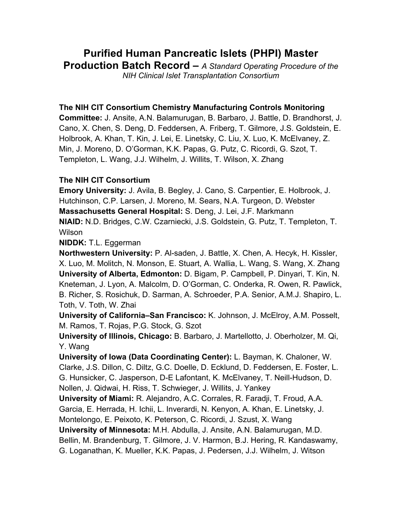# **Purified Human Pancreatic Islets (PHPI) Master Production Batch Record –** *A Standard Operating Procedure of the*

*NIH Clinical Islet Transplantation Consortium*

# **The NIH CIT Consortium Chemistry Manufacturing Controls Monitoring**

**Committee:** J. Ansite, A.N. Balamurugan, B. Barbaro, J. Battle, D. Brandhorst, J. Cano, X. Chen, S. Deng, D. Feddersen, A. Friberg, T. Gilmore, J.S. Goldstein, E. Holbrook, A. Khan, T. Kin, J. Lei, E. Linetsky, C. Liu, X. Luo, K. McElvaney, Z. Min, J. Moreno, D. O'Gorman, K.K. Papas, G. Putz, C. Ricordi, G. Szot, T. Templeton, L. Wang, J.J. Wilhelm, J. Willits, T. Wilson, X. Zhang

# **The NIH CIT Consortium**

**Emory University:** J. Avila, B. Begley, J. Cano, S. Carpentier, E. Holbrook, J. Hutchinson, C.P. Larsen, J. Moreno, M. Sears, N.A. Turgeon, D. Webster **Massachusetts General Hospital:** S. Deng, J. Lei, J.F. Markmann **NIAID:** N.D. Bridges, C.W. Czarniecki, J.S. Goldstein, G. Putz, T. Templeton, T. **Wilson** 

# **NIDDK:** T.L. Eggerman

**Northwestern University:** P. Al-saden, J. Battle, X. Chen, A. Hecyk, H. Kissler, X. Luo, M. Molitch, N. Monson, E. Stuart, A. Wallia, L. Wang, S. Wang, X. Zhang **University of Alberta, Edmonton:** D. Bigam, P. Campbell, P. Dinyari, T. Kin, N. Kneteman, J. Lyon, A. Malcolm, D. O'Gorman, C. Onderka, R. Owen, R. Pawlick, B. Richer, S. Rosichuk, D. Sarman, A. Schroeder, P.A. Senior, A.M.J. Shapiro, L. Toth, V. Toth, W. Zhai

**University of California–San Francisco:** K. Johnson, J. McElroy, A.M. Posselt, M. Ramos, T. Rojas, P.G. Stock, G. Szot

**University of Illinois, Chicago:** B. Barbaro, J. Martellotto, J. Oberholzer, M. Qi, Y. Wang

**University of Iowa (Data Coordinating Center):** L. Bayman, K. Chaloner, W. Clarke, J.S. Dillon, C. Diltz, G.C. Doelle, D. Ecklund, D. Feddersen, E. Foster, L. G. Hunsicker, C. Jasperson, D-E Lafontant, K. McElvaney, T. Neill-Hudson, D. Nollen, J. Qidwai, H. Riss, T. Schwieger, J. Willits, J. Yankey

**University of Miami:** R. Alejandro, A.C. Corrales, R. Faradji, T. Froud, A.A. Garcia, E. Herrada, H. Ichii, L. Inverardi, N. Kenyon, A. Khan, E. Linetsky, J.

Montelongo, E. Peixoto, K. Peterson, C. Ricordi, J. Szust, X. Wang

**University of Minnesota:** M.H. Abdulla, J. Ansite, A.N. Balamurugan, M.D.

Bellin, M. Brandenburg, T. Gilmore, J. V. Harmon, B.J. Hering, R. Kandaswamy,

G. Loganathan, K. Mueller, K.K. Papas, J. Pedersen, J.J. Wilhelm, J. Witson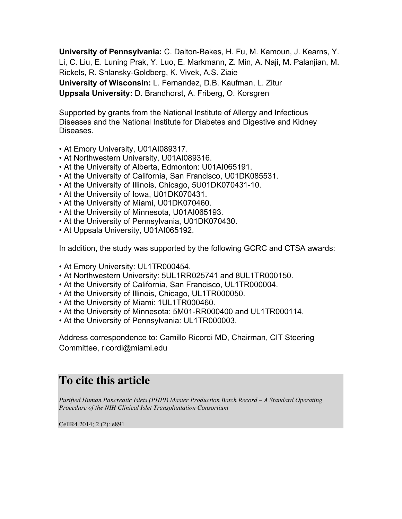**University of Pennsylvania:** C. Dalton-Bakes, H. Fu, M. Kamoun, J. Kearns, Y. Li, C. Liu, E. Luning Prak, Y. Luo, E. Markmann, Z. Min, A. Naji, M. Palanjian, M. Rickels, R. Shlansky-Goldberg, K. Vivek, A.S. Ziaie **University of Wisconsin:** L. Fernandez, D.B. Kaufman, L. Zitur **Uppsala University:** D. Brandhorst, A. Friberg, O. Korsgren

Supported by grants from the National Institute of Allergy and Infectious Diseases and the National Institute for Diabetes and Digestive and Kidney Diseases.

- At Emory University, U01AI089317.
- At Northwestern University, U01AI089316.
- At the University of Alberta, Edmonton: U01AI065191.
- At the University of California, San Francisco, U01DK085531.
- At the University of Illinois, Chicago, 5U01DK070431-10.
- At the University of Iowa, U01DK070431.
- At the University of Miami, U01DK070460.
- At the University of Minnesota, U01AI065193.
- At the University of Pennsylvania, U01DK070430.
- At Uppsala University, U01AI065192.

In addition, the study was supported by the following GCRC and CTSA awards:

- At Emory University: UL1TR000454.
- At Northwestern University: 5UL1RR025741 and 8UL1TR000150.
- At the University of California, San Francisco, UL1TR000004.
- At the University of Illinois, Chicago, UL1TR000050.
- At the University of Miami: 1UL1TR000460.
- At the University of Minnesota: 5M01-RR000400 and UL1TR000114.
- At the University of Pennsylvania: UL1TR000003.

Address correspondence to: Camillo Ricordi MD, Chairman, CIT Steering Committee, ricordi@miami.edu

# **To cite this article**

*Purified Human Pancreatic Islets (PHPI) Master Production Batch Record – A Standard Operating Procedure of the NIH Clinical Islet Transplantation Consortium*

CellR4 2014; 2 (2): e891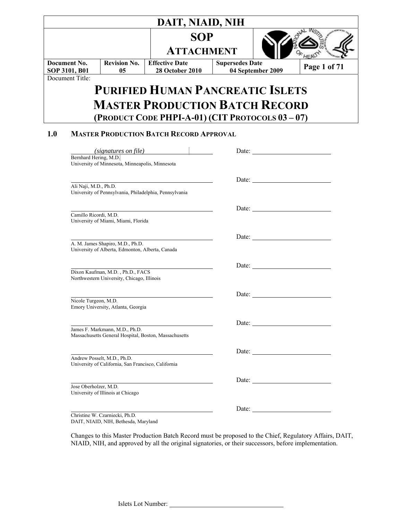|                 |                       |                                                                                         | DAIT, NIAID, NIH                                |            |                        |                                                                                                                                                                                                                                      |              |  |
|-----------------|-----------------------|-----------------------------------------------------------------------------------------|-------------------------------------------------|------------|------------------------|--------------------------------------------------------------------------------------------------------------------------------------------------------------------------------------------------------------------------------------|--------------|--|
|                 |                       |                                                                                         | <b>ATTACHMENT</b>                               | <b>SOP</b> |                        |                                                                                                                                                                                                                                      |              |  |
| Document No.    |                       | <b>Revision No.</b>                                                                     | <b>Effective Date</b>                           |            | <b>Supersedes Date</b> |                                                                                                                                                                                                                                      |              |  |
| SOP 3101, B01   |                       | 05                                                                                      | <b>28 October 2010</b>                          |            |                        | 04 September 2009                                                                                                                                                                                                                    | Page 1 of 71 |  |
| Document Title: |                       |                                                                                         |                                                 |            |                        |                                                                                                                                                                                                                                      |              |  |
|                 |                       |                                                                                         | <b>PURIFIED HUMAN PANCREATIC ISLETS</b>         |            |                        |                                                                                                                                                                                                                                      |              |  |
|                 |                       |                                                                                         | <b>MASTER PRODUCTION BATCH RECORD</b>           |            |                        |                                                                                                                                                                                                                                      |              |  |
|                 |                       |                                                                                         | (PRODUCT CODE PHPI-A-01) (CIT PROTOCOLS 03-07)  |            |                        |                                                                                                                                                                                                                                      |              |  |
| 1.0             |                       |                                                                                         | <b>MASTER PRODUCTION BATCH RECORD APPROVAL</b>  |            |                        |                                                                                                                                                                                                                                      |              |  |
|                 |                       |                                                                                         | (signatures on file)                            |            |                        | Date: <u>and the set of the set of the set of the set of the set of the set of the set of the set of the set of the set of the set of the set of the set of the set of the set of the set of the set of the set of the set of th</u> |              |  |
|                 | Bernhard Hering, M.D. | University of Minnesota, Minneapolis, Minnesota                                         |                                                 |            |                        |                                                                                                                                                                                                                                      |              |  |
|                 |                       |                                                                                         |                                                 |            |                        |                                                                                                                                                                                                                                      |              |  |
|                 | Ali Naji, M.D., Ph.D. | University of Pennsylvania, Philadelphia, Pennsylvania                                  |                                                 |            |                        |                                                                                                                                                                                                                                      |              |  |
|                 |                       |                                                                                         |                                                 |            |                        |                                                                                                                                                                                                                                      |              |  |
|                 | Camillo Ricordi, M.D. | University of Miami, Miami, Florida                                                     |                                                 |            |                        |                                                                                                                                                                                                                                      |              |  |
|                 |                       |                                                                                         |                                                 |            |                        |                                                                                                                                                                                                                                      |              |  |
|                 |                       | A. M. James Shapiro, M.D., Ph.D.<br>University of Alberta, Edmonton, Alberta, Canada    |                                                 |            |                        |                                                                                                                                                                                                                                      |              |  |
|                 |                       |                                                                                         |                                                 |            |                        | Date:                                                                                                                                                                                                                                |              |  |
|                 |                       | Dixon Kaufman, M.D., Ph.D., FACS<br>Northwestern University, Chicago, Illinois          |                                                 |            |                        |                                                                                                                                                                                                                                      |              |  |
|                 |                       |                                                                                         |                                                 |            |                        | Date:                                                                                                                                                                                                                                |              |  |
|                 | Nicole Turgeon, M.D.  | Emory University, Atlanta, Georgia                                                      |                                                 |            |                        |                                                                                                                                                                                                                                      |              |  |
|                 |                       |                                                                                         | <u> 1989 - Johann Barnett, fransk politik (</u> |            |                        |                                                                                                                                                                                                                                      |              |  |
|                 |                       | James F. Markmann, M.D., Ph.D.<br>Massachusetts General Hospital, Boston, Massachusetts |                                                 |            |                        |                                                                                                                                                                                                                                      |              |  |
|                 |                       |                                                                                         |                                                 |            |                        |                                                                                                                                                                                                                                      |              |  |
|                 |                       | Andrew Posselt, M.D., Ph.D.<br>University of California, San Francisco, California      |                                                 |            |                        |                                                                                                                                                                                                                                      |              |  |
|                 |                       |                                                                                         |                                                 |            |                        |                                                                                                                                                                                                                                      |              |  |
|                 | Jose Oberholzer, M.D. | University of Illinois at Chicago                                                       |                                                 |            |                        |                                                                                                                                                                                                                                      |              |  |
|                 |                       |                                                                                         |                                                 |            |                        | Date:                                                                                                                                                                                                                                |              |  |
|                 |                       | Christine W. Czarniecki, Ph.D.<br>DAIT, NIAID, NIH, Bethesda, Maryland                  |                                                 |            |                        |                                                                                                                                                                                                                                      |              |  |

Changes to this Master Production Batch Record must be proposed to the Chief, Regulatory Affairs, DAIT, NIAID, NIH, and approved by all the original signatories, or their successors, before implementation.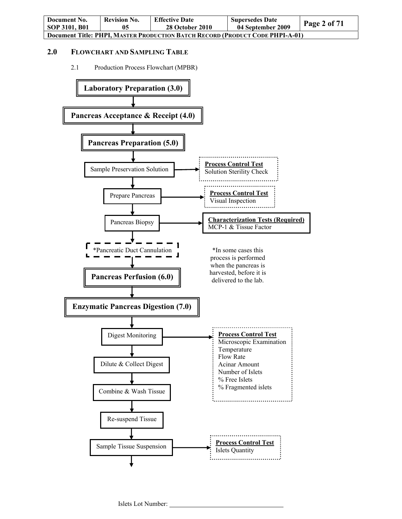| Document No.                                                                  | <b>Revision No.</b> | <b>Effective Date</b>  | <b>Supersedes Date</b> | Page 2 of $71$ |  |
|-------------------------------------------------------------------------------|---------------------|------------------------|------------------------|----------------|--|
| SOP 3101, B01                                                                 | 05                  | <b>28 October 2010</b> | 04 September 2009      |                |  |
| Document Title: PHPI, MASTER PRODUCTION BATCH RECORD (PRODUCT CODE PHPI-A-01) |                     |                        |                        |                |  |

## **2.0 FLOWCHART AND SAMPLING TABLE**

2.1 Production Process Flowchart (MPBR)

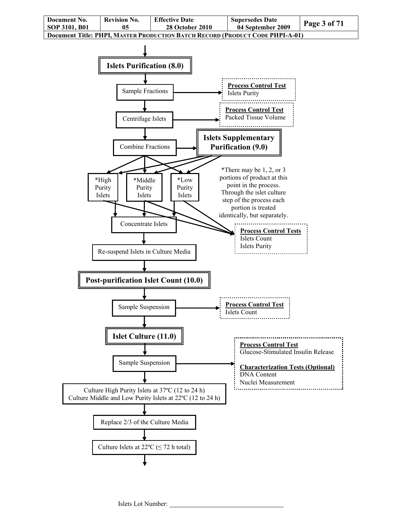

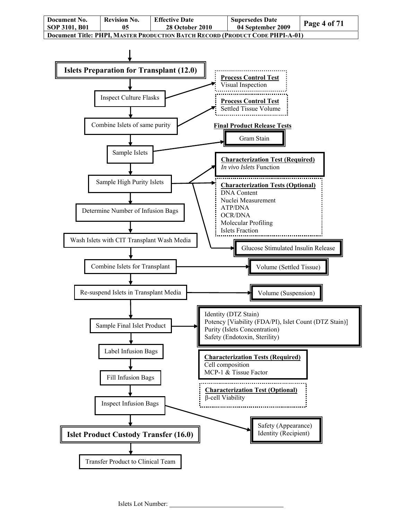

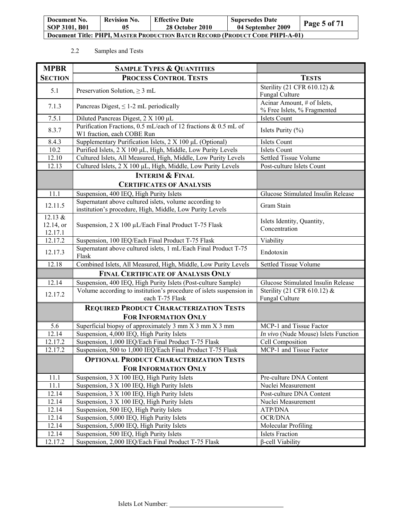| Document No.                                                                  | <b>Revision No.</b> | <b>Effective Date</b> | <b>Supersedes Date</b> | Page 5 of 71 |  |
|-------------------------------------------------------------------------------|---------------------|-----------------------|------------------------|--------------|--|
| SOP 3101, B01                                                                 | 05                  | 28 October 2010       | 04 September 2009      |              |  |
| Document Title: PHPI. MASTER PRODUCTION BATCH RECORD (PRODUCT CODE PHPI-A-01) |                     |                       |                        |              |  |

## 2.2 Samples and Tests

| <b>MPBR</b>                       | <b>SAMPLE TYPES &amp; QUANTITIES</b>                                                                               |                                                            |
|-----------------------------------|--------------------------------------------------------------------------------------------------------------------|------------------------------------------------------------|
| <b>SECTION</b>                    | <b>PROCESS CONTROL TESTS</b>                                                                                       | <b>TESTS</b>                                               |
| 5.1                               | Preservation Solution, $\geq 3$ mL                                                                                 | Sterility (21 CFR 610.12) &<br>Fungal Culture              |
| 7.1.3                             | Pancreas Digest, $\leq 1$ -2 mL periodically                                                                       | Acinar Amount, # of Islets,<br>% Free Islets, % Fragmented |
| 7.5.1                             | Diluted Pancreas Digest, 2 X 100 µL                                                                                | <b>Islets Count</b>                                        |
| 8.3.7                             | Purification Fractions, 0.5 mL/each of 12 fractions & 0.5 mL of<br>W1 fraction, each COBE Run                      | Islets Purity (%)                                          |
| 8.4.3                             | Supplementary Purification Islets, 2 X 100 µL (Optional)                                                           | Islets Count                                               |
| 10.2                              | Purified Islets, 2 X 100 µL, High, Middle, Low Purity Levels                                                       | Islets Count                                               |
| 12.10                             | Cultured Islets, All Measured, High, Middle, Low Purity Levels                                                     | <b>Settled Tissue Volume</b>                               |
| 12.13                             | Cultured Islets, 2 X 100 µL, High, Middle, Low Purity Levels                                                       | Post-culture Islets Count                                  |
|                                   | <b>INTERIM &amp; FINAL</b>                                                                                         |                                                            |
|                                   | <b>CERTIFICATES OF ANALYSIS</b>                                                                                    |                                                            |
| 11.1                              | Suspension, 400 IEQ, High Purity Islets                                                                            | Glucose Stimulated Insulin Release                         |
| 12.11.5                           | Supernatant above cultured islets, volume according to<br>institution's procedure, High, Middle, Low Purity Levels | Gram Stain                                                 |
| 12.13 $&$<br>12.14, or<br>12.17.1 | Suspension, 2 X 100 µL/Each Final Product T-75 Flask                                                               | Islets Identity, Quantity,<br>Concentration                |
| 12.17.2                           | Suspension, 100 IEQ/Each Final Product T-75 Flask                                                                  | Viability                                                  |
| 12.17.3                           | Supernatant above cultured islets, 1 mL/Each Final Product T-75<br>Flask                                           | Endotoxin                                                  |
| 12.18                             | Combined Islets, All Measured, High, Middle, Low Purity Levels                                                     | Settled Tissue Volume                                      |
|                                   | <b>FINAL CERTIFICATE OF ANALYSIS ONLY</b>                                                                          |                                                            |
| 12.14                             | Suspension, 400 IEQ, High Purity Islets (Post-culture Sample)                                                      | Glucose Stimulated Insulin Release                         |
| 12.17.2                           | Volume according to institution's procedure of islets suspension in<br>each T-75 Flask                             | Sterility (21 CFR 610.12) &<br>Fungal Culture              |
|                                   | <b>REQUIRED PRODUCT CHARACTERIZATION TESTS</b>                                                                     |                                                            |
|                                   | <b>FOR INFORMATION ONLY</b>                                                                                        |                                                            |
| 5.6                               | Superficial biopsy of approximately 3 mm X 3 mm X 3 mm                                                             | MCP-1 and Tissue Factor                                    |
| 12.14                             | Suspension, 4,000 IEQ, High Purity Islets                                                                          | In vivo (Nude Mouse) Islets Function                       |
| 12.17.2                           | Suspension, 1,000 IEQ/Each Final Product T-75 Flask                                                                | Cell Composition                                           |
| 12.17.2                           | Suspension, 500 to 1,000 IEQ/Each Final Product T-75 Flask                                                         | MCP-1 and Tissue Factor                                    |
|                                   | <b>OPTIONAL PRODUCT CHARACTERIZATION TESTS</b>                                                                     |                                                            |
|                                   | FOR INFORMATION ONLY                                                                                               |                                                            |
| 11.1                              | Suspension, 3 X 100 IEQ, High Purity Islets                                                                        | Pre-culture DNA Content                                    |
| 11.1                              | Suspension, 3 X 100 IEQ, High Purity Islets                                                                        | Nuclei Measurement                                         |
| 12.14                             | Suspension, 3 X 100 IEQ, High Purity Islets                                                                        | Post-culture DNA Content                                   |
| 12.14                             | Suspension, $3 \times 100$ IEQ, High Purity Islets                                                                 | Nuclei Measurement                                         |
| 12.14                             | Suspension, 500 IEQ, High Purity Islets                                                                            | ATP/DNA                                                    |
| 12.14                             | Suspension, 5,000 IEQ, High Purity Islets                                                                          | <b>OCR/DNA</b>                                             |
| 12.14                             | Suspension, 5,000 IEQ, High Purity Islets                                                                          | Molecular Profiling                                        |
| 12.14                             | Suspension, 500 IEQ, High Purity Islets                                                                            | <b>Islets Fraction</b>                                     |
| 12.17.2                           | Suspension, 2,000 IEQ/Each Final Product T-75 Flask                                                                | β-cell Viability                                           |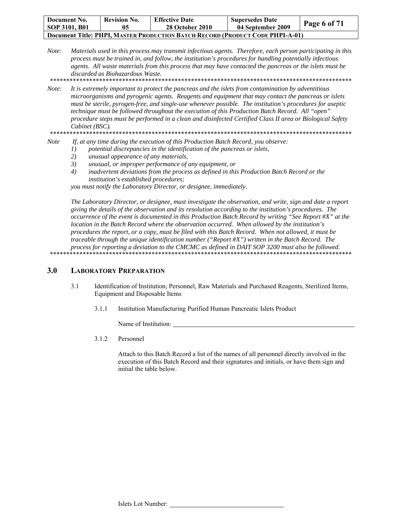| Document No.<br>SOP 3101, B01                                                        | <b>Revision No.</b> | <b>Effective Date</b><br><b>28 October 2010</b> | <b>Supersedes Date</b><br>04 September 2009 | Page 6 of 71 |  |
|--------------------------------------------------------------------------------------|---------------------|-------------------------------------------------|---------------------------------------------|--------------|--|
| <b>Document Title: PHPI, MASTER PRODUCTION BATCH RECORD (PRODUCT CODE PHPI-A-01)</b> |                     |                                                 |                                             |              |  |

*Note: Materials used in this process may transmit infectious agents. Therefore, each person participating in this process must be trained in, and follow, the institution's procedures for handling potentially infectious agents. All waste materials from this process that may have contacted the pancreas or the islets must be discarded as Biohazardous Waste.* 

\*\*\*\*\*\*\*\*\*\*\*\*\*\*\*\*\*\*\*\*\*\*\*\*\*\*\*\*\*\*\*\*\*\*\*\*\*\*\*\*\*\*\*\*\*\*\*\*\*\*\*\*\*\*\*\*\*\*\*\*\*\*\*\*\*\*\*\*\*\*\*\*\*\*\*\*\*\*\*\*\*\*\*\*\*\*\*\*\*\*\*\*

*Note: It is extremely important to protect the pancreas and the islets from contamination by adventitious microorganisms and pyrogenic agents. Reagents and equipment that may contact the pancreas or islets must be sterile, pyrogen-free, and single-use whenever possible. The institution's procedures for aseptic technique must be followed throughout the execution of this Production Batch Record. All "open" procedure steps must be performed in a clean and disinfected Certified Class II area or Biological Safety Cabinet (BSC).* 

\*\*\*\*\*\*\*\*\*\*\*\*\*\*\*\*\*\*\*\*\*\*\*\*\*\*\*\*\*\*\*\*\*\*\*\*\*\*\*\*\*\*\*\*\*\*\*\*\*\*\*\*\*\*\*\*\*\*\*\*\*\*\*\*\*\*\*\*\*\*\*\*\*\*\*\*\*\*\*\*\*\*\*\*\*\*\*\*\*\*\*\*

- *Note If, at any time during the execution of this Production Batch Record, you observe:* 
	- *1) potential discrepancies in the identification of the pancreas or islets,* 
		- *2) unusual appearance of any materials,*
		- *3) unusual, or improper performance of any equipment, or*
		- *4) inadvertent deviations from the process as defined in this Production Batch Record or the institution's established procedures;*

*you must notify the Laboratory Director, or designee, immediately.* 

*The Laboratory Director, or designee, must investigate the observation, and write, sign and date a report giving the details of the observation and its resolution according to the institution's procedures. The occurrence of the event is documented in this Production Batch Record by writing "See Report #X" at the location in the Batch Record where the observation occurred. When allowed by the institution's procedures the report, or a copy, must be filed with this Batch Record. When not allowed, it must be traceable through the unique identification number ("Report #X") written in the Batch Record. The process for reporting a deviation to the CMCMC as defined in DAIT SOP 3200 must also be followed.*  \*\*\*\*\*\*\*\*\*\*\*\*\*\*\*\*\*\*\*\*\*\*\*\*\*\*\*\*\*\*\*\*\*\*\*\*\*\*\*\*\*\*\*\*\*\*\*\*\*\*\*\*\*\*\*\*\*\*\*\*\*\*\*\*\*\*\*\*\*\*\*\*\*\*\*\*\*\*\*\*\*\*\*\*\*\*\*\*\*\*\*\*

## **3.0 LABORATORY PREPARATION**

- 3.1 Identification of Institution, Personnel, Raw Materials and Purchased Reagents, Sterilized Items, Equipment and Disposable Items
	- 3.1.1 Institution Manufacturing Purified Human Pancreatic Islets Product

Name of Institution:

3.1.2 Personnel

Attach to this Batch Record a list of the names of all personnel directly involved in the execution of this Batch Record and their signatures and initials, or have them sign and initial the table below.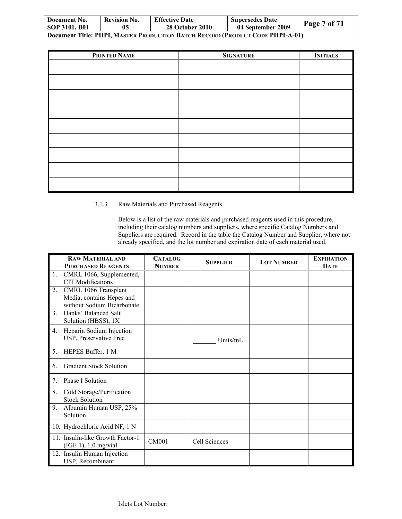| Document No.                                                                         | <b>Revision No.</b> | <b>Effective Date</b>  | <b>Supersedes Date</b> | Page 7 of 71 |  |
|--------------------------------------------------------------------------------------|---------------------|------------------------|------------------------|--------------|--|
| SOP 3101, B01                                                                        | 05                  | <b>28 October 2010</b> | 04 September 2009      |              |  |
| <b>Document Title: PHPI, MASTER PRODUCTION BATCH RECORD (PRODUCT CODE PHPI-A-01)</b> |                     |                        |                        |              |  |

| PRINTED NAME | <b>SIGNATURE</b> | <b>INITIALS</b> |
|--------------|------------------|-----------------|
|              |                  |                 |
|              |                  |                 |
|              |                  |                 |
|              |                  |                 |
|              |                  |                 |
|              |                  |                 |
|              |                  |                 |
|              |                  |                 |
|              |                  |                 |

### 3.1.3 Raw Materials and Purchased Reagents

Below is a list of the raw materials and purchased reagents used in this procedure, including their catalog numbers and suppliers, where specific Catalog Numbers and Suppliers are required. Record in the table the Catalog Number and Supplier, where not already specified, and the lot number and expiration date of each material used.

|                               | <b>PURCHASED REAGENTS</b>        |               | <b>SUPPLIER</b> | <b>LOT NUMBER</b> | <b>EXPIRATION</b> |
|-------------------------------|----------------------------------|---------------|-----------------|-------------------|-------------------|
|                               |                                  | <b>NUMBER</b> |                 |                   | <b>DATE</b>       |
| 1.                            | CMRL 1066, Supplemented,         |               |                 |                   |                   |
|                               | <b>CIT</b> Modifications         |               |                 |                   |                   |
| 2.                            | CMRL 1066 Transplant             |               |                 |                   |                   |
|                               | Media, contains Hepes and        |               |                 |                   |                   |
|                               | without Sodium Bicarbonate       |               |                 |                   |                   |
| $\mathfrak{Z}$ .              | Hanks' Balanced Salt             |               |                 |                   |                   |
|                               | Solution (HBSS), 1X              |               |                 |                   |                   |
| 4.                            | Heparin Sodium Injection         |               |                 |                   |                   |
|                               | USP, Preservative Free           |               | Units/mL        |                   |                   |
|                               |                                  |               |                 |                   |                   |
| 5.                            | HEPES Buffer, 1 M                |               |                 |                   |                   |
| 6.                            | <b>Gradient Stock Solution</b>   |               |                 |                   |                   |
| <b>Phase I Solution</b><br>7. |                                  |               |                 |                   |                   |
| 8.                            | Cold Storage/Purification        |               |                 |                   |                   |
| <b>Stock Solution</b>         |                                  |               |                 |                   |                   |
| 9.                            | Albumin Human USP, 25%           |               |                 |                   |                   |
| Solution                      |                                  |               |                 |                   |                   |
|                               | 10. Hydrochloric Acid NF, 1 N    |               |                 |                   |                   |
|                               | 11. Insulin-like Growth Factor-1 |               |                 |                   |                   |
|                               | (IGF-1), 1.0 mg/vial             | <b>CM001</b>  | Cell Sciences   |                   |                   |
|                               | 12. Insulin Human Injection      |               |                 |                   |                   |
|                               | USP, Recombinant                 |               |                 |                   |                   |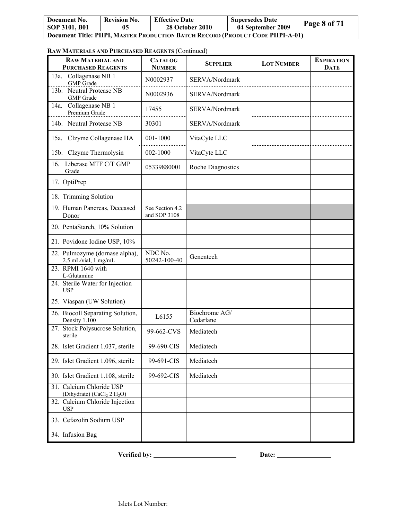| Document No.<br>SOP 3101, B01                                                        | <b>Revision No.</b> | <b>Effective Date</b><br>28 October 2010 | <b>Supersedes Date</b><br>04 September 2009 | Page 8 of 71 |  |
|--------------------------------------------------------------------------------------|---------------------|------------------------------------------|---------------------------------------------|--------------|--|
| <b>Document Title: PHPI, MASTER PRODUCTION BATCH RECORD (PRODUCT CODE PHPI-A-01)</b> |                     |                                          |                                             |              |  |

#### **RAW MATERIALS AND PURCHASED REAGENTS** (Continued)

| <b>RAW MATERIAL AND</b><br><b>PURCHASED REAGENTS</b>                  | <b>CATALOG</b><br><b>NUMBER</b> | <b>SUPPLIER</b>            | <b>LOT NUMBER</b> | <b>EXPIRATION</b><br><b>DATE</b> |
|-----------------------------------------------------------------------|---------------------------------|----------------------------|-------------------|----------------------------------|
| Collagenase NB 1<br>13a.<br><b>GMP</b> Grade                          | N0002937                        | SERVA/Nordmark             |                   |                                  |
| 13b. Neutral Protease NB<br><b>GMP</b> Grade                          | N0002936                        | SERVA/Nordmark             |                   |                                  |
| Collagenase NB 1<br>14a.<br>Premium Grade                             | 17455                           | SERVA/Nordmark             |                   |                                  |
| 14b. Neutral Protease NB                                              | 30301                           | SERVA/Nordmark             |                   |                                  |
| 15a. CIzyme Collagenase HA                                            | 001-1000                        | VitaCyte LLC               |                   |                                  |
| 15b. CIzyme Thermolysin                                               | 002-1000                        | VitaCyte LLC               |                   |                                  |
| Liberase MTF C/T GMP<br>16.<br>Grade                                  | 05339880001                     | Roche Diagnostics          |                   |                                  |
| 17. OptiPrep                                                          |                                 |                            |                   |                                  |
| 18. Trimming Solution                                                 |                                 |                            |                   |                                  |
| 19. Human Pancreas, Deceased<br>Donor                                 | See Section 4.2<br>and SOP 3108 |                            |                   |                                  |
| 20. PentaStarch, 10% Solution                                         |                                 |                            |                   |                                  |
| 21. Povidone Iodine USP, 10%                                          |                                 |                            |                   |                                  |
| 22. Pulmozyme (dornase alpha),<br>2.5 mL/vial, 1 mg/mL                | NDC No.<br>50242-100-40         | Genentech                  |                   |                                  |
| 23. RPMI 1640 with<br>L-Glutamine                                     |                                 |                            |                   |                                  |
| 24. Sterile Water for Injection<br><b>USP</b>                         |                                 |                            |                   |                                  |
| 25. Viaspan (UW Solution)                                             |                                 |                            |                   |                                  |
| 26. Biocoll Separating Solution,<br>Density 1.100                     | L6155                           | Biochrome AG/<br>Cedarlane |                   |                                  |
| 27. Stock Polysucrose Solution,<br>sterile                            | 99-662-CVS                      | Mediatech                  |                   |                                  |
| 28. Islet Gradient 1.037, sterile                                     | 99-690-CIS                      | Mediatech                  |                   |                                  |
| 29. Islet Gradient 1.096, sterile                                     | 99-691-CIS                      | Mediatech                  |                   |                                  |
| 30. Islet Gradient 1.108, sterile                                     | 99-692-CIS                      | Mediatech                  |                   |                                  |
| 31. Calcium Chloride USP<br>(Dihydrate) (CaCl <sub>2</sub> 2 $H_2O$ ) |                                 |                            |                   |                                  |
| 32. Calcium Chloride Injection<br><b>USP</b>                          |                                 |                            |                   |                                  |
| 33. Cefazolin Sodium USP                                              |                                 |                            |                   |                                  |
| 34. Infusion Bag                                                      |                                 |                            |                   |                                  |

**Verified by:** <u>Date:</u> Date: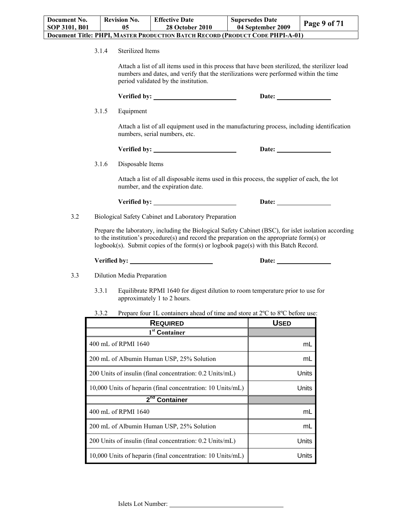3.1.4 Sterilized Items

Attach a list of all items used in this process that have been sterilized, the sterilizer load numbers and dates, and verify that the sterilizations were performed within the time period validated by the institution.

|     | 3.1.5 | Equipment                                                                                                                                                                                                                                                                                    |                       |
|-----|-------|----------------------------------------------------------------------------------------------------------------------------------------------------------------------------------------------------------------------------------------------------------------------------------------------|-----------------------|
|     |       | Attach a list of all equipment used in the manufacturing process, including identification<br>numbers, serial numbers, etc.                                                                                                                                                                  |                       |
|     |       | Verified by: New York Dental Property of the United States of the United States of the United States of the United States of the United States of the United States of the United States of the United States of the United St                                                               | Date: $\qquad \qquad$ |
|     | 3.1.6 | Disposable Items                                                                                                                                                                                                                                                                             |                       |
|     |       | Attach a list of all disposable items used in this process, the supplier of each, the lot<br>number, and the expiration date.                                                                                                                                                                |                       |
|     |       |                                                                                                                                                                                                                                                                                              |                       |
| 3.2 |       | Biological Safety Cabinet and Laboratory Preparation                                                                                                                                                                                                                                         |                       |
|     |       | Prepare the laboratory, including the Biological Safety Cabinet (BSC), for islet isolation according<br>to the institution's procedure(s) and record the preparation on the appropriate form $(s)$ or<br>logbook(s). Submit copies of the form(s) or logbook page(s) with this Batch Record. |                       |
|     |       |                                                                                                                                                                                                                                                                                              |                       |
| 3.3 |       | Dilution Media Preparation                                                                                                                                                                                                                                                                   |                       |
|     | 3.3.1 | Equilibrate RPMI 1640 for digest dilution to room temperature prior to use for<br>approximately 1 to 2 hours.                                                                                                                                                                                |                       |

3.3.2 Prepare four 1L containers ahead of time and store at 2ºC to 8ºC before use:

| <b>REQUIRED</b>                                            | <b>USED</b> |
|------------------------------------------------------------|-------------|
| 1 <sup>st</sup> Container                                  |             |
| 400 mL of RPMI 1640                                        | mL          |
| 200 mL of Albumin Human USP, 25% Solution                  | mL          |
| 200 Units of insulin (final concentration: 0.2 Units/mL)   | Units       |
| 10,000 Units of heparin (final concentration: 10 Units/mL) | Units       |
| $2nd$ Container                                            |             |
| 400 mL of RPMI 1640                                        | mL          |
| 200 mL of Albumin Human USP, 25% Solution                  | mL          |
| 200 Units of insulin (final concentration: 0.2 Units/mL)   | Units       |
| 10,000 Units of heparin (final concentration: 10 Units/mL) | Units       |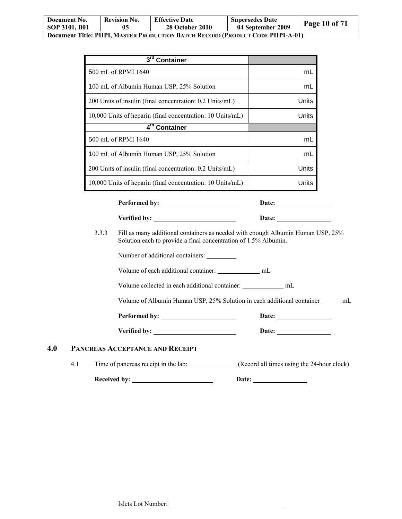| Document No.<br>SOP 3101, B01                                                        | <b>Revision No.</b> | <b>Effective Date</b><br><b>28 October 2010</b> | <b>Supersedes Date</b><br>04 September 2009 | Page 10 of 71 |  |
|--------------------------------------------------------------------------------------|---------------------|-------------------------------------------------|---------------------------------------------|---------------|--|
| <b>Document Title: PHPI, MASTER PRODUCTION BATCH RECORD (PRODUCT CODE PHPI-A-01)</b> |                     |                                                 |                                             |               |  |

| 3rd Container                                              |       |
|------------------------------------------------------------|-------|
| 500 mL of RPMI 1640                                        | mL    |
| 100 mL of Albumin Human USP, 25% Solution                  | mL    |
| 200 Units of insulin (final concentration: 0.2 Units/mL)   | Units |
| 10,000 Units of heparin (final concentration: 10 Units/mL) | Units |
| 4 <sup>th</sup> Container                                  |       |
| 500 mL of RPMI 1640                                        | mL    |
| 100 mL of Albumin Human USP, 25% Solution                  | mL    |
| 200 Units of insulin (final concentration: 0.2 Units/mL)   | Units |
| 10,000 Units of heparin (final concentration: 10 Units/mL) | Units |

Performed by: Date: Date:

**Verified by: Date:** 

3.3.3 Fill as many additional containers as needed with enough Albumin Human USP, 25% Solution each to provide a final concentration of 1.5% Albumin.

Number of additional containers:

Volume of each additional container: \_\_\_\_\_\_\_\_\_\_\_\_\_ mL

Volume collected in each additional container: \_\_\_\_\_\_\_\_\_\_\_\_\_ mL

Volume of Albumin Human USP, 25% Solution in each additional container \_\_\_\_\_\_ mL

**Performed by: Date:** 

**Verified by: Date:** 

## **4.0 PANCREAS ACCEPTANCE AND RECEIPT**

4.1 Time of pancreas receipt in the lab: (Record all times using the 24-hour clock)

Received by: <u>Neceived by:</u> Neceived by: 2014 **Date:** 2014 **Date:** 2014 **Date:** 2014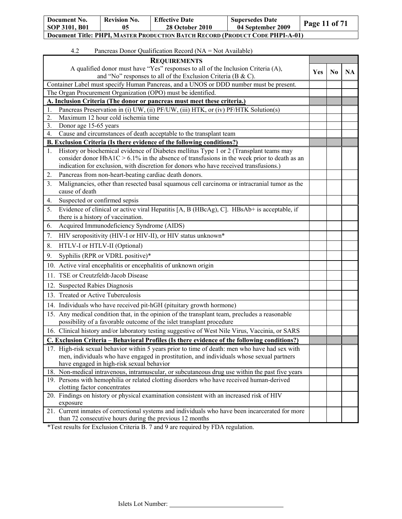| Document No.                                                                  | <b>Revision No.</b> | <b>Effective Date</b>  | <b>Supersedes Date</b> | <b>Page 11 of 71</b> |  |
|-------------------------------------------------------------------------------|---------------------|------------------------|------------------------|----------------------|--|
| <b>SOP 3101, B01</b>                                                          | 05                  | <b>28 October 2010</b> | 04 September 2009      |                      |  |
| Document Title: PHPI, MASTER PRODUCTION BATCH RECORD (PRODUCT CODE PHPI-A-01) |                     |                        |                        |                      |  |

## 4.2 Pancreas Donor Qualification Record (NA = Not Available)

| <b>REQUIREMENTS</b>                                                                                                                                                                                                                                                                     |     |          |           |
|-----------------------------------------------------------------------------------------------------------------------------------------------------------------------------------------------------------------------------------------------------------------------------------------|-----|----------|-----------|
| A qualified donor must have "Yes" responses to all of the Inclusion Criteria (A),                                                                                                                                                                                                       | Yes | $\bf No$ | <b>NA</b> |
| and "No" responses to all of the Exclusion Criteria (B & C).                                                                                                                                                                                                                            |     |          |           |
| Container Label must specify Human Pancreas, and a UNOS or DDD number must be present.                                                                                                                                                                                                  |     |          |           |
| The Organ Procurement Organization (OPO) must be identified.                                                                                                                                                                                                                            |     |          |           |
| A. Inclusion Criteria (The donor or pancreas must meet these criteria.)<br>Pancreas Preservation in (i) UW, (ii) PF/UW, (iii) HTK, or (iv) PF/HTK Solution(s)                                                                                                                           |     |          |           |
| 1.<br>Maximum 12 hour cold ischemia time<br>$\overline{2}$ .                                                                                                                                                                                                                            |     |          |           |
| $\overline{3}$ .<br>Donor age 15-65 years                                                                                                                                                                                                                                               |     |          |           |
| Cause and circumstances of death acceptable to the transplant team<br>4.                                                                                                                                                                                                                |     |          |           |
| B. Exclusion Criteria (Is there evidence of the following conditions?)                                                                                                                                                                                                                  |     |          |           |
| History or biochemical evidence of Diabetes mellitus Type 1 or 2 (Transplant teams may<br>1.<br>consider donor $HbA1C > 6.1\%$ in the absence of transfusions in the week prior to death as an<br>indication for exclusion, with discretion for donors who have received transfusions.) |     |          |           |
| Pancreas from non-heart-beating cardiac death donors.<br>2.                                                                                                                                                                                                                             |     |          |           |
| Malignancies, other than resected basal squamous cell carcinoma or intracranial tumor as the<br>3.<br>cause of death                                                                                                                                                                    |     |          |           |
| Suspected or confirmed sepsis<br>4.                                                                                                                                                                                                                                                     |     |          |           |
| Evidence of clinical or active viral Hepatitis [A, B (HBcAg), C]. HBsAb+ is acceptable, if<br>5.<br>there is a history of vaccination.                                                                                                                                                  |     |          |           |
| Acquired Immunodeficiency Syndrome (AIDS)<br>6.                                                                                                                                                                                                                                         |     |          |           |
| 7.<br>HIV seropositivity (HIV-I or HIV-II), or HIV status unknown*                                                                                                                                                                                                                      |     |          |           |
| HTLV-I or HTLV-II (Optional)<br>8.                                                                                                                                                                                                                                                      |     |          |           |
| Syphilis (RPR or VDRL positive)*<br>9.                                                                                                                                                                                                                                                  |     |          |           |
| 10. Active viral encephalitis or encephalitis of unknown origin                                                                                                                                                                                                                         |     |          |           |
| 11. TSE or Creutzfeldt-Jacob Disease                                                                                                                                                                                                                                                    |     |          |           |
| <b>Suspected Rabies Diagnosis</b><br>12.                                                                                                                                                                                                                                                |     |          |           |
| 13. Treated or Active Tuberculosis                                                                                                                                                                                                                                                      |     |          |           |
| 14. Individuals who have received pit-hGH (pituitary growth hormone)                                                                                                                                                                                                                    |     |          |           |
| 15. Any medical condition that, in the opinion of the transplant team, precludes a reasonable<br>possibility of a favorable outcome of the islet transplant procedure                                                                                                                   |     |          |           |
| 16. Clinical history and/or laboratory testing suggestive of West Nile Virus, Vaccinia, or SARS                                                                                                                                                                                         |     |          |           |
| <b>C. Exclusion Criteria – Behavioral Profiles (Is there evidence of the following conditions?)</b>                                                                                                                                                                                     |     |          |           |
| 17. High-risk sexual behavior within 5 years prior to time of death: men who have had sex with<br>men, individuals who have engaged in prostitution, and individuals whose sexual partners<br>have engaged in high-risk sexual behavior                                                 |     |          |           |
| 18. Non-medical intravenous, intramuscular, or subcutaneous drug use within the past five years                                                                                                                                                                                         |     |          |           |
| 19. Persons with hemophilia or related clotting disorders who have received human-derived<br>clotting factor concentrates                                                                                                                                                               |     |          |           |
| 20. Findings on history or physical examination consistent with an increased risk of HIV<br>exposure                                                                                                                                                                                    |     |          |           |
| 21. Current inmates of correctional systems and individuals who have been incarcerated for more<br>than 72 consecutive hours during the previous 12 months                                                                                                                              |     |          |           |

 $\overline{\phantom{a}}$ 

\*Test results for Exclusion Criteria B. 7 and 9 are required by FDA regulation.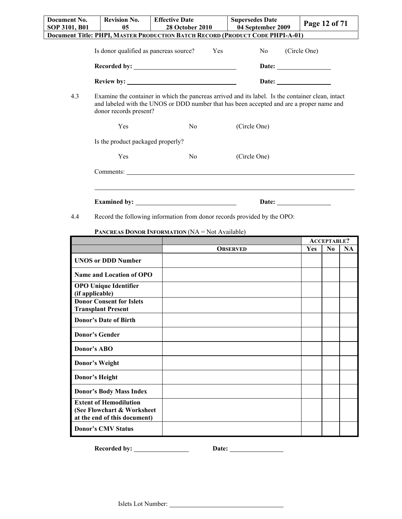| Document No.  | <b>Revision No.</b>               | <b>Effective Date</b>                                                                                                                                                                         | <b>Supersedes Date</b> | Page 12 of 71                                                                      |
|---------------|-----------------------------------|-----------------------------------------------------------------------------------------------------------------------------------------------------------------------------------------------|------------------------|------------------------------------------------------------------------------------|
| SOP 3101, B01 | 0 <sub>5</sub>                    | <b>28 October 2010</b>                                                                                                                                                                        | 04 September 2009      |                                                                                    |
|               |                                   | Document Title: PHPI, MASTER PRODUCTION BATCH RECORD (PRODUCT CODE PHPI-A-01)                                                                                                                 |                        |                                                                                    |
|               |                                   | Is donor qualified as pancreas source? Yes                                                                                                                                                    | No no                  | (Circle One)                                                                       |
|               |                                   | Recorded by:                                                                                                                                                                                  |                        |                                                                                    |
|               |                                   |                                                                                                                                                                                               |                        |                                                                                    |
|               |                                   |                                                                                                                                                                                               | Date: $\qquad \qquad$  |                                                                                    |
| 4.3           | donor records present?            | Examine the container in which the pancreas arrived and its label. Is the container clean, intact<br>and labeled with the UNOS or DDD number that has been accepted and are a proper name and |                        |                                                                                    |
|               | Yes                               | No                                                                                                                                                                                            | (Circle One)           |                                                                                    |
|               | Is the product packaged properly? |                                                                                                                                                                                               |                        |                                                                                    |
|               | Yes                               | No                                                                                                                                                                                            | (Circle One)           |                                                                                    |
|               |                                   |                                                                                                                                                                                               |                        |                                                                                    |
|               |                                   |                                                                                                                                                                                               |                        |                                                                                    |
|               |                                   |                                                                                                                                                                                               | Date:                  | $\overline{\phantom{a}}$ and $\overline{\phantom{a}}$ and $\overline{\phantom{a}}$ |

4.4 Record the following information from donor records provided by the OPO:

### **PANCREAS DONOR INFORMATION (NA = Not Available)**

|                                                                                             |                 | <b>ACCEPTABLE?</b> |                |           |
|---------------------------------------------------------------------------------------------|-----------------|--------------------|----------------|-----------|
|                                                                                             | <b>OBSERVED</b> | <b>Yes</b>         | N <sub>0</sub> | <b>NA</b> |
| <b>UNOS or DDD Number</b>                                                                   |                 |                    |                |           |
| Name and Location of OPO                                                                    |                 |                    |                |           |
| <b>OPO Unique Identifier</b><br>(if applicable)                                             |                 |                    |                |           |
| <b>Donor Consent for Islets</b><br><b>Transplant Present</b>                                |                 |                    |                |           |
| <b>Donor's Date of Birth</b>                                                                |                 |                    |                |           |
| <b>Donor's Gender</b>                                                                       |                 |                    |                |           |
| Donor's ABO                                                                                 |                 |                    |                |           |
| Donor's Weight                                                                              |                 |                    |                |           |
| Donor's Height                                                                              |                 |                    |                |           |
| <b>Donor's Body Mass Index</b>                                                              |                 |                    |                |           |
| <b>Extent of Hemodilution</b><br>(See Flowchart & Worksheet<br>at the end of this document) |                 |                    |                |           |
| <b>Donor's CMV Status</b>                                                                   |                 |                    |                |           |

**Recorded by: Date:**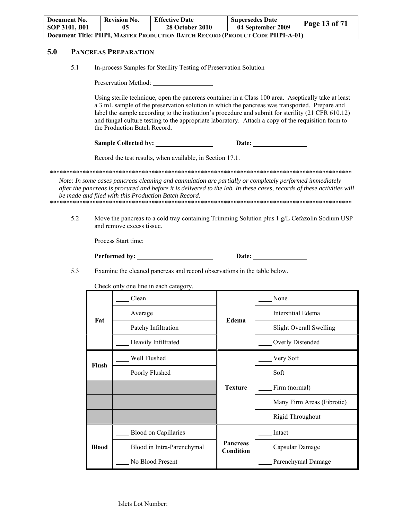| Document No.<br>SOP 3101, B01 |                                                                                                                                                                                                                                                                                                                                                                                                                                                  | <b>Revision No.</b><br>05   | <b>Effective Date</b><br><b>28 October 2010</b>                                                                                                                                                                                                                                           | <b>Supersedes Date</b>       | 04 September 2009                                                             | Page 13 of 71              |
|-------------------------------|--------------------------------------------------------------------------------------------------------------------------------------------------------------------------------------------------------------------------------------------------------------------------------------------------------------------------------------------------------------------------------------------------------------------------------------------------|-----------------------------|-------------------------------------------------------------------------------------------------------------------------------------------------------------------------------------------------------------------------------------------------------------------------------------------|------------------------------|-------------------------------------------------------------------------------|----------------------------|
|                               |                                                                                                                                                                                                                                                                                                                                                                                                                                                  |                             |                                                                                                                                                                                                                                                                                           |                              | Document Title: PHPI, MASTER PRODUCTION BATCH RECORD (PRODUCT CODE PHPI-A-01) |                            |
| 5.0                           |                                                                                                                                                                                                                                                                                                                                                                                                                                                  | <b>PANCREAS PREPARATION</b> |                                                                                                                                                                                                                                                                                           |                              |                                                                               |                            |
| 5.1                           |                                                                                                                                                                                                                                                                                                                                                                                                                                                  |                             | In-process Samples for Sterility Testing of Preservation Solution                                                                                                                                                                                                                         |                              |                                                                               |                            |
|                               |                                                                                                                                                                                                                                                                                                                                                                                                                                                  |                             | Preservation Method:                                                                                                                                                                                                                                                                      |                              |                                                                               |                            |
|                               | Using sterile technique, open the pancreas container in a Class 100 area. Aseptically take at least<br>a 3 mL sample of the preservation solution in which the pancreas was transported. Prepare and<br>label the sample according to the institution's procedure and submit for sterility (21 CFR 610.12)<br>and fungal culture testing to the appropriate laboratory. Attach a copy of the requisition form to<br>the Production Batch Record. |                             |                                                                                                                                                                                                                                                                                           |                              |                                                                               |                            |
|                               |                                                                                                                                                                                                                                                                                                                                                                                                                                                  |                             |                                                                                                                                                                                                                                                                                           |                              | Date: <u>Date:</u>                                                            |                            |
|                               |                                                                                                                                                                                                                                                                                                                                                                                                                                                  |                             | Record the test results, when available, in Section 17.1.                                                                                                                                                                                                                                 |                              |                                                                               |                            |
|                               |                                                                                                                                                                                                                                                                                                                                                                                                                                                  |                             | Note: In some cases pancreas cleaning and cannulation are partially or completely performed immediately<br>after the pancreas is procured and before it is delivered to the lab. In these cases, records of these activities will<br>be made and filed with this Production Batch Record. |                              |                                                                               |                            |
| 5.2                           | Move the pancreas to a cold tray containing Trimming Solution plus 1 $g/L$ Cefazolin Sodium USP<br>and remove excess tissue.                                                                                                                                                                                                                                                                                                                     |                             |                                                                                                                                                                                                                                                                                           |                              |                                                                               |                            |
|                               |                                                                                                                                                                                                                                                                                                                                                                                                                                                  |                             | Process Start time:                                                                                                                                                                                                                                                                       |                              |                                                                               |                            |
|                               | Date:                                                                                                                                                                                                                                                                                                                                                                                                                                            |                             |                                                                                                                                                                                                                                                                                           |                              |                                                                               |                            |
| 5.3                           |                                                                                                                                                                                                                                                                                                                                                                                                                                                  |                             | Examine the cleaned pancreas and record observations in the table below.                                                                                                                                                                                                                  |                              |                                                                               |                            |
|                               |                                                                                                                                                                                                                                                                                                                                                                                                                                                  |                             | Check only one line in each category.                                                                                                                                                                                                                                                     |                              |                                                                               |                            |
|                               |                                                                                                                                                                                                                                                                                                                                                                                                                                                  | Clean                       |                                                                                                                                                                                                                                                                                           |                              | None                                                                          |                            |
|                               | Fat                                                                                                                                                                                                                                                                                                                                                                                                                                              | Average                     |                                                                                                                                                                                                                                                                                           | Edema                        | <b>Interstitial Edema</b>                                                     |                            |
|                               |                                                                                                                                                                                                                                                                                                                                                                                                                                                  |                             | Patchy Infiltration                                                                                                                                                                                                                                                                       |                              |                                                                               | Slight Overall Swelling    |
|                               |                                                                                                                                                                                                                                                                                                                                                                                                                                                  |                             | Heavily Infiltrated                                                                                                                                                                                                                                                                       |                              | Overly Distended                                                              |                            |
|                               | Flush                                                                                                                                                                                                                                                                                                                                                                                                                                            | Well Flushed                |                                                                                                                                                                                                                                                                                           |                              | Very Soft                                                                     |                            |
|                               |                                                                                                                                                                                                                                                                                                                                                                                                                                                  |                             | Poorly Flushed                                                                                                                                                                                                                                                                            |                              | Soft                                                                          |                            |
|                               |                                                                                                                                                                                                                                                                                                                                                                                                                                                  |                             |                                                                                                                                                                                                                                                                                           | <b>Texture</b>               | Firm (normal)                                                                 |                            |
|                               |                                                                                                                                                                                                                                                                                                                                                                                                                                                  |                             |                                                                                                                                                                                                                                                                                           |                              |                                                                               | Many Firm Areas (Fibrotic) |
|                               |                                                                                                                                                                                                                                                                                                                                                                                                                                                  |                             |                                                                                                                                                                                                                                                                                           |                              | Rigid Throughout                                                              |                            |
|                               |                                                                                                                                                                                                                                                                                                                                                                                                                                                  |                             | <b>Blood on Capillaries</b>                                                                                                                                                                                                                                                               |                              | Intact                                                                        |                            |
|                               | <b>Blood</b>                                                                                                                                                                                                                                                                                                                                                                                                                                     |                             | Blood in Intra-Parenchymal                                                                                                                                                                                                                                                                | <b>Pancreas</b><br>Condition | Capsular Damage                                                               |                            |
|                               |                                                                                                                                                                                                                                                                                                                                                                                                                                                  |                             | No Blood Present                                                                                                                                                                                                                                                                          |                              |                                                                               | Parenchymal Damage         |

L.

Islets Lot Number: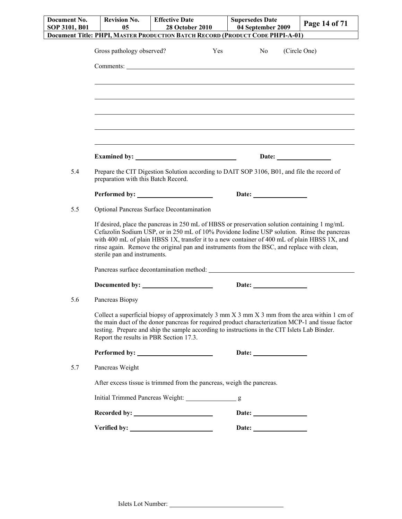| Document No.<br>SOP 3101, B01 | <b>Revision No.</b><br>05               | <b>Effective Date</b><br><b>28 October 2010</b>                                                                                                                                                                                                                                                                                                                                                    | <b>Supersedes Date</b><br>04 September 2009 | Page 14 of 71 |
|-------------------------------|-----------------------------------------|----------------------------------------------------------------------------------------------------------------------------------------------------------------------------------------------------------------------------------------------------------------------------------------------------------------------------------------------------------------------------------------------------|---------------------------------------------|---------------|
|                               |                                         | Document Title: PHPI, MASTER PRODUCTION BATCH RECORD (PRODUCT CODE PHPI-A-01)                                                                                                                                                                                                                                                                                                                      |                                             |               |
|                               | Gross pathology observed?               | Yes                                                                                                                                                                                                                                                                                                                                                                                                | No                                          | (Circle One)  |
|                               |                                         |                                                                                                                                                                                                                                                                                                                                                                                                    |                                             |               |
|                               |                                         |                                                                                                                                                                                                                                                                                                                                                                                                    |                                             |               |
|                               |                                         |                                                                                                                                                                                                                                                                                                                                                                                                    |                                             |               |
|                               |                                         |                                                                                                                                                                                                                                                                                                                                                                                                    |                                             |               |
|                               |                                         |                                                                                                                                                                                                                                                                                                                                                                                                    |                                             |               |
|                               |                                         |                                                                                                                                                                                                                                                                                                                                                                                                    |                                             |               |
|                               |                                         | Examined by: Note and South Assembly and South Assembly and South Assembly and South Assembly and South Assembly                                                                                                                                                                                                                                                                                   | Date: $\qquad \qquad$                       |               |
| 5.4                           | preparation with this Batch Record.     | Prepare the CIT Digestion Solution according to DAIT SOP 3106, B01, and file the record of                                                                                                                                                                                                                                                                                                         |                                             |               |
|                               |                                         |                                                                                                                                                                                                                                                                                                                                                                                                    |                                             |               |
| 5.5                           |                                         | Optional Pancreas Surface Decontamination                                                                                                                                                                                                                                                                                                                                                          |                                             |               |
|                               | sterile pan and instruments.            | If desired, place the pancreas in 250 mL of HBSS or preservation solution containing $1 \text{ mg/mL}$<br>Cefazolin Sodium USP, or in 250 mL of 10% Povidone Iodine USP solution. Rinse the pancreas<br>with 400 mL of plain HBSS 1X, transfer it to a new container of 400 mL of plain HBSS 1X, and<br>rinse again. Remove the original pan and instruments from the BSC, and replace with clean, |                                             |               |
|                               |                                         |                                                                                                                                                                                                                                                                                                                                                                                                    |                                             |               |
|                               |                                         |                                                                                                                                                                                                                                                                                                                                                                                                    | Date:                                       |               |
| 5.6                           | Pancreas Biopsy                         |                                                                                                                                                                                                                                                                                                                                                                                                    |                                             |               |
|                               | Report the results in PBR Section 17.3. | Collect a superficial biopsy of approximately 3 mm $X$ 3 mm $X$ 3 mm from the area within 1 cm of<br>the main duct of the donor pancreas for required product characterization MCP-1 and tissue factor<br>testing. Prepare and ship the sample according to instructions in the CIT Islets Lab Binder.                                                                                             |                                             |               |
|                               |                                         |                                                                                                                                                                                                                                                                                                                                                                                                    |                                             |               |
| 5.7                           | Pancreas Weight                         |                                                                                                                                                                                                                                                                                                                                                                                                    |                                             |               |
|                               |                                         | After excess tissue is trimmed from the pancreas, weigh the pancreas.                                                                                                                                                                                                                                                                                                                              |                                             |               |
|                               |                                         |                                                                                                                                                                                                                                                                                                                                                                                                    |                                             |               |
|                               |                                         |                                                                                                                                                                                                                                                                                                                                                                                                    |                                             |               |
|                               |                                         |                                                                                                                                                                                                                                                                                                                                                                                                    |                                             |               |
|                               |                                         |                                                                                                                                                                                                                                                                                                                                                                                                    |                                             |               |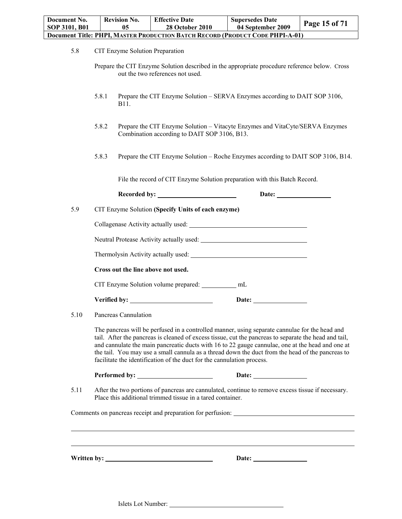| Document No.<br>SOP 3101, B01 |              | <b>Revision No.</b><br>05 | <b>Effective Date</b><br><b>28 October 2010</b>                        | <b>Supersedes Date</b><br>04 September 2009                                                                                                                                                                                                                                                                                                                                                                     | Page 15 of 71 |
|-------------------------------|--------------|---------------------------|------------------------------------------------------------------------|-----------------------------------------------------------------------------------------------------------------------------------------------------------------------------------------------------------------------------------------------------------------------------------------------------------------------------------------------------------------------------------------------------------------|---------------|
|                               |              |                           |                                                                        | Document Title: PHPI, MASTER PRODUCTION BATCH RECORD (PRODUCT CODE PHPI-A-01)                                                                                                                                                                                                                                                                                                                                   |               |
| 5.8                           |              |                           | CIT Enzyme Solution Preparation                                        |                                                                                                                                                                                                                                                                                                                                                                                                                 |               |
|                               |              |                           | out the two references not used.                                       | Prepare the CIT Enzyme Solution described in the appropriate procedure reference below. Cross                                                                                                                                                                                                                                                                                                                   |               |
|                               | 5.8.1        | B11.                      |                                                                        | Prepare the CIT Enzyme Solution – SERVA Enzymes according to DAIT SOP 3106,                                                                                                                                                                                                                                                                                                                                     |               |
|                               | 5.8.2        |                           | Combination according to DAIT SOP 3106, B13.                           | Prepare the CIT Enzyme Solution - Vitacyte Enzymes and VitaCyte/SERVA Enzymes                                                                                                                                                                                                                                                                                                                                   |               |
|                               | 5.8.3        |                           |                                                                        | Prepare the CIT Enzyme Solution – Roche Enzymes according to DAIT SOP 3106, B14.                                                                                                                                                                                                                                                                                                                                |               |
|                               |              |                           |                                                                        | File the record of CIT Enzyme Solution preparation with this Batch Record.                                                                                                                                                                                                                                                                                                                                      |               |
|                               |              |                           | Recorded by:                                                           |                                                                                                                                                                                                                                                                                                                                                                                                                 |               |
| 5.9                           |              |                           | CIT Enzyme Solution (Specify Units of each enzyme)                     |                                                                                                                                                                                                                                                                                                                                                                                                                 |               |
|                               |              |                           |                                                                        |                                                                                                                                                                                                                                                                                                                                                                                                                 |               |
|                               |              |                           |                                                                        |                                                                                                                                                                                                                                                                                                                                                                                                                 |               |
|                               |              |                           |                                                                        | Thermolysin Activity actually used: Thermolysin Activity actually used:                                                                                                                                                                                                                                                                                                                                         |               |
|                               |              |                           | Cross out the line above not used.                                     |                                                                                                                                                                                                                                                                                                                                                                                                                 |               |
|                               |              |                           | CIT Enzyme Solution volume prepared: ___________ mL                    |                                                                                                                                                                                                                                                                                                                                                                                                                 |               |
|                               | Verified by: |                           |                                                                        | Date:                                                                                                                                                                                                                                                                                                                                                                                                           |               |
| 5.10                          |              | Pancreas Cannulation      |                                                                        |                                                                                                                                                                                                                                                                                                                                                                                                                 |               |
|                               |              |                           | facilitate the identification of the duct for the cannulation process. | The pancreas will be perfused in a controlled manner, using separate cannulae for the head and<br>tail. After the pancreas is cleaned of excess tissue, cut the pancreas to separate the head and tail,<br>and cannulate the main pancreatic ducts with 16 to 22 gauge cannulae, one at the head and one at<br>the tail. You may use a small cannula as a thread down the duct from the head of the pancreas to |               |
|                               |              |                           |                                                                        |                                                                                                                                                                                                                                                                                                                                                                                                                 |               |
| 5.11                          |              |                           | Place this additional trimmed tissue in a tared container.             | After the two portions of pancreas are cannulated, continue to remove excess tissue if necessary.                                                                                                                                                                                                                                                                                                               |               |
|                               |              |                           |                                                                        |                                                                                                                                                                                                                                                                                                                                                                                                                 |               |
|                               |              |                           |                                                                        |                                                                                                                                                                                                                                                                                                                                                                                                                 |               |
|                               |              |                           |                                                                        |                                                                                                                                                                                                                                                                                                                                                                                                                 |               |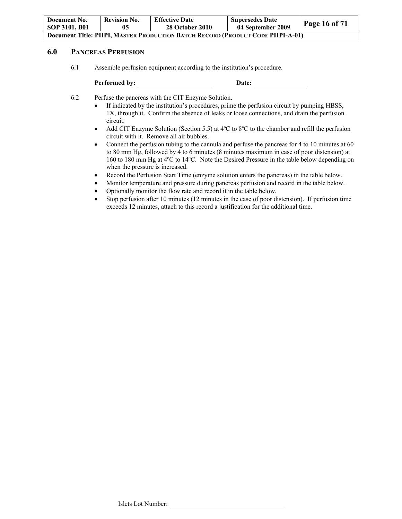| Document No.<br>SOP 3101, B01                                                 | <b>Revision No.</b> | <b>Effective Date</b><br><b>28 October 2010</b> | <b>Supersedes Date</b><br>04 September 2009 | <b>Page 16 of 71</b> |
|-------------------------------------------------------------------------------|---------------------|-------------------------------------------------|---------------------------------------------|----------------------|
| Document Title: PHPI. MASTER PRODUCTION BATCH RECORD (PRODUCT CODE PHPI-A-01) |                     |                                                 |                                             |                      |

## **6.0 PANCREAS PERFUSION**

6.1 Assemble perfusion equipment according to the institution's procedure.

**Performed by: Date:** 

6.2 Perfuse the pancreas with the CIT Enzyme Solution.

- If indicated by the institution's procedures, prime the perfusion circuit by pumping HBSS, 1X, through it. Confirm the absence of leaks or loose connections, and drain the perfusion circuit.
- Add CIT Enzyme Solution (Section 5.5) at  $4^{\circ}$ C to  $8^{\circ}$ C to the chamber and refill the perfusion circuit with it. Remove all air bubbles.
- Connect the perfusion tubing to the cannula and perfuse the pancreas for 4 to 10 minutes at 60 to 80 mm Hg, followed by 4 to 6 minutes (8 minutes maximum in case of poor distension) at 160 to 180 mm Hg at 4ºC to 14ºC. Note the Desired Pressure in the table below depending on when the pressure is increased.
- Record the Perfusion Start Time (enzyme solution enters the pancreas) in the table below.
- Monitor temperature and pressure during pancreas perfusion and record in the table below.
- Optionally monitor the flow rate and record it in the table below.
- Stop perfusion after 10 minutes (12 minutes in the case of poor distension). If perfusion time exceeds 12 minutes, attach to this record a justification for the additional time.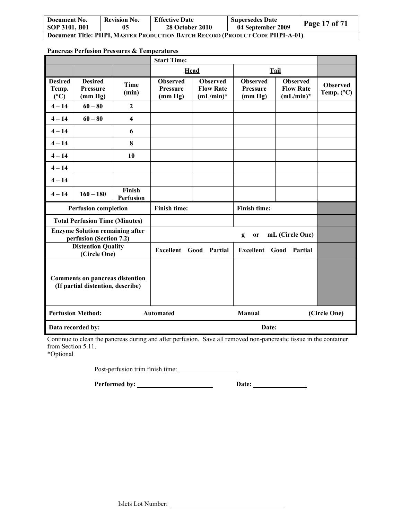| Document No.                                                                         | <b>Revision No.</b> | <b>Effective Date</b>  | <b>Supersedes Date</b> | <b>Page 17 of 71</b> |  |
|--------------------------------------------------------------------------------------|---------------------|------------------------|------------------------|----------------------|--|
| SOP 3101, B01                                                                        | 05                  | <b>28 October 2010</b> | 04 September 2009      |                      |  |
| <b>Document Title: PHPI, MASTER PRODUCTION BATCH RECORD (PRODUCT CODE PHPI-A-01)</b> |                     |                        |                        |                      |  |

| <b>Pancreas Perfusion Pressures &amp; Temperatures</b> |  |
|--------------------------------------------------------|--|
|--------------------------------------------------------|--|

|                                                                             |                                                                   |                            | <b>Start Time:</b>                            |                                                     |                                               |                                                     |                                        |
|-----------------------------------------------------------------------------|-------------------------------------------------------------------|----------------------------|-----------------------------------------------|-----------------------------------------------------|-----------------------------------------------|-----------------------------------------------------|----------------------------------------|
|                                                                             |                                                                   |                            |                                               | Head                                                |                                               | Tail                                                |                                        |
| <b>Desired</b><br>Temp.<br>(C)                                              | <b>Desired</b><br><b>Pressure</b><br>(mm Hg)                      | Time<br>(min)              | <b>Observed</b><br><b>Pressure</b><br>(mm Hg) | <b>Observed</b><br><b>Flow Rate</b><br>$(mL/min)^*$ | <b>Observed</b><br><b>Pressure</b><br>(mm Hg) | <b>Observed</b><br><b>Flow Rate</b><br>$(mL/min)^*$ | <b>Observed</b><br>Temp. $(^{\circ}C)$ |
| $4 - 14$                                                                    | $60 - 80$                                                         | $\mathbf{2}$               |                                               |                                                     |                                               |                                                     |                                        |
| $4 - 14$                                                                    | $60 - 80$                                                         | $\overline{\mathbf{4}}$    |                                               |                                                     |                                               |                                                     |                                        |
| $4 - 14$                                                                    |                                                                   | 6                          |                                               |                                                     |                                               |                                                     |                                        |
| $4 - 14$                                                                    |                                                                   | 8                          |                                               |                                                     |                                               |                                                     |                                        |
| $4 - 14$                                                                    |                                                                   | 10                         |                                               |                                                     |                                               |                                                     |                                        |
| $4 - 14$                                                                    |                                                                   |                            |                                               |                                                     |                                               |                                                     |                                        |
| $4 - 14$                                                                    |                                                                   |                            |                                               |                                                     |                                               |                                                     |                                        |
| $4 - 14$                                                                    | $160 - 180$                                                       | Finish<br><b>Perfusion</b> |                                               |                                                     |                                               |                                                     |                                        |
|                                                                             | <b>Perfusion completion</b>                                       |                            | <b>Finish time:</b>                           |                                                     | Finish time:                                  |                                                     |                                        |
|                                                                             | <b>Total Perfusion Time (Minutes)</b>                             |                            |                                               |                                                     |                                               |                                                     |                                        |
|                                                                             | <b>Enzyme Solution remaining after</b><br>perfusion (Section 7.2) |                            |                                               |                                                     | g<br>or                                       | mL (Circle One)                                     |                                        |
| <b>Distention Quality</b><br>(Circle One)                                   |                                                                   | <b>Excellent</b> Good      | Partial                                       | <b>Excellent</b> Good                               | Partial                                       |                                                     |                                        |
| <b>Comments on pancreas distention</b><br>(If partial distention, describe) |                                                                   |                            |                                               |                                                     |                                               |                                                     |                                        |
| <b>Perfusion Method:</b>                                                    |                                                                   | <b>Automated</b>           |                                               | Manual                                              |                                               | (Circle One)                                        |                                        |
|                                                                             | Data recorded by:                                                 |                            |                                               |                                                     | Date:                                         |                                                     |                                        |

Continue to clean the pancreas during and after perfusion. Save all removed non-pancreatic tissue in the container from Section 5.11.

\*Optional

Post-perfusion trim finish time:

**Performed by: Date:**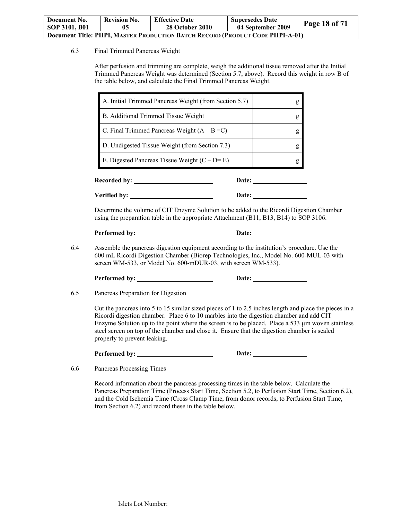| Document No.                                                                         | <b>Revision No.</b> | <b>Effective Date</b>  | <b>Supersedes Date</b> | Page 18 of 71 |
|--------------------------------------------------------------------------------------|---------------------|------------------------|------------------------|---------------|
| SOP 3101, B01                                                                        | 05                  | <b>28 October 2010</b> | 04 September 2009      |               |
| <b>Document Title: PHPI, MASTER PRODUCTION BATCH RECORD (PRODUCT CODE PHPI-A-01)</b> |                     |                        |                        |               |

#### 6.3 Final Trimmed Pancreas Weight

After perfusion and trimming are complete, weigh the additional tissue removed after the Initial Trimmed Pancreas Weight was determined (Section 5.7, above). Record this weight in row B of the table below, and calculate the Final Trimmed Pancreas Weight.

| <b>Recorded by:</b><br>Date:                          |   |
|-------------------------------------------------------|---|
| E. Digested Pancreas Tissue Weight $(C - D = E)$      | g |
| D. Undigested Tissue Weight (from Section 7.3)        | g |
| C. Final Trimmed Pancreas Weight $(A - B = C)$        | g |
| B. Additional Trimmed Tissue Weight                   | g |
| A. Initial Trimmed Pancreas Weight (from Section 5.7) | g |

**Verified by: Date:** 

Determine the volume of CIT Enzyme Solution to be added to the Ricordi Digestion Chamber using the preparation table in the appropriate Attachment (B11, B13, B14) to SOP 3106.

Performed by: Date:

6.4 Assemble the pancreas digestion equipment according to the institution's procedure. Use the 600 mL Ricordi Digestion Chamber (Biorep Technologies, Inc., Model No. 600-MUL-03 with screen WM-533, or Model No. 600-mDUR-03, with screen WM-533).

Performed by: Date:

6.5 Pancreas Preparation for Digestion

Cut the pancreas into 5 to 15 similar sized pieces of 1 to 2.5 inches length and place the pieces in a Ricordi digestion chamber. Place 6 to 10 marbles into the digestion chamber and add CIT Enzyme Solution up to the point where the screen is to be placed. Place a 533  $\mu$ m woven stainless steel screen on top of the chamber and close it. Ensure that the digestion chamber is sealed properly to prevent leaking.

**Performed by: Date:** 

6.6 Pancreas Processing Times

Record information about the pancreas processing times in the table below. Calculate the Pancreas Preparation Time (Process Start Time, Section 5.2, to Perfusion Start Time, Section 6.2), and the Cold Ischemia Time (Cross Clamp Time, from donor records, to Perfusion Start Time, from Section 6.2) and record these in the table below.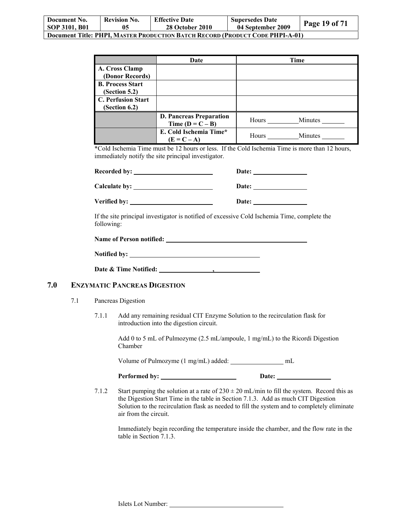| Document No.<br><b>SOP 3101, B01</b>                                                 | <b>Revision No.</b> | <b>Effective Date</b><br><b>28 October 2010</b> | <b>Supersedes Date</b><br>04 September 2009 | Page 19 of 71 |
|--------------------------------------------------------------------------------------|---------------------|-------------------------------------------------|---------------------------------------------|---------------|
| <b>Document Title: PHPI, MASTER PRODUCTION BATCH RECORD (PRODUCT CODE PHPI-A-01)</b> |                     |                                                 |                                             |               |

|                           | Date                                                 | Time             |
|---------------------------|------------------------------------------------------|------------------|
| A. Cross Clamp            |                                                      |                  |
| (Donor Records)           |                                                      |                  |
| <b>B. Process Start</b>   |                                                      |                  |
| (Section 5.2)             |                                                      |                  |
| <b>C. Perfusion Start</b> |                                                      |                  |
| (Section 6.2)             |                                                      |                  |
|                           | <b>D. Pancreas Preparation</b><br>Time $(D = C - B)$ | Minutes<br>Hours |
|                           | E. Cold Ischemia Time*<br>$(E = C - A)$              | Minutes<br>Hours |

\*Cold Ischemia Time must be 12 hours or less. If the Cold Ischemia Time is more than 12 hours, immediately notify the site principal investigator.

| <b>Recorded by:</b> | Date: |
|---------------------|-------|
| Calculate by:       | Date: |
| Verified by:        | Date: |

If the site principal investigator is notified of excessive Cold Ischemia Time, complete the following:

| <b>Name of Person notified:</b> |  |
|---------------------------------|--|
|                                 |  |

| <b>Notified by:</b> |  |
|---------------------|--|
|                     |  |

**Date & Time Notified: ,** 

## **7.0 ENZYMATIC PANCREAS DIGESTION**

- 7.1 Pancreas Digestion
	- 7.1.1 Add any remaining residual CIT Enzyme Solution to the recirculation flask for introduction into the digestion circuit.

Add 0 to 5 mL of Pulmozyme (2.5 mL/ampoule, 1 mg/mL) to the Ricordi Digestion Chamber

Volume of Pulmozyme (1 mg/mL) added: \_\_\_\_\_\_\_\_\_\_\_\_\_\_ mL

| Performed by: | Date: |
|---------------|-------|
|               |       |

7.1.2 Start pumping the solution at a rate of  $230 \pm 20$  mL/min to fill the system. Record this as the Digestion Start Time in the table in Section 7.1.3. Add as much CIT Digestion Solution to the recirculation flask as needed to fill the system and to completely eliminate air from the circuit.

Immediately begin recording the temperature inside the chamber, and the flow rate in the table in Section 7.1.3.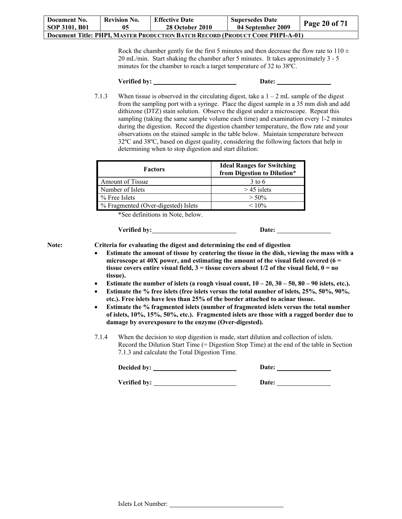| Document No.                                                                         | <b>Revision No.</b> | <b>Effective Date</b>  | <b>Supersedes Date</b> |               |
|--------------------------------------------------------------------------------------|---------------------|------------------------|------------------------|---------------|
| SOP 3101, B01                                                                        |                     | <b>28 October 2010</b> | 04 September 2009      | Page 20 of 71 |
| <b>Document Title: PHPI, MASTER PRODUCTION BATCH RECORD (PRODUCT CODE PHPI-A-01)</b> |                     |                        |                        |               |

Rock the chamber gently for the first 5 minutes and then decrease the flow rate to  $110 \pm$ 20 mL/min. Start shaking the chamber after 5 minutes. It takes approximately 3 - 5 minutes for the chamber to reach a target temperature of 32 to 38ºC.

**Verified by: Date:** 

7.1.3 When tissue is observed in the circulating digest, take a  $1 - 2$  mL sample of the digest from the sampling port with a syringe. Place the digest sample in a 35 mm dish and add dithizone (DTZ) stain solution. Observe the digest under a microscope. Repeat this sampling (taking the same sample volume each time) and examination every 1-2 minutes during the digestion. Record the digestion chamber temperature, the flow rate and your observations on the stained sample in the table below. Maintain temperature between 32ºC and 38ºC, based on digest quality, considering the following factors that help in determining when to stop digestion and start dilution:

| <b>Factors</b>                      | <b>Ideal Ranges for Switching</b><br>from Digestion to Dilution* |
|-------------------------------------|------------------------------------------------------------------|
| <b>Amount of Tissue</b>             | $3$ to 6                                                         |
| Number of Islets                    | $>$ 45 islets                                                    |
| $%$ Free Islets                     | $> 50\%$                                                         |
| % Fragmented (Over-digested) Islets | $< 10\%$                                                         |

\*See definitions in Note, below.

Verified by: Date: Date:

**Note: Criteria for evaluating the digest and determining the end of digestion** 

- **Estimate the amount of tissue by centering the tissue in the dish, viewing the mass with a microscope at 40X power, and estimating the amount of the visual field covered (6 = tissue covers entire visual field,**  $3 =$  **tissue covers about 1/2 of the visual field,**  $0 =$  **no tissue).**
- **Estimate the number of islets (a rough visual count,**  $10 20$ **,**  $30 50$ **,**  $80 90$  **islets, etc.).**
- **Estimate the % free islets (free islets versus the total number of islets, 25%, 50%, 90%, etc.). Free islets have less than 25% of the border attached to acinar tissue.**
- **Estimate the % fragmented islets (number of fragmented islets versus the total number of islets, 10%, 15%, 50%, etc.). Fragmented islets are those with a ragged border due to damage by overexposure to the enzyme (Over-digested).**
- 7.1.4 When the decision to stop digestion is made, start dilution and collection of islets. Record the Dilution Start Time (= Digestion Stop Time) at the end of the table in Section 7.1.3 and calculate the Total Digestion Time.

| Decided by: | <b>Date:</b> |
|-------------|--------------|
|             |              |

Verified by: <u>Date:</u> Date: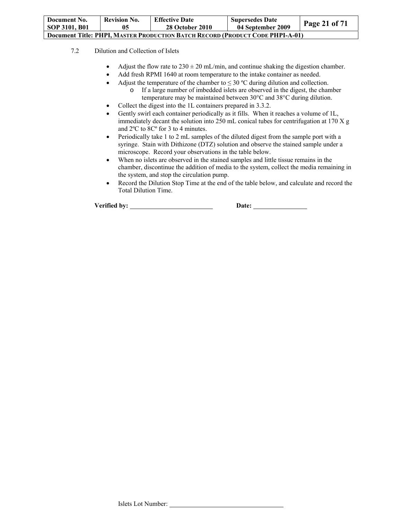| Document No.                                                                         | <b>Revision No.</b> | <b>Effective Date</b>  | <b>Supersedes Date</b> | Page 21 of $71$ |  |  |
|--------------------------------------------------------------------------------------|---------------------|------------------------|------------------------|-----------------|--|--|
| SOP 3101, B01                                                                        | 05                  | <b>28 October 2010</b> | 04 September 2009      |                 |  |  |
| <b>Document Title: PHPI, MASTER PRODUCTION BATCH RECORD (PRODUCT CODE PHPI-A-01)</b> |                     |                        |                        |                 |  |  |

### 7.2 Dilution and Collection of Islets

- Adjust the flow rate to  $230 \pm 20$  mL/min, and continue shaking the digestion chamber.
- Add fresh RPMI 1640 at room temperature to the intake container as needed.
	- Adjust the temperature of the chamber to  $\leq 30$  °C during dilution and collection. o If a large number of imbedded islets are observed in the digest, the chamber temperature may be maintained between 30°C and 38°C during dilution.
	-
- Collect the digest into the 1L containers prepared in 3.3.2.
- Gently swirl each container periodically as it fills. When it reaches a volume of 1L, immediately decant the solution into 250 mL conical tubes for centrifugation at 170  $X$  g and 2ºC to 8Cº for 3 to 4 minutes.
- Periodically take 1 to 2 mL samples of the diluted digest from the sample port with a syringe. Stain with Dithizone (DTZ) solution and observe the stained sample under a microscope. Record your observations in the table below.
- When no islets are observed in the stained samples and little tissue remains in the chamber, discontinue the addition of media to the system, collect the media remaining in the system, and stop the circulation pump.
- Record the Dilution Stop Time at the end of the table below, and calculate and record the Total Dilution Time.

Verified by: <u>Date:</u> Date: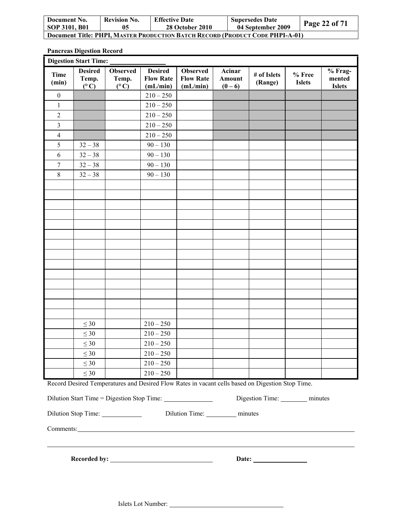| Document No.                                                                  | <b>Revision No.</b> | <b>Effective Date</b>  | <b>Supersedes Date</b> | Page 22 of 71 |  |  |
|-------------------------------------------------------------------------------|---------------------|------------------------|------------------------|---------------|--|--|
| SOP 3101, B01                                                                 | 05                  | <b>28 October 2010</b> | 04 September 2009      |               |  |  |
| Document Title: PHPI. MASTER PRODUCTION BATCH RECORD (PRODUCT CODE PHPI-A-01) |                     |                        |                        |               |  |  |

**Pancreas Digestion Record**

|                                                                        | <b>Digestion Start Time:</b>             |                                           |                                                |                                                         |                               |                                                                                                  |                         |                                    |
|------------------------------------------------------------------------|------------------------------------------|-------------------------------------------|------------------------------------------------|---------------------------------------------------------|-------------------------------|--------------------------------------------------------------------------------------------------|-------------------------|------------------------------------|
| <b>Time</b><br>(min)                                                   | <b>Desired</b><br>Temp.<br>$(^{\circ}C)$ | <b>Observed</b><br>Temp.<br>$(^{\circ}C)$ | <b>Desired</b><br><b>Flow Rate</b><br>(mL/min) | <b>Observed</b><br><b>Flow Rate</b><br>(mL/min)         | Acinar<br>Amount<br>$(0 - 6)$ | # of Islets<br>(Range)                                                                           | % Free<br><b>Islets</b> | % Frag-<br>mented<br><b>Islets</b> |
| $\boldsymbol{0}$                                                       |                                          |                                           | $210 - 250$                                    |                                                         |                               |                                                                                                  |                         |                                    |
| $\mathbf{1}$                                                           |                                          |                                           | $210 - 250$                                    |                                                         |                               |                                                                                                  |                         |                                    |
| $\overline{2}$                                                         |                                          |                                           | $210 - 250$                                    |                                                         |                               |                                                                                                  |                         |                                    |
| $\mathfrak{Z}$                                                         |                                          |                                           | $210 - 250$                                    |                                                         |                               |                                                                                                  |                         |                                    |
| 4                                                                      |                                          |                                           | $210 - 250$                                    |                                                         |                               |                                                                                                  |                         |                                    |
| 5                                                                      | $32 - 38$                                |                                           | $90 - 130$                                     |                                                         |                               |                                                                                                  |                         |                                    |
| 6                                                                      | $32 - 38$                                |                                           | $90 - 130$                                     |                                                         |                               |                                                                                                  |                         |                                    |
| $\boldsymbol{7}$                                                       | $32 - 38$                                |                                           | $90 - 130$                                     |                                                         |                               |                                                                                                  |                         |                                    |
| $8\,$                                                                  | $32 - 38$                                |                                           | $90 - 130$                                     |                                                         |                               |                                                                                                  |                         |                                    |
|                                                                        |                                          |                                           |                                                |                                                         |                               |                                                                                                  |                         |                                    |
|                                                                        |                                          |                                           |                                                |                                                         |                               |                                                                                                  |                         |                                    |
|                                                                        |                                          |                                           |                                                |                                                         |                               |                                                                                                  |                         |                                    |
|                                                                        |                                          |                                           |                                                |                                                         |                               |                                                                                                  |                         |                                    |
|                                                                        |                                          |                                           |                                                |                                                         |                               |                                                                                                  |                         |                                    |
|                                                                        |                                          |                                           |                                                |                                                         |                               |                                                                                                  |                         |                                    |
|                                                                        |                                          |                                           |                                                |                                                         |                               |                                                                                                  |                         |                                    |
|                                                                        |                                          |                                           |                                                |                                                         |                               |                                                                                                  |                         |                                    |
|                                                                        |                                          |                                           |                                                |                                                         |                               |                                                                                                  |                         |                                    |
|                                                                        |                                          |                                           |                                                |                                                         |                               |                                                                                                  |                         |                                    |
|                                                                        |                                          |                                           |                                                |                                                         |                               |                                                                                                  |                         |                                    |
|                                                                        |                                          |                                           |                                                |                                                         |                               |                                                                                                  |                         |                                    |
|                                                                        |                                          |                                           |                                                |                                                         |                               |                                                                                                  |                         |                                    |
|                                                                        |                                          |                                           |                                                |                                                         |                               |                                                                                                  |                         |                                    |
|                                                                        | $\leq 30$                                |                                           | $210 - 250$                                    |                                                         |                               |                                                                                                  |                         |                                    |
|                                                                        | $\leq 30$                                |                                           | $210 - 250$                                    |                                                         |                               |                                                                                                  |                         |                                    |
|                                                                        | $\leq 30$                                |                                           | $210 - 250$                                    |                                                         |                               |                                                                                                  |                         |                                    |
|                                                                        | $\leq 30$                                |                                           | $210 - 250$                                    |                                                         |                               |                                                                                                  |                         |                                    |
|                                                                        | $\leq 30$                                |                                           | $210 - 250$                                    |                                                         |                               |                                                                                                  |                         |                                    |
|                                                                        | $\leq 30$                                |                                           | $210 - 250$                                    |                                                         |                               |                                                                                                  |                         |                                    |
|                                                                        |                                          |                                           |                                                |                                                         |                               | Record Desired Temperatures and Desired Flow Rates in vacant cells based on Digestion Stop Time. |                         |                                    |
| Digestion Time: __________ minutes                                     |                                          |                                           |                                                |                                                         |                               |                                                                                                  |                         |                                    |
| Dilution Stop Time: ______________<br>Dilution Time: _________ minutes |                                          |                                           |                                                |                                                         |                               |                                                                                                  |                         |                                    |
|                                                                        |                                          |                                           |                                                | Comments: <u>Comments</u> Comments <b>Comments</b> 2014 |                               |                                                                                                  |                         |                                    |
|                                                                        |                                          |                                           |                                                |                                                         |                               |                                                                                                  |                         |                                    |
|                                                                        |                                          |                                           |                                                |                                                         |                               |                                                                                                  |                         |                                    |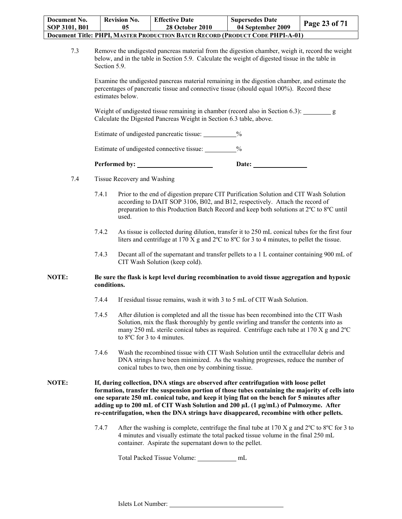| Document No.                                                                         | <b>Revision No.</b> | <b>Effective Date</b>  | <b>Supersedes Date</b> | Page 23 of 71 |  |  |
|--------------------------------------------------------------------------------------|---------------------|------------------------|------------------------|---------------|--|--|
| SOP 3101, B01                                                                        | 05                  | <b>28 October 2010</b> | 04 September 2009      |               |  |  |
| <b>Document Title: PHPI, MASTER PRODUCTION BATCH RECORD (PRODUCT CODE PHPI-A-01)</b> |                     |                        |                        |               |  |  |

7.3 Remove the undigested pancreas material from the digestion chamber, weigh it, record the weight below, and in the table in Section 5.9. Calculate the weight of digested tissue in the table in Section 5.9.

Examine the undigested pancreas material remaining in the digestion chamber, and estimate the percentages of pancreatic tissue and connective tissue (should equal 100%). Record these estimates below.

Weight of undigested tissue remaining in chamber (record also in Section 6.3): g Calculate the Digested Pancreas Weight in Section 6.3 table, above.

Estimate of undigested pancreatic tissue:  $\%$ 

Estimate of undigested connective tissue:  $\%$ 

Performed by: <u>Date:</u> Date:

- 7.4 Tissue Recovery and Washing
	- 7.4.1 Prior to the end of digestion prepare CIT Purification Solution and CIT Wash Solution according to DAIT SOP 3106, B02, and B12, respectively. Attach the record of preparation to this Production Batch Record and keep both solutions at 2ºC to 8ºC until used.
	- 7.4.2 As tissue is collected during dilution, transfer it to 250 mL conical tubes for the first four liters and centrifuge at 170 X g and 2ºC to 8ºC for 3 to 4 minutes, to pellet the tissue.
	- 7.4.3 Decant all of the supernatant and transfer pellets to a 1 L container containing 900 mL of CIT Wash Solution (keep cold).

#### **NOTE: Be sure the flask is kept level during recombination to avoid tissue aggregation and hypoxic conditions.**

- 7.4.4 If residual tissue remains, wash it with 3 to 5 mL of CIT Wash Solution.
- 7.4.5 After dilution is completed and all the tissue has been recombined into the CIT Wash Solution, mix the flask thoroughly by gentle swirling and transfer the contents into as many 250 mL sterile conical tubes as required. Centrifuge each tube at 170 X g and 2ºC to 8ºC for 3 to 4 minutes.
- 7.4.6 Wash the recombined tissue with CIT Wash Solution until the extracellular debris and DNA strings have been minimized. As the washing progresses, reduce the number of conical tubes to two, then one by combining tissue.

**NOTE: If, during collection, DNA stings are observed after centrifugation with loose pellet formation, transfer the suspension portion of those tubes containing the majority of cells into one separate 250 mL conical tube, and keep it lying flat on the bench for 5 minutes after adding up to 200 mL of CIT Wash Solution and 200 µL (1 μg/mL) of Pulmozyme. After re-centrifugation, when the DNA strings have disappeared, recombine with other pellets.** 

> 7.4.7 After the washing is complete, centrifuge the final tube at 170 X g and 2ºC to 8ºC for 3 to 4 minutes and visually estimate the total packed tissue volume in the final 250 mL container. Aspirate the supernatant down to the pellet.

Total Packed Tissue Volume: \_\_\_\_\_\_\_\_\_\_\_\_ mL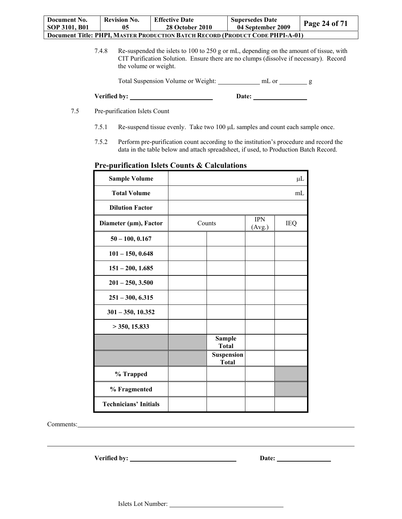| Document No.                                                                  | <b>Revision No.</b> | <b>Effective Date</b>  | <b>Supersedes Date</b> | <b>Page 24 of 71</b> |  |  |
|-------------------------------------------------------------------------------|---------------------|------------------------|------------------------|----------------------|--|--|
| SOP 3101, B01                                                                 | 05                  | <b>28 October 2010</b> | 04 September 2009      |                      |  |  |
| Document Title: PHPI, MASTER PRODUCTION BATCH RECORD (PRODUCT CODE PHPI-A-01) |                     |                        |                        |                      |  |  |

7.4.8 Re-suspended the islets to 100 to 250 g or mL, depending on the amount of tissue, with CIT Purification Solution. Ensure there are no clumps (dissolve if necessary). Record the volume or weight.

Total Suspension Volume or Weight: mL or g mL or g g

| Verified by: | <b>Date:</b> |
|--------------|--------------|
|--------------|--------------|

- 7.5 Pre-purification Islets Count
	- 7.5.1 Re-suspend tissue evenly. Take two 100 µL samples and count each sample once.
	- 7.5.2 Perform pre-purification count according to the institution's procedure and record the data in the table below and attach spreadsheet, if used, to Production Batch Record.

### **Pre-purification Islets Counts & Calculations**

| <b>Sample Volume</b>         |                                   |                      | $\mu$ L    |
|------------------------------|-----------------------------------|----------------------|------------|
| <b>Total Volume</b>          |                                   |                      | mL         |
| <b>Dilution Factor</b>       |                                   |                      |            |
| Diameter (µm), Factor        | Counts                            | <b>IPN</b><br>(Avg.) | <b>IEQ</b> |
| $50 - 100, 0.167$            |                                   |                      |            |
| $101 - 150, 0.648$           |                                   |                      |            |
| $151 - 200, 1.685$           |                                   |                      |            |
| $201 - 250, 3.500$           |                                   |                      |            |
| $251 - 300, 6.315$           |                                   |                      |            |
| $301 - 350, 10.352$          |                                   |                      |            |
| $>$ 350, 15.833              |                                   |                      |            |
|                              | <b>Sample</b><br><b>Total</b>     |                      |            |
|                              | <b>Suspension</b><br><b>Total</b> |                      |            |
| % Trapped                    |                                   |                      |            |
| % Fragmented                 |                                   |                      |            |
| <b>Technicians' Initials</b> |                                   |                      |            |

Comments: <u>comments:</u> comments: comments: comments: comments: comments: comments: comments: comments: comments: comments: comments: comments: comments: comments: comments: comments: comments: comments: comments: comments:

 $\overline{a}$ 

Verified by: <u>New York Chapter and Chapter and Chapter and Chapter and Chapter and Chapter and Chapter and Chapter and Chapter and Chapter and Chapter and Chapter and Chapter and Chapter and Chapter and Chapter and Chapter</u>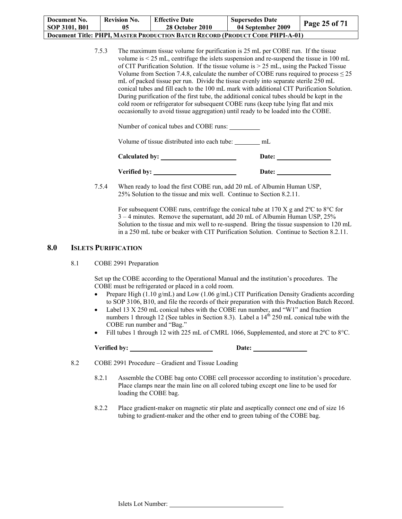| Document No.                                                                         | <b>Revision No.</b> | <b>Effective Date</b>  | <b>Supersedes Date</b> | <b>Page 25 of 71</b> |  |  |
|--------------------------------------------------------------------------------------|---------------------|------------------------|------------------------|----------------------|--|--|
| SOP 3101, B01                                                                        | 05                  | <b>28 October 2010</b> | 04 September 2009      |                      |  |  |
| <b>Document Title: PHPI, MASTER PRODUCTION BATCH RECORD (PRODUCT CODE PHPI-A-01)</b> |                     |                        |                        |                      |  |  |

7.5.3 The maximum tissue volume for purification is 25 mL per COBE run. If the tissue volume is < 25 mL, centrifuge the islets suspension and re-suspend the tissue in 100 mL of CIT Purification Solution. If the tissue volume is > 25 mL, using the Packed Tissue Volume from Section 7.4.8, calculate the number of COBE runs required to process  $\leq 25$ mL of packed tissue per run. Divide the tissue evenly into separate sterile 250 mL conical tubes and fill each to the 100 mL mark with additional CIT Purification Solution. During purification of the first tube, the additional conical tubes should be kept in the cold room or refrigerator for subsequent COBE runs (keep tube lying flat and mix occasionally to avoid tissue aggregation) until ready to be loaded into the COBE.

Number of conical tubes and COBE runs:

Volume of tissue distributed into each tube: mL

| Calculated by: | Date: |  |
|----------------|-------|--|
| Verified by:   | Date: |  |

7.5.4 When ready to load the first COBE run, add 20 mL of Albumin Human USP, 25% Solution to the tissue and mix well. Continue to Section 8.2.11.

> For subsequent COBE runs, centrifuge the conical tube at 170 X g and 2ºC to 8°C for 3 – 4 minutes. Remove the supernatant, add 20 mL of Albumin Human USP, 25% Solution to the tissue and mix well to re-suspend. Bring the tissue suspension to 120 mL in a 250 mL tube or beaker with CIT Purification Solution. Continue to Section 8.2.11.

### **8.0 ISLETS PURIFICATION**

8.1 COBE 2991 Preparation

Set up the COBE according to the Operational Manual and the institution's procedures. The COBE must be refrigerated or placed in a cold room.

- Prepare High (1.10 g/mL) and Low (1.06 g/mL) CIT Purification Density Gradients according to SOP 3106, B10, and file the records of their preparation with this Production Batch Record.
- Label 13 X 250 mL conical tubes with the COBE run number, and "W1" and fraction numbers 1 through 12 (See tables in Section 8.3). Label a  $14<sup>th</sup>$  250 mL conical tube with the COBE run number and "Bag."
- Fill tubes 1 through 12 with 225 mL of CMRL 1066, Supplemented, and store at 2°C to 8°C.

**Verified by: Date:** 

8.2 COBE 2991 Procedure – Gradient and Tissue Loading

- 8.2.1 Assemble the COBE bag onto COBE cell processor according to institution's procedure. Place clamps near the main line on all colored tubing except one line to be used for loading the COBE bag.
- 8.2.2 Place gradient-maker on magnetic stir plate and aseptically connect one end of size 16 tubing to gradient-maker and the other end to green tubing of the COBE bag.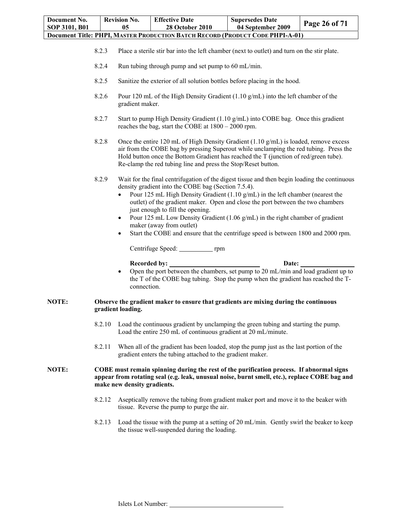| Document No.<br>SOP 3101, B01 |        | <b>Revision No.</b><br>05                       | <b>Effective Date</b><br><b>28 October 2010</b>                                                                                                                                                                                                                                                                                                                                                                                                                                                                                                                          | <b>Supersedes Date</b><br>04 September 2009 | Page 26 of 71 |  |  |  |
|-------------------------------|--------|-------------------------------------------------|--------------------------------------------------------------------------------------------------------------------------------------------------------------------------------------------------------------------------------------------------------------------------------------------------------------------------------------------------------------------------------------------------------------------------------------------------------------------------------------------------------------------------------------------------------------------------|---------------------------------------------|---------------|--|--|--|
|                               |        |                                                 | Document Title: PHPI, MASTER PRODUCTION BATCH RECORD (PRODUCT CODE PHPI-A-01)                                                                                                                                                                                                                                                                                                                                                                                                                                                                                            |                                             |               |  |  |  |
|                               | 8.2.3  |                                                 | Place a sterile stir bar into the left chamber (next to outlet) and turn on the stir plate.                                                                                                                                                                                                                                                                                                                                                                                                                                                                              |                                             |               |  |  |  |
|                               | 8.2.4  |                                                 | Run tubing through pump and set pump to 60 mL/min.                                                                                                                                                                                                                                                                                                                                                                                                                                                                                                                       |                                             |               |  |  |  |
|                               | 8.2.5  |                                                 | Sanitize the exterior of all solution bottles before placing in the hood.                                                                                                                                                                                                                                                                                                                                                                                                                                                                                                |                                             |               |  |  |  |
|                               | 8.2.6  |                                                 | Pour 120 mL of the High Density Gradient $(1.10 \text{ g/mL})$ into the left chamber of the<br>gradient maker.                                                                                                                                                                                                                                                                                                                                                                                                                                                           |                                             |               |  |  |  |
|                               | 8.2.7  |                                                 | Start to pump High Density Gradient (1.10 g/mL) into COBE bag. Once this gradient<br>reaches the bag, start the COBE at $1800 - 2000$ rpm.                                                                                                                                                                                                                                                                                                                                                                                                                               |                                             |               |  |  |  |
|                               | 8.2.8  |                                                 | Once the entire 120 mL of High Density Gradient $(1.10 \text{ g/mL})$ is loaded, remove excess<br>air from the COBE bag by pressing Superout while unclamping the red tubing. Press the<br>Hold button once the Bottom Gradient has reached the T (junction of red/green tube).<br>Re-clamp the red tubing line and press the Stop/Reset button.                                                                                                                                                                                                                         |                                             |               |  |  |  |
|                               | 8.2.9  | $\bullet$<br>٠<br>$\bullet$                     | Wait for the final centrifugation of the digest tissue and then begin loading the continuous<br>density gradient into the COBE bag (Section 7.5.4).<br>Pour 125 mL High Density Gradient $(1.10 \text{ g/mL})$ in the left chamber (nearest the<br>outlet) of the gradient maker. Open and close the port between the two chambers<br>just enough to fill the opening.<br>Pour 125 mL Low Density Gradient (1.06 g/mL) in the right chamber of gradient<br>maker (away from outlet)<br>Start the COBE and ensure that the centrifuge speed is between 1800 and 2000 rpm. |                                             |               |  |  |  |
|                               |        |                                                 |                                                                                                                                                                                                                                                                                                                                                                                                                                                                                                                                                                          |                                             |               |  |  |  |
|                               |        | <b>Recorded by:</b><br>$\bullet$<br>connection. | Open the port between the chambers, set pump to 20 mL/min and load gradient up to<br>the T of the COBE bag tubing. Stop the pump when the gradient has reached the T-                                                                                                                                                                                                                                                                                                                                                                                                    | Date:                                       |               |  |  |  |
| NOTE:                         |        | gradient loading.                               | Observe the gradient maker to ensure that gradients are mixing during the continuous                                                                                                                                                                                                                                                                                                                                                                                                                                                                                     |                                             |               |  |  |  |
|                               | 8.2.10 |                                                 | Load the continuous gradient by unclamping the green tubing and starting the pump.<br>Load the entire 250 mL of continuous gradient at 20 mL/minute.                                                                                                                                                                                                                                                                                                                                                                                                                     |                                             |               |  |  |  |
|                               | 8.2.11 |                                                 | When all of the gradient has been loaded, stop the pump just as the last portion of the<br>gradient enters the tubing attached to the gradient maker.                                                                                                                                                                                                                                                                                                                                                                                                                    |                                             |               |  |  |  |
| NOTE:                         |        | make new density gradients.                     | COBE must remain spinning during the rest of the purification process. If abnormal signs<br>appear from rotating seal (e.g. leak, unusual noise, burnt smell, etc.), replace COBE bag and                                                                                                                                                                                                                                                                                                                                                                                |                                             |               |  |  |  |
|                               | 8.2.12 |                                                 | Aseptically remove the tubing from gradient maker port and move it to the beaker with<br>tissue. Reverse the pump to purge the air.                                                                                                                                                                                                                                                                                                                                                                                                                                      |                                             |               |  |  |  |
|                               | 8.2.13 |                                                 | Load the tissue with the pump at a setting of 20 mL/min. Gently swirl the beaker to keep<br>the tissue well-suspended during the loading.                                                                                                                                                                                                                                                                                                                                                                                                                                |                                             |               |  |  |  |
|                               |        |                                                 |                                                                                                                                                                                                                                                                                                                                                                                                                                                                                                                                                                          |                                             |               |  |  |  |

J.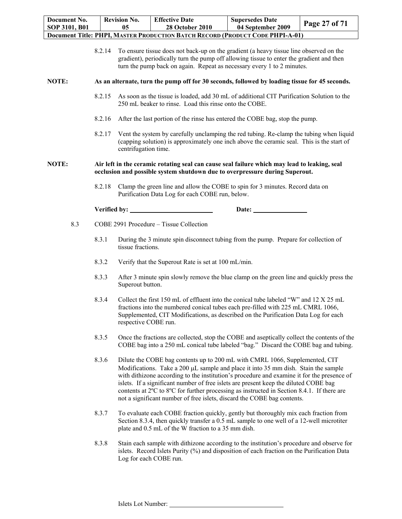| Document No.  |        | <b>Revision No.</b>  | <b>Effective Date</b>                                                                                                                                                                                                                                                                                                                                                                                                                                                                                                            | <b>Supersedes Date</b> | Page 27 of 71 |
|---------------|--------|----------------------|----------------------------------------------------------------------------------------------------------------------------------------------------------------------------------------------------------------------------------------------------------------------------------------------------------------------------------------------------------------------------------------------------------------------------------------------------------------------------------------------------------------------------------|------------------------|---------------|
| SOP 3101, B01 |        | 05                   | <b>28 October 2010</b><br>Document Title: PHPI, MASTER PRODUCTION BATCH RECORD (PRODUCT CODE PHPI-A-01)                                                                                                                                                                                                                                                                                                                                                                                                                          | 04 September 2009      |               |
|               |        |                      |                                                                                                                                                                                                                                                                                                                                                                                                                                                                                                                                  |                        |               |
|               | 8.2.14 |                      | To ensure tissue does not back-up on the gradient (a heavy tissue line observed on the<br>gradient), periodically turn the pump off allowing tissue to enter the gradient and then<br>turn the pump back on again. Repeat as necessary every 1 to 2 minutes.                                                                                                                                                                                                                                                                     |                        |               |
| NOTE:         |        |                      | As an alternate, turn the pump off for 30 seconds, followed by loading tissue for 45 seconds.                                                                                                                                                                                                                                                                                                                                                                                                                                    |                        |               |
|               | 8.2.15 |                      | As soon as the tissue is loaded, add 30 mL of additional CIT Purification Solution to the<br>250 mL beaker to rinse. Load this rinse onto the COBE.                                                                                                                                                                                                                                                                                                                                                                              |                        |               |
|               | 8.2.16 |                      | After the last portion of the rinse has entered the COBE bag, stop the pump.                                                                                                                                                                                                                                                                                                                                                                                                                                                     |                        |               |
|               | 8.2.17 | centrifugation time. | Vent the system by carefully unclamping the red tubing. Re-clamp the tubing when liquid<br>(capping solution) is approximately one inch above the ceramic seal. This is the start of                                                                                                                                                                                                                                                                                                                                             |                        |               |
| NOTE:         |        |                      | Air left in the ceramic rotating seal can cause seal failure which may lead to leaking, seal<br>occlusion and possible system shutdown due to overpressure during Superout.                                                                                                                                                                                                                                                                                                                                                      |                        |               |
|               | 8.2.18 |                      | Clamp the green line and allow the COBE to spin for 3 minutes. Record data on<br>Purification Data Log for each COBE run, below.                                                                                                                                                                                                                                                                                                                                                                                                 |                        |               |
|               |        |                      |                                                                                                                                                                                                                                                                                                                                                                                                                                                                                                                                  | Date:                  |               |
| 8.3           |        |                      | COBE 2991 Procedure - Tissue Collection                                                                                                                                                                                                                                                                                                                                                                                                                                                                                          |                        |               |
|               | 8.3.1  | tissue fractions.    | During the 3 minute spin disconnect tubing from the pump. Prepare for collection of                                                                                                                                                                                                                                                                                                                                                                                                                                              |                        |               |
|               | 8.3.2  |                      | Verify that the Superout Rate is set at 100 mL/min.                                                                                                                                                                                                                                                                                                                                                                                                                                                                              |                        |               |
|               | 8.3.3  | Superout button.     | After 3 minute spin slowly remove the blue clamp on the green line and quickly press the                                                                                                                                                                                                                                                                                                                                                                                                                                         |                        |               |
|               | 8.3.4  | respective COBE run. | Collect the first 150 mL of effluent into the conical tube labeled "W" and 12 X 25 mL<br>fractions into the numbered conical tubes each pre-filled with 225 mL CMRL 1066,<br>Supplemented, CIT Modifications, as described on the Purification Data Log for each                                                                                                                                                                                                                                                                 |                        |               |
|               | 8.3.5  |                      | Once the fractions are collected, stop the COBE and aseptically collect the contents of the<br>COBE bag into a 250 mL conical tube labeled "bag." Discard the COBE bag and tubing.                                                                                                                                                                                                                                                                                                                                               |                        |               |
|               | 8.3.6  |                      | Dilute the COBE bag contents up to 200 mL with CMRL 1066, Supplemented, CIT<br>Modifications. Take a 200 µL sample and place it into 35 mm dish. Stain the sample<br>with dithizone according to the institution's procedure and examine it for the presence of<br>islets. If a significant number of free islets are present keep the diluted COBE bag<br>contents at 2°C to 8°C for further processing as instructed in Section 8.4.1. If there are<br>not a significant number of free islets, discard the COBE bag contents. |                        |               |
|               | 8.3.7  |                      | To evaluate each COBE fraction quickly, gently but thoroughly mix each fraction from<br>Section 8.3.4, then quickly transfer a 0.5 mL sample to one well of a 12-well microtiter<br>plate and 0.5 mL of the W fraction to a 35 mm dish.                                                                                                                                                                                                                                                                                          |                        |               |
|               | 8.3.8  |                      | Stain each sample with dithizone according to the institution's procedure and observe for<br>islets. Record Islets Purity (%) and disposition of each fraction on the Purification Data<br>Log for each COBE run.                                                                                                                                                                                                                                                                                                                |                        |               |

J.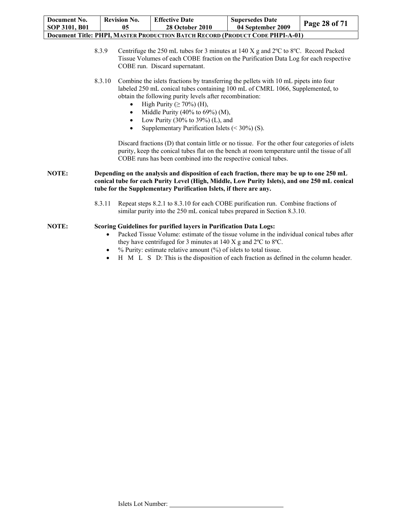| <b>Document Title: PHPI, MASTER PRODUCTION BATCH RECORD (PRODUCT CODE PHPI-A-01)</b><br>Centrifuge the 250 mL tubes for 3 minutes at 140 X g and $2^{\circ}$ C to $8^{\circ}$ C. Record Packed<br>8.3.9<br>Tissue Volumes of each COBE fraction on the Purification Data Log for each respective<br>COBE run. Discard supernatant.<br>Combine the islets fractions by transferring the pellets with 10 mL pipets into four<br>8.3.10<br>labeled 250 mL conical tubes containing 100 mL of CMRL 1066, Supplemented, to<br>obtain the following purity levels after recombination:<br>High Purity ( $\geq 70\%$ ) (H),<br>Middle Purity (40% to 69%) (M),<br>$\bullet$<br>Low Purity (30% to 39%) (L), and<br>Supplementary Purification Islets $(< 30\%$ ) (S).<br>$\bullet$ | Document No.<br>SOP 3101, B01 | <b>Revision No.</b><br>05 | <b>Effective Date</b><br>28 October 2010 | <b>Supersedes Date</b><br>04 September 2009 | Page 28 of 71 |
|-----------------------------------------------------------------------------------------------------------------------------------------------------------------------------------------------------------------------------------------------------------------------------------------------------------------------------------------------------------------------------------------------------------------------------------------------------------------------------------------------------------------------------------------------------------------------------------------------------------------------------------------------------------------------------------------------------------------------------------------------------------------------------|-------------------------------|---------------------------|------------------------------------------|---------------------------------------------|---------------|
|                                                                                                                                                                                                                                                                                                                                                                                                                                                                                                                                                                                                                                                                                                                                                                             |                               |                           |                                          |                                             |               |
|                                                                                                                                                                                                                                                                                                                                                                                                                                                                                                                                                                                                                                                                                                                                                                             |                               |                           |                                          |                                             |               |
|                                                                                                                                                                                                                                                                                                                                                                                                                                                                                                                                                                                                                                                                                                                                                                             |                               |                           |                                          |                                             |               |

 $\cos(D)$  that contain little or no tissue. For the other four categories of islets purity, keep the conical tubes flat on the bench at room temperature until the tissue of all COBE runs has been combined into the respective conical tubes.

**NOTE: Depending on the analysis and disposition of each fraction, there may be up to one 250 mL conical tube for each Purity Level (High, Middle, Low Purity Islets), and one 250 mL conical tube for the Supplementary Purification Islets, if there are any.** 

> 8.3.11 Repeat steps 8.2.1 to 8.3.10 for each COBE purification run. Combine fractions of similar purity into the 250 mL conical tubes prepared in Section 8.3.10.

#### **NOTE: Scoring Guidelines for purified layers in Purification Data Logs:**

- Packed Tissue Volume: estimate of the tissue volume in the individual conical tubes after they have centrifuged for 3 minutes at 140 X g and 2ºC to 8ºC.
- % Purity: estimate relative amount (%) of islets to total tissue.
- H M L S D: This is the disposition of each fraction as defined in the column header.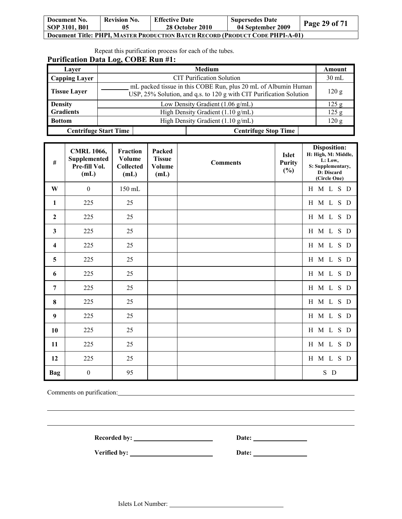| Document No.  | <b>Revision No.</b> | <b>Effective Date</b>                                                         | <b>Supersedes Date</b> | Page 29 of 71 |
|---------------|---------------------|-------------------------------------------------------------------------------|------------------------|---------------|
| SOP 3101, B01 | 05                  | <b>28 October 2010</b>                                                        | 04 September 2009      |               |
|               |                     | Document Title: PHPI, MASTER PRODUCTION BATCH RECORD (PRODUCT CODE PHPI-A-01) |                        |               |

Repeat this purification process for each of the tubes.

| Laver                |                                                                                                                                       | <b>Medium</b>               | Amount |  |
|----------------------|---------------------------------------------------------------------------------------------------------------------------------------|-----------------------------|--------|--|
| <b>Capping Layer</b> | <b>CIT Purification Solution</b>                                                                                                      |                             |        |  |
| <b>Tissue Layer</b>  | mL packed tissue in this COBE Run, plus 20 mL of Albumin Human<br>USP, 25% Solution, and q.s. to 120 g with CIT Purification Solution |                             |        |  |
| <b>Density</b>       | Low Density Gradient (1.06 g/mL)                                                                                                      |                             |        |  |
| <b>Gradients</b>     | High Density Gradient (1.10 g/mL)                                                                                                     |                             | 125 g  |  |
| <b>Bottom</b>        | High Density Gradient (1.10 g/mL)                                                                                                     |                             | 120 g  |  |
|                      | <b>Centrifuge Start Time</b>                                                                                                          | <b>Centrifuge Stop Time</b> |        |  |

| $\#$                    | <b>CMRL 1066,</b><br><b>Supplemented</b><br>Pre-fill Vol.<br>(mL) | <b>Fraction</b><br><b>Volume</b><br><b>Collected</b><br>(mL) | Packed<br><b>Tissue</b><br><b>Volume</b><br>(mL) | <b>Comments</b> | <b>Islet</b><br><b>Purity</b><br>$(\%)$ | Disposition:<br>H: High, M: Middle,<br>L: Low,<br>S: Supplementary,<br>D: Discard<br>(Circle One) |
|-------------------------|-------------------------------------------------------------------|--------------------------------------------------------------|--------------------------------------------------|-----------------|-----------------------------------------|---------------------------------------------------------------------------------------------------|
| W                       | $\boldsymbol{0}$                                                  | 150 mL                                                       |                                                  |                 |                                         | H M L S D                                                                                         |
| $\mathbf{1}$            | 225                                                               | 25                                                           |                                                  |                 |                                         | H M L<br>S D                                                                                      |
| $\mathbf{2}$            | 225                                                               | 25                                                           |                                                  |                 |                                         | H M L S D                                                                                         |
| $\mathbf{3}$            | 225                                                               | 25                                                           |                                                  |                 |                                         | H M L S D                                                                                         |
| $\overline{\mathbf{4}}$ | 225                                                               | 25                                                           |                                                  |                 |                                         | H M L S D                                                                                         |
| 5                       | 225                                                               | 25                                                           |                                                  |                 |                                         | H M L<br>S D                                                                                      |
| 6                       | 225                                                               | 25                                                           |                                                  |                 |                                         | H M L S D                                                                                         |
| 7                       | 225                                                               | 25                                                           |                                                  |                 |                                         | H M L<br>S D                                                                                      |
| $\bf{8}$                | 225                                                               | 25                                                           |                                                  |                 |                                         | H M L S D                                                                                         |
| 9                       | 225                                                               | 25                                                           |                                                  |                 |                                         | H M L S D                                                                                         |
| 10                      | 225                                                               | 25                                                           |                                                  |                 |                                         | H M L S D                                                                                         |
| 11                      | 225                                                               | 25                                                           |                                                  |                 |                                         | H M L S D                                                                                         |
| 12                      | 225                                                               | 25                                                           |                                                  |                 |                                         | M L S D<br>H                                                                                      |
| <b>Bag</b>              | $\boldsymbol{0}$                                                  | 95                                                           |                                                  |                 |                                         | S D                                                                                               |

Comments on purification: Comments on purification:

 $\overline{a}$ 

**Recorded by: Date:** 

**Verified by:** <u>Date:</u> Date: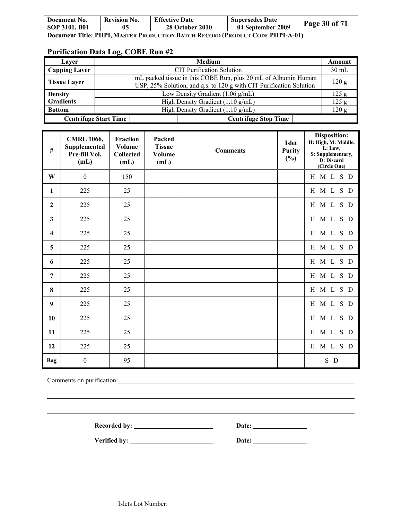| Document No.                                                                  | <b>Revision No.</b> | <b>Effective Date</b> | <b>Supersedes Date</b> | Page 30 of 71 |  |
|-------------------------------------------------------------------------------|---------------------|-----------------------|------------------------|---------------|--|
| <b>SOP 3101, B01</b>                                                          | 05                  | 28 October 2010       | 04 September 2009      |               |  |
| Document Title: PHPI. MASTER PRODUCTION BATCH RECORD (PRODUCT CODE PHPI-A-01) |                     |                       |                        |               |  |

| Laver                | Medium                                                                                                                                | Amount          |  |  |
|----------------------|---------------------------------------------------------------------------------------------------------------------------------------|-----------------|--|--|
| <b>Capping Layer</b> | <b>CIT Purification Solution</b>                                                                                                      | $30 \text{ mL}$ |  |  |
| <b>Tissue Layer</b>  | mL packed tissue in this COBE Run, plus 20 mL of Albumin Human<br>USP, 25% Solution, and q.s. to 120 g with CIT Purification Solution | 120 g           |  |  |
| <b>Density</b>       | Low Density Gradient (1.06 g/mL)                                                                                                      |                 |  |  |
| <b>Gradients</b>     | High Density Gradient (1.10 g/mL)                                                                                                     |                 |  |  |
| <b>Bottom</b>        | High Density Gradient (1.10 g/mL)                                                                                                     |                 |  |  |
|                      | <b>Centrifuge Start Time</b><br><b>Centrifuge Stop Time</b>                                                                           |                 |  |  |

| #                       | <b>CMRL 1066,</b><br>Supplemented<br>Pre-fill Vol.<br>(mL) | Fraction<br>Volume<br><b>Collected</b><br>(mL) | Packed<br><b>Tissue</b><br>Volume<br>(mL) | <b>Comments</b> | <b>Islet</b><br><b>Purity</b><br>$(\%)$ | Disposition:<br>H: High, M: Middle,<br>L: Low,<br>S: Supplementary,<br>D: Discard<br>(Circle One) |
|-------------------------|------------------------------------------------------------|------------------------------------------------|-------------------------------------------|-----------------|-----------------------------------------|---------------------------------------------------------------------------------------------------|
| W                       | $\boldsymbol{0}$                                           | 150                                            |                                           |                 |                                         | H M L S D                                                                                         |
| $\mathbf{1}$            | 225                                                        | 25                                             |                                           |                 |                                         | H M L S D                                                                                         |
| $\overline{2}$          | 225                                                        | 25                                             |                                           |                 |                                         | H M L S D                                                                                         |
| $\mathbf{3}$            | 225                                                        | 25                                             |                                           |                 |                                         | H M L S D                                                                                         |
| $\overline{\mathbf{4}}$ | 225                                                        | 25                                             |                                           |                 |                                         | H M L S D                                                                                         |
| 5                       | 225                                                        | 25                                             |                                           |                 |                                         | H M L S D                                                                                         |
| 6                       | 225                                                        | 25                                             |                                           |                 |                                         | H M L S D                                                                                         |
| $\overline{7}$          | 225                                                        | 25                                             |                                           |                 |                                         | H M L S D                                                                                         |
| 8                       | 225                                                        | 25                                             |                                           |                 |                                         | H M L S D                                                                                         |
| $\boldsymbol{9}$        | 225                                                        | 25                                             |                                           |                 |                                         | H M L S D                                                                                         |
| 10                      | 225                                                        | 25                                             |                                           |                 |                                         | H M L S D                                                                                         |
| 11                      | 225                                                        | 25                                             |                                           |                 |                                         | H M L<br>S D                                                                                      |
| 12                      | 225                                                        | 25                                             |                                           |                 |                                         | H M L S D                                                                                         |
| Bag                     | $\boldsymbol{0}$                                           | 95                                             |                                           |                 |                                         | S D                                                                                               |

Comments on purification: Comments on purification:

 $\overline{a}$ 

Recorded by: <u>Necorded by:</u> Date: <u>Necorded by:</u> Date: <u>Necorded by:</u> 2014.

 $\overline{\phantom{a}}$ 

**Verified by: Date:**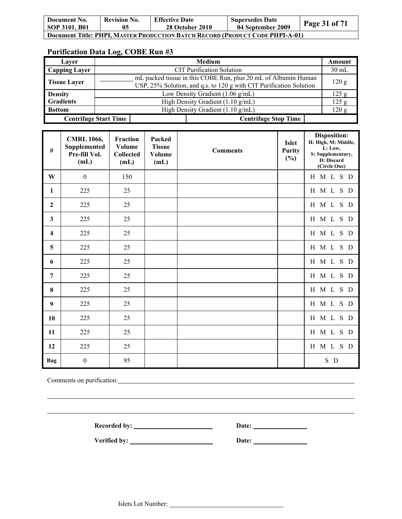| Document No.                                                                         | <b>Revision No.</b> | <b>Effective Date</b> | <b>Supersedes Date</b> | Page 31 of 71 |  |  |
|--------------------------------------------------------------------------------------|---------------------|-----------------------|------------------------|---------------|--|--|
| <b>SOP 3101, B01</b>                                                                 | 05                  | 28 October 2010       | 04 September 2009      |               |  |  |
| <b>Document Title: PHPI, MASTER PRODUCTION BATCH RECORD (PRODUCT CODE PHPI-A-01)</b> |                     |                       |                        |               |  |  |

| Laver                | Medium                                                                                                                                | Amount  |  |  |
|----------------------|---------------------------------------------------------------------------------------------------------------------------------------|---------|--|--|
| <b>Capping Layer</b> | <b>CIT Purification Solution</b>                                                                                                      | $30$ mL |  |  |
| <b>Tissue Layer</b>  | mL packed tissue in this COBE Run, plus 20 mL of Albumin Human<br>USP, 25% Solution, and q.s. to 120 g with CIT Purification Solution | 120 g   |  |  |
| <b>Density</b>       | Low Density Gradient $(1.06 \text{ g/mL})$                                                                                            |         |  |  |
| <b>Gradients</b>     | High Density Gradient (1.10 g/mL)                                                                                                     |         |  |  |
| <b>Bottom</b>        | High Density Gradient (1.10 g/mL)                                                                                                     |         |  |  |
|                      | <b>Centrifuge Stop Time</b><br><b>Centrifuge Start Time</b>                                                                           |         |  |  |

| $\#$           | <b>CMRL 1066,</b><br>Supplemented<br>Pre-fill Vol.<br>(mL) | Fraction<br>Volume<br>Collected<br>(mL) | Packed<br><b>Tissue</b><br>Volume<br>(mL) | <b>Comments</b> | <b>Islet</b><br><b>Purity</b><br>$(\%)$ | <b>Disposition:</b><br>H: High, M: Middle,<br>L: Low,<br>S: Supplementary,<br>D: Discard<br>(Circle One) |
|----------------|------------------------------------------------------------|-----------------------------------------|-------------------------------------------|-----------------|-----------------------------------------|----------------------------------------------------------------------------------------------------------|
| W              | $\boldsymbol{0}$                                           | 150                                     |                                           |                 |                                         | H M L S D                                                                                                |
| $\mathbf{1}$   | 225                                                        | 25                                      |                                           |                 |                                         | H M L S D                                                                                                |
| $\mathbf{2}$   | 225                                                        | 25                                      |                                           |                 |                                         | H M L S D                                                                                                |
| $\mathbf{3}$   | 225                                                        | 25                                      |                                           |                 |                                         | H M L S D                                                                                                |
| 4              | 225                                                        | 25                                      |                                           |                 |                                         | H M L S D                                                                                                |
| 5              | 225                                                        | 25                                      |                                           |                 |                                         | H M L S D                                                                                                |
| 6              | 225                                                        | 25                                      |                                           |                 |                                         | H M L S D                                                                                                |
| $\overline{7}$ | 225                                                        | 25                                      |                                           |                 |                                         | H M L S D                                                                                                |
| 8              | 225                                                        | 25                                      |                                           |                 |                                         | H M L S D                                                                                                |
| 9              | 225                                                        | 25                                      |                                           |                 |                                         | H M L S D                                                                                                |
| 10             | 225                                                        | 25                                      |                                           |                 |                                         | H M L S D                                                                                                |
| 11             | 225                                                        | 25                                      |                                           |                 |                                         | H M L S D                                                                                                |
| 12             | 225                                                        | 25                                      |                                           |                 |                                         | H M L S D                                                                                                |
| Bag            | $\boldsymbol{0}$                                           | 95                                      |                                           |                 |                                         | S D                                                                                                      |

Comments on purification:

 $\overline{a}$ 

Recorded by: <u>Necorded by:</u> Date: <u>Necorded by:</u> Date: <u>Necorded by:</u> 2014.

 $\overline{\phantom{a}}$ 

**Verified by: Date:**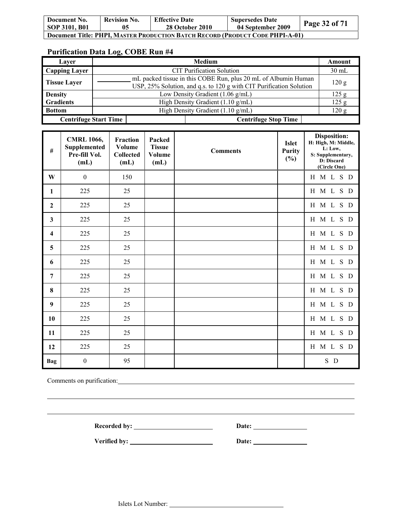| Document No.<br>SOP 3101, B01                                                        | <b>Revision No.</b> | <b>Effective Date</b><br><b>28 October 2010</b> | <b>Supersedes Date</b><br>04 September 2009 | Page 32 of 71 |  |
|--------------------------------------------------------------------------------------|---------------------|-------------------------------------------------|---------------------------------------------|---------------|--|
| <b>Document Title: PHPI, MASTER PRODUCTION BATCH RECORD (PRODUCT CODE PHPI-A-01)</b> |                     |                                                 |                                             |               |  |

| Laver                        | Medium                                                                                                                                |       |  |  |
|------------------------------|---------------------------------------------------------------------------------------------------------------------------------------|-------|--|--|
| <b>Capping Layer</b>         | <b>CIT Purification Solution</b>                                                                                                      |       |  |  |
| <b>Tissue Layer</b>          | mL packed tissue in this COBE Run, plus 20 mL of Albumin Human<br>USP, 25% Solution, and q.s. to 120 g with CIT Purification Solution | 120 g |  |  |
| <b>Density</b>               | Low Density Gradient (1.06 g/mL)                                                                                                      |       |  |  |
| <b>Gradients</b>             | High Density Gradient (1.10 g/mL)                                                                                                     | 125 g |  |  |
| <b>Bottom</b>                | High Density Gradient (1.10 g/mL)                                                                                                     |       |  |  |
| <b>Centrifuge Start Time</b> | <b>Centrifuge Stop Time</b>                                                                                                           |       |  |  |

| $\#$                    | <b>CMRL 1066,</b><br>Supplemented<br>Pre-fill Vol.<br>(mL) | <b>Fraction</b><br>Volume<br><b>Collected</b><br>(mL) | Packed<br><b>Tissue</b><br><b>Volume</b><br>(mL) | <b>Comments</b> | <b>Islet</b><br><b>Purity</b><br>$(\%)$ | Disposition:<br>H: High, M: Middle,<br>L: Low,<br>S: Supplementary,<br>D: Discard<br>(Circle One) |
|-------------------------|------------------------------------------------------------|-------------------------------------------------------|--------------------------------------------------|-----------------|-----------------------------------------|---------------------------------------------------------------------------------------------------|
| W                       | $\boldsymbol{0}$                                           | 150                                                   |                                                  |                 |                                         | H M L S D                                                                                         |
| 1                       | 225                                                        | 25                                                    |                                                  |                 |                                         | H M L S D                                                                                         |
| $\boldsymbol{2}$        | 225                                                        | 25                                                    |                                                  |                 |                                         | H M L S D                                                                                         |
| 3                       | 225                                                        | 25                                                    |                                                  |                 |                                         | H M L<br>S D                                                                                      |
| $\overline{\mathbf{4}}$ | 225                                                        | 25                                                    |                                                  |                 |                                         | H M L S D                                                                                         |
| 5                       | 225                                                        | 25                                                    |                                                  |                 |                                         | H M L<br>S D                                                                                      |
| 6                       | 225                                                        | 25                                                    |                                                  |                 |                                         | H M L S D                                                                                         |
| 7                       | 225                                                        | 25                                                    |                                                  |                 |                                         | H M L S D                                                                                         |
| 8                       | 225                                                        | 25                                                    |                                                  |                 |                                         | H M L S D                                                                                         |
| 9                       | 225                                                        | 25                                                    |                                                  |                 |                                         | H M L<br>S D                                                                                      |
| 10                      | 225                                                        | 25                                                    |                                                  |                 |                                         | H M L S D                                                                                         |
| 11                      | 225                                                        | 25                                                    |                                                  |                 |                                         | H M L<br>S D                                                                                      |
| 12                      | 225                                                        | 25                                                    |                                                  |                 |                                         | H M L S D                                                                                         |
| Bag                     | $\boldsymbol{0}$                                           | 95                                                    |                                                  |                 |                                         | S D                                                                                               |

Comments on purification: Comments on purification:

 $\overline{a}$ 

Recorded by: <u>Necorded by:</u> Date: <u>Necorded by:</u> 2014

 $\overline{\phantom{a}}$ 

**Verified by:** <u>Date: 2000 Date:</u> 2000 Date: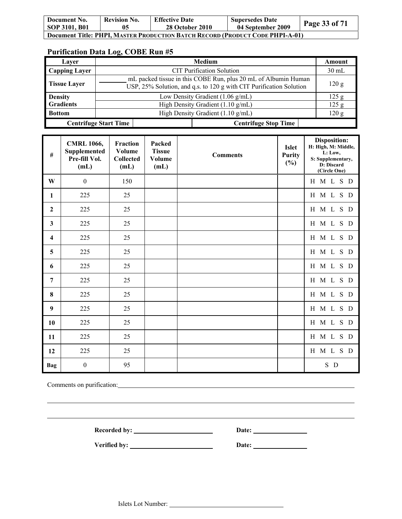| Document No.                                                                  | <b>Revision No.</b> | <b>Effective Date</b> | <b>Supersedes Date</b> | Page 33 of $71$ |  |
|-------------------------------------------------------------------------------|---------------------|-----------------------|------------------------|-----------------|--|
| SOP 3101, B01                                                                 | 05                  | 28 October 2010       | 04 September 2009      |                 |  |
| Document Title: PHPI, MASTER PRODUCTION BATCH RECORD (PRODUCT CODE PHPI-A-01) |                     |                       |                        |                 |  |

| Laver                |                                                                                                                                       | Medium                                      | Amount  |  |
|----------------------|---------------------------------------------------------------------------------------------------------------------------------------|---------------------------------------------|---------|--|
| <b>Capping Layer</b> |                                                                                                                                       | <b>CIT Purification Solution</b>            | $30$ mL |  |
| <b>Tissue Layer</b>  | mL packed tissue in this COBE Run, plus 20 mL of Albumin Human<br>USP, 25% Solution, and q.s. to 120 g with CIT Purification Solution |                                             |         |  |
| <b>Density</b>       |                                                                                                                                       | Low Density Gradient $(1.06 \text{ g/mL})$  |         |  |
| <b>Gradients</b>     |                                                                                                                                       | High Density Gradient (1.10 g/mL)           |         |  |
| <b>Bottom</b>        |                                                                                                                                       | High Density Gradient $(1.10 \text{ g/mL})$ | 120 g   |  |
|                      | <b>Centrifuge Start Time</b>                                                                                                          | <b>Centrifuge Stop Time</b>                 |         |  |

| $\#$                    | <b>CMRL 1066,</b><br><b>Supplemented</b><br>Pre-fill Vol.<br>(mL) | Fraction<br>Volume<br><b>Collected</b><br>(mL) | Packed<br><b>Tissue</b><br>Volume<br>(mL) | <b>Comments</b> | <b>Islet</b><br><b>Purity</b><br>$(\%)$ | <b>Disposition:</b><br>H: High, M: Middle,<br>L: Low,<br>S: Supplementary,<br>D: Discard<br>(Circle One) |
|-------------------------|-------------------------------------------------------------------|------------------------------------------------|-------------------------------------------|-----------------|-----------------------------------------|----------------------------------------------------------------------------------------------------------|
| W                       | $\boldsymbol{0}$                                                  | 150                                            |                                           |                 |                                         | H M L<br>S D                                                                                             |
| $\mathbf{1}$            | 225                                                               | 25                                             |                                           |                 |                                         | H M L S D                                                                                                |
| $\boldsymbol{2}$        | 225                                                               | 25                                             |                                           |                 |                                         | H M L<br>S D                                                                                             |
| $\mathbf{3}$            | 225                                                               | 25                                             |                                           |                 |                                         | H M L S D                                                                                                |
| $\overline{\mathbf{4}}$ | 225                                                               | 25                                             |                                           |                 |                                         | H M L<br>S D                                                                                             |
| 5                       | 225                                                               | 25                                             |                                           |                 |                                         | H M L S D                                                                                                |
| 6                       | 225                                                               | 25                                             |                                           |                 |                                         | H M L S D                                                                                                |
| $\overline{7}$          | 225                                                               | 25                                             |                                           |                 |                                         | H M L S D                                                                                                |
| 8                       | 225                                                               | 25                                             |                                           |                 |                                         | H M L S D                                                                                                |
| 9                       | 225                                                               | 25                                             |                                           |                 |                                         | H M L S D                                                                                                |
| 10                      | 225                                                               | 25                                             |                                           |                 |                                         | H M L S D                                                                                                |
| 11                      | 225                                                               | 25                                             |                                           |                 |                                         | H M L S D                                                                                                |
| 12                      | 225                                                               | 25                                             |                                           |                 |                                         | H M L S D                                                                                                |
| Bag                     | $\boldsymbol{0}$                                                  | 95                                             |                                           |                 |                                         | S D                                                                                                      |

Comments on purification: Comments on purification:

 $\overline{a}$ 

Recorded by: <u>Necorded by:</u> Date: <u>Necorded by:</u> 2014

Verified by: <u>New York Bate:</u> New York Date: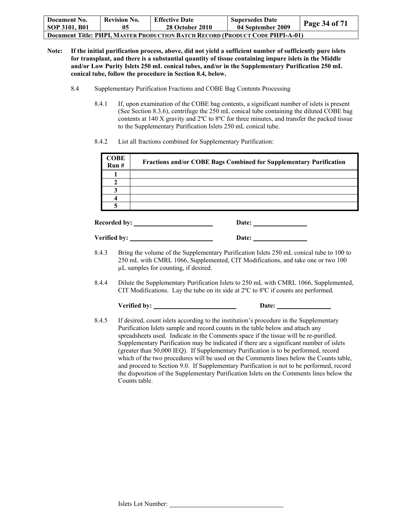| Document No.<br>SOP 3101, B01                                                 | <b>Revision No.</b> | <b>Effective Date</b><br><b>28 October 2010</b> | <b>Supersedes Date</b><br>04 September 2009 | <b>Page 34 of 71</b> |  |
|-------------------------------------------------------------------------------|---------------------|-------------------------------------------------|---------------------------------------------|----------------------|--|
| Document Title: PHPI, MASTER PRODUCTION BATCH RECORD (PRODUCT CODE PHPI-A-01) |                     |                                                 |                                             |                      |  |

- **Note: If the initial purification process, above, did not yield a sufficient number of sufficiently pure islets for transplant, and there is a substantial quantity of tissue containing impure islets in the Middle and/or Low Purity Islets 250 mL conical tubes, and/or in the Supplementary Purification 250 mL conical tube, follow the procedure in Section 8.4, below.**
	- 8.4 Supplementary Purification Fractions and COBE Bag Contents Processing
		- 8.4.1 If, upon examination of the COBE bag contents, a significant number of islets is present (See Section 8.3.6), centrifuge the 250 mL conical tube containing the diluted COBE bag contents at 140 X gravity and 2ºC to 8ºC for three minutes, and transfer the packed tissue to the Supplementary Purification Islets 250 mL conical tube.
		- 8.4.2 List all fractions combined for Supplementary Purification:

|       | <b>COBE</b><br>Run#                                | Fractions and/or COBE Bags Combined for Supplementary Purification                                                                                                                                                                                                                                                                                                                                                                                                  |
|-------|----------------------------------------------------|---------------------------------------------------------------------------------------------------------------------------------------------------------------------------------------------------------------------------------------------------------------------------------------------------------------------------------------------------------------------------------------------------------------------------------------------------------------------|
|       | $\mathbf{1}$                                       |                                                                                                                                                                                                                                                                                                                                                                                                                                                                     |
|       | $\overline{2}$                                     |                                                                                                                                                                                                                                                                                                                                                                                                                                                                     |
|       | $\overline{\mathbf{3}}$<br>$\overline{\mathbf{4}}$ |                                                                                                                                                                                                                                                                                                                                                                                                                                                                     |
|       | 5                                                  |                                                                                                                                                                                                                                                                                                                                                                                                                                                                     |
|       |                                                    |                                                                                                                                                                                                                                                                                                                                                                                                                                                                     |
|       |                                                    |                                                                                                                                                                                                                                                                                                                                                                                                                                                                     |
| 8.4.3 |                                                    | Bring the volume of the Supplementary Purification Islets 250 mL conical tube to 100 to<br>250 mL with CMRL 1066, Supplemented, CIT Modifications, and take one or two 100<br>µL samples for counting, if desired.                                                                                                                                                                                                                                                  |
| 8.4.4 |                                                    | Dilute the Supplementary Purification Islets to 250 mL with CMRL 1066, Supplemented,<br>CIT Modifications. Lay the tube on its side at $2^{\circ}C$ to $8^{\circ}C$ if counts are performed.                                                                                                                                                                                                                                                                        |
|       |                                                    | Date: $\qquad \qquad$                                                                                                                                                                                                                                                                                                                                                                                                                                               |
| 8.4.5 |                                                    | If desired, count islets according to the institution's procedure in the Supplementary<br>Purification Islets sample and record counts in the table below and attach any<br>spreadsheets used. Indicate in the Comments space if the tissue will be re-purified.<br>Supplementary Purification may be indicated if there are a significant number of islets<br>$(\alpha_{\text{reater}})$ than 50,000 IEO). If Supplementary Purification is to be performed record |

(greater than 50,000 IEQ). If Supplementary Purification is to be performed, record which of the two procedures will be used on the Comments lines below the Counts table, and proceed to Section 9.0. If Supplementary Purification is not to be performed, record the disposition of the Supplementary Purification Islets on the Comments lines below the Counts table.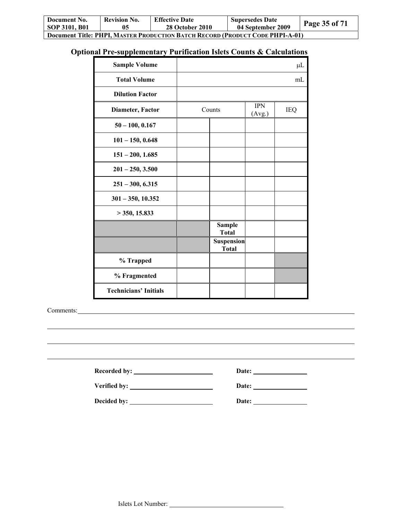| Document No.                                                                  | <b>Revision No.</b> | <b>Effective Date</b>  | <b>Supersedes Date</b> | Page 35 of 71 |  |  |
|-------------------------------------------------------------------------------|---------------------|------------------------|------------------------|---------------|--|--|
| SOP 3101, B01                                                                 | 05                  | <b>28 October 2010</b> | 04 September 2009      |               |  |  |
| Document Title: PHPI, MASTER PRODUCTION BATCH RECORD (PRODUCT CODE PHPI-A-01) |                     |                        |                        |               |  |  |

# **Optional Pre-supplementary Purification Islets Counts & Calculations**

| <b>Sample Volume</b>         |                                   |                      | $\mu$ L |
|------------------------------|-----------------------------------|----------------------|---------|
| <b>Total Volume</b>          |                                   |                      | mL      |
| <b>Dilution Factor</b>       |                                   |                      |         |
| Diameter, Factor             | Counts                            | <b>IPN</b><br>(Avg.) | IEQ     |
| $50 - 100, 0.167$            |                                   |                      |         |
| $101 - 150, 0.648$           |                                   |                      |         |
| $151 - 200, 1.685$           |                                   |                      |         |
| $201 - 250, 3.500$           |                                   |                      |         |
| $251 - 300, 6.315$           |                                   |                      |         |
| $301 - 350, 10.352$          |                                   |                      |         |
| $>$ 350, 15.833              |                                   |                      |         |
|                              | <b>Sample</b><br><b>Total</b>     |                      |         |
|                              | <b>Suspension</b><br><b>Total</b> |                      |         |
| % Trapped                    |                                   |                      |         |
| % Fragmented                 |                                   |                      |         |
| <b>Technicians' Initials</b> |                                   |                      |         |

Comments:

 $\overline{a}$ 

| <b>Recorded by:</b> | Date: |
|---------------------|-------|
| Verified by:        | Date: |
| Decided by:         | Date: |

 $\overline{\phantom{a}}$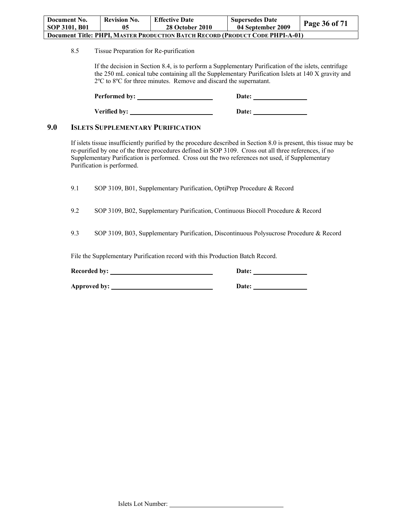| Document No.                                                                         | <b>Revision No.</b> | <b>Effective Date</b>  | <b>Supersedes Date</b> |               |  |  |
|--------------------------------------------------------------------------------------|---------------------|------------------------|------------------------|---------------|--|--|
| SOP 3101, B01                                                                        | 05                  | <b>28 October 2010</b> | 04 September 2009      | Page 36 of 71 |  |  |
| <b>Document Title: PHPI, MASTER PRODUCTION BATCH RECORD (PRODUCT CODE PHPI-A-01)</b> |                     |                        |                        |               |  |  |

8.5 Tissue Preparation for Re-purification

If the decision in Section 8.4, is to perform a Supplementary Purification of the islets, centrifuge the 250 mL conical tube containing all the Supplementary Purification Islets at 140 X gravity and 2ºC to 8ºC for three minutes. Remove and discard the supernatant.

Performed by: Date: Verified by: <u>Date:</u> Date:

## **9.0 ISLETS SUPPLEMENTARY PURIFICATION**

If islets tissue insufficiently purified by the procedure described in Section 8.0 is present, this tissue may be re-purified by one of the three procedures defined in SOP 3109. Cross out all three references, if no Supplementary Purification is performed. Cross out the two references not used, if Supplementary Purification is performed.

9.1 SOP 3109, B01, Supplementary Purification, OptiPrep Procedure & Record

9.2 SOP 3109, B02, Supplementary Purification, Continuous Biocoll Procedure & Record

9.3 SOP 3109, B03, Supplementary Purification, Discontinuous Polysucrose Procedure & Record

File the Supplementary Purification record with this Production Batch Record.

| <b>Recorded by:</b> | <b>Date:</b> |  |
|---------------------|--------------|--|
|                     |              |  |

**Approved by:** 2000 **Date:** 2000 **Date:** 2000 **Date:** 2000 **Date:** 2000 **Date:** 2000 **Date:** 2000 **Date:** 2000 **Date:** 2000 **Date:** 2000 **Date:** 2000 **Date:** 2000 **Date:** 2000 **Date:** 2000 **Date:** 2000 **Date:** 2000 **Date:**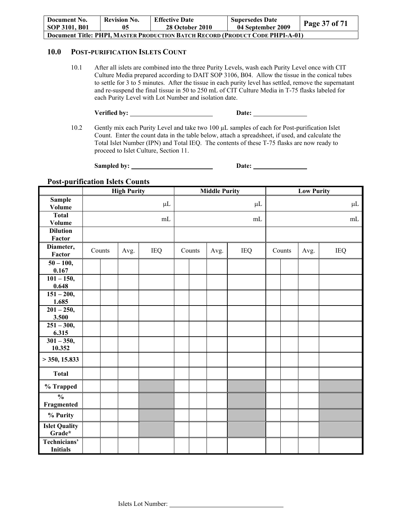| Document No.<br>SOP 3101, B01                                                 | <b>Revision No.</b> | <b>Effective Date</b><br><b>28 October 2010</b> | <b>Supersedes Date</b><br>04 September 2009 | <b>Page 37 of 71</b> |  |  |
|-------------------------------------------------------------------------------|---------------------|-------------------------------------------------|---------------------------------------------|----------------------|--|--|
| Document Title: PHPI. MASTER PRODUCTION BATCH RECORD (PRODUCT CODE PHPI-A-01) |                     |                                                 |                                             |                      |  |  |

#### **10.0 POST-PURIFICATION ISLETS COUNT**

10.1 After all islets are combined into the three Purity Levels, wash each Purity Level once with CIT Culture Media prepared according to DAIT SOP 3106, B04. Allow the tissue in the conical tubes to settle for 3 to 5 minutes. After the tissue in each purity level has settled, remove the supernatant and re-suspend the final tissue in 50 to 250 mL of CIT Culture Media in T-75 flasks labeled for each Purity Level with Lot Number and isolation date.

| Verified by: | Date: |
|--------------|-------|
|              |       |

10.2 Gently mix each Purity Level and take two 100  $\mu$ L samples of each for Post-purification Islet Count. Enter the count data in the table below, attach a spreadsheet, if used, and calculate the Total Islet Number (IPN) and Total IEQ. The contents of these T-75 flasks are now ready to proceed to Islet Culture, Section 11.

**Sampled by: Date:** 

#### **Post-purification Islets Counts**

|                                 | <b>High Purity</b> |  |      | <b>Middle Purity</b> |  |        | <b>Low Purity</b> |            |  |        |      |            |         |
|---------------------------------|--------------------|--|------|----------------------|--|--------|-------------------|------------|--|--------|------|------------|---------|
| <b>Sample</b>                   |                    |  |      | $\mu$ L              |  |        |                   | $\mu$ L    |  |        |      |            | $\mu$ L |
| <b>Volume</b>                   |                    |  |      |                      |  |        |                   |            |  |        |      |            |         |
| <b>Total</b><br><b>Volume</b>   |                    |  |      | mL                   |  |        |                   | mL         |  |        |      | $\rm mL$   |         |
| <b>Dilution</b>                 |                    |  |      |                      |  |        |                   |            |  |        |      |            |         |
| Factor                          |                    |  |      |                      |  |        |                   |            |  |        |      |            |         |
| Diameter,<br>Factor             | Counts             |  | Avg. | <b>IEQ</b>           |  | Counts | Avg.              | <b>IEQ</b> |  | Counts | Avg. | <b>IEQ</b> |         |
| $50 - 100,$                     |                    |  |      |                      |  |        |                   |            |  |        |      |            |         |
| 0.167                           |                    |  |      |                      |  |        |                   |            |  |        |      |            |         |
| $101 - 150,$<br>0.648           |                    |  |      |                      |  |        |                   |            |  |        |      |            |         |
| $\overline{151} - 200,$         |                    |  |      |                      |  |        |                   |            |  |        |      |            |         |
| 1.685                           |                    |  |      |                      |  |        |                   |            |  |        |      |            |         |
| $201 - 250,$                    |                    |  |      |                      |  |        |                   |            |  |        |      |            |         |
| 3.500                           |                    |  |      |                      |  |        |                   |            |  |        |      |            |         |
| $251 - 300,$                    |                    |  |      |                      |  |        |                   |            |  |        |      |            |         |
| 6.315                           |                    |  |      |                      |  |        |                   |            |  |        |      |            |         |
| $301 - 350,$<br>10.352          |                    |  |      |                      |  |        |                   |            |  |        |      |            |         |
| $>$ 350, 15.833                 |                    |  |      |                      |  |        |                   |            |  |        |      |            |         |
| <b>Total</b>                    |                    |  |      |                      |  |        |                   |            |  |        |      |            |         |
| % Trapped                       |                    |  |      |                      |  |        |                   |            |  |        |      |            |         |
| $\frac{0}{0}$<br>Fragmented     |                    |  |      |                      |  |        |                   |            |  |        |      |            |         |
| % Purity                        |                    |  |      |                      |  |        |                   |            |  |        |      |            |         |
| <b>Islet Quality</b><br>Grade*  |                    |  |      |                      |  |        |                   |            |  |        |      |            |         |
| Technicians'<br><b>Initials</b> |                    |  |      |                      |  |        |                   |            |  |        |      |            |         |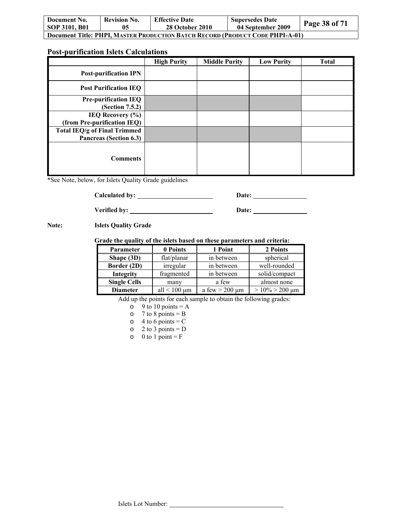| Document No.                                                                         | <b>Revision No.</b> | <b>Effective Date</b>  | <b>Supersedes Date</b> | <b>Page 38 of 71</b> |  |  |  |
|--------------------------------------------------------------------------------------|---------------------|------------------------|------------------------|----------------------|--|--|--|
| SOP 3101, B01                                                                        | 05                  | <b>28 October 2010</b> | 04 September 2009      |                      |  |  |  |
| <b>Document Title: PHPI, MASTER PRODUCTION BATCH RECORD (PRODUCT CODE PHPI-A-01)</b> |                     |                        |                        |                      |  |  |  |

## **Post-purification Islets Calculations**

|                              | <b>High Purity</b> | <b>Middle Purity</b> | <b>Low Purity</b> | <b>Total</b> |
|------------------------------|--------------------|----------------------|-------------------|--------------|
| <b>Post-purification IPN</b> |                    |                      |                   |              |
| <b>Post Purification IEO</b> |                    |                      |                   |              |
| <b>Pre-purification IEQ</b>  |                    |                      |                   |              |
| (Section 7.5.2)              |                    |                      |                   |              |
| IEQ Recovery $(\% )$         |                    |                      |                   |              |
| (from Pre-purification IEQ)  |                    |                      |                   |              |
| Total IEQ/g of Final Trimmed |                    |                      |                   |              |
| Pancreas (Section 6.3)       |                    |                      |                   |              |
| <b>Comments</b>              |                    |                      |                   |              |

\*See Note, below, for Islets Quality Grade guidelines

**Calculated by: Date:** 

Verified by: <u>Date:</u> Date:

**Note: Islets Quality Grade** 

#### **Grade the quality of the islets based on these parameters and criteria:**

| <b>Parameter</b>    | 0 Points          | 1 Point               | 2 Points                           |
|---------------------|-------------------|-----------------------|------------------------------------|
| Shape (3D)          | flat/planar       | in between            | spherical                          |
| Border (2D)         | irregular         | in between            | well-rounded                       |
| Integrity           | fragmented        | in between            | solid/compact                      |
| <b>Single Cells</b> | many              | a few                 | almost none                        |
| <b>Diameter</b>     | all $< 100 \mu m$ | a few $>$ 200 $\mu$ m | $> 10\% > 200 \text{ }\mu\text{m}$ |

Add up the points for each sample to obtain the following grades:

 $\circ$  9 to 10 points = A

 $\circ$  7 to 8 points = B

 $\circ$  4 to 6 points = C

 $\circ$  2 to 3 points = D

 $\circ$  0 to 1 point = F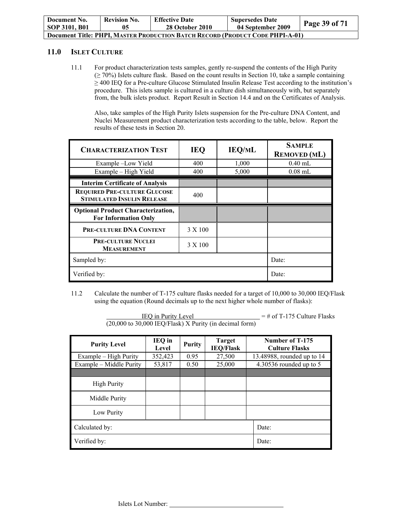| Document No.<br>SOP 3101, B01                                                 | <b>Revision No.</b> | <b>Effective Date</b><br><b>28 October 2010</b> | <b>Supersedes Date</b><br>04 September 2009 | Page 39 of 71 |  |  |
|-------------------------------------------------------------------------------|---------------------|-------------------------------------------------|---------------------------------------------|---------------|--|--|
| Document Title: PHPI, MASTER PRODUCTION BATCH RECORD (PRODUCT CODE PHPI-A-01) |                     |                                                 |                                             |               |  |  |

## **11.0 ISLET CULTURE**

11.1 For product characterization tests samples, gently re-suspend the contents of the High Purity (≥ 70%) Islets culture flask. Based on the count results in Section 10, take a sample containing ≥ 400 IEQ for a Pre-culture Glucose Stimulated Insulin Release Test according to the institution's procedure. This islets sample is cultured in a culture dish simultaneously with, but separately from, the bulk islets product. Report Result in Section 14.4 and on the Certificates of Analysis.

Also, take samples of the High Purity Islets suspension for the Pre-culture DNA Content, and Nuclei Measurement product characterization tests according to the table, below. Report the results of these tests in Section 20.

| <b>CHARACTERIZATION TEST</b>                                             | <b>IEQ</b> | <b>IEQ/ML</b> | <b>SAMPLE</b><br><b>REMOVED</b> (ML) |
|--------------------------------------------------------------------------|------------|---------------|--------------------------------------|
| Example -Low Yield                                                       | 400        | 1,000         | $0.40$ mL                            |
| Example – High Yield                                                     | 400        | 5,000         | $0.08$ mL                            |
| <b>Interim Certificate of Analysis</b>                                   |            |               |                                      |
| <b>REQUIRED PRE-CULTURE GLUCOSE</b><br><b>STIMULATED INSULIN RELEASE</b> | 400        |               |                                      |
| <b>Optional Product Characterization,</b><br><b>For Information Only</b> |            |               |                                      |
| <b>PRE-CULTURE DNA CONTENT</b>                                           | 3 X 100    |               |                                      |
| <b>PRE-CULTURE NUCLEI</b><br><b>MEASUREMENT</b>                          | 3 X 100    |               |                                      |
| Sampled by:                                                              |            |               | Date:                                |
| Verified by:                                                             |            |               | Date:                                |

11.2 Calculate the number of T-175 culture flasks needed for a target of 10,000 to 30,000 IEQ/Flask using the equation (Round decimals up to the next higher whole number of flasks):

| <b>IEQ</b> in Purity Level<br>(20,000 to 30,000 IEQ/Flask) X Purity (in decimal form) | $=$ # of T-175 Culture Flasks |               |                                   |                                          |  |
|---------------------------------------------------------------------------------------|-------------------------------|---------------|-----------------------------------|------------------------------------------|--|
| <b>Purity Level</b>                                                                   | IEQ in<br>Level               | <b>Purity</b> | <b>Target</b><br><b>IEQ/Flask</b> | Number of T-175<br><b>Culture Flasks</b> |  |
| Example – High Purity                                                                 | 352,423                       | 0.95          | 27,500                            | 13.48988, rounded up to 14               |  |
| Example – Middle Purity                                                               | 53,817                        | 0.50          | 25,000                            | 4.30536 rounded up to 5                  |  |
|                                                                                       |                               |               |                                   |                                          |  |
| <b>High Purity</b>                                                                    |                               |               |                                   |                                          |  |
| Middle Purity                                                                         |                               |               |                                   |                                          |  |
| Low Purity                                                                            |                               |               |                                   |                                          |  |
| Calculated by:<br>Date:                                                               |                               |               |                                   |                                          |  |
| Verified by:                                                                          | Date:                         |               |                                   |                                          |  |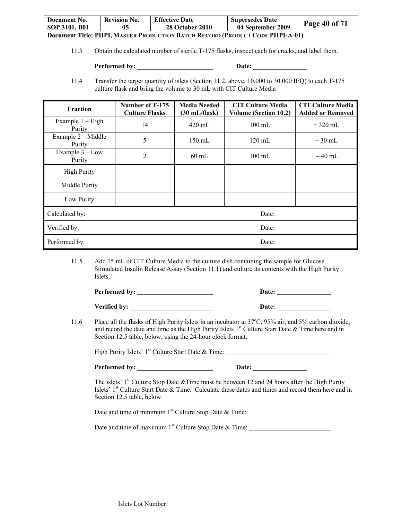| Document No.                                                                         | <b>Revision No.</b> | <b>Effective Date</b>  | <b>Supersedes Date</b> |               |  |
|--------------------------------------------------------------------------------------|---------------------|------------------------|------------------------|---------------|--|
| SOP 3101, B01                                                                        | 05                  | <b>28 October 2010</b> | 04 September 2009      | Page 40 of 71 |  |
| <b>Document Title: PHPI, MASTER PRODUCTION BATCH RECORD (PRODUCT CODE PHPI-A-01)</b> |                     |                        |                        |               |  |

11.3 Obtain the calculated number of sterile T-175 flasks, inspect each for cracks, and label them.

Performed by: <u>New York: Date:</u> Date:

11.4 Transfer the target quantity of islets (Section 11.2, above, 10,000 to 30,000 IEQ) to each T-175 culture flask and bring the volume to 30 mL with CIT Culture Media

| Fraction                     | Number of T-175<br><b>Culture Flasks</b> | <b>Media Needed</b><br>$(30 \text{ mL/flask})$ |  | <b>CIT Culture Media</b><br><b>Volume (Section 10.2)</b> | <b>CIT Culture Media</b><br><b>Added or Removed</b> |
|------------------------------|------------------------------------------|------------------------------------------------|--|----------------------------------------------------------|-----------------------------------------------------|
| Example $1 - High$<br>Purity | 14                                       | $420 \text{ mL}$                               |  | $100 \text{ mL}$                                         | $+320$ mL                                           |
| Example 2 - Middle<br>Purity | 5                                        | $150 \text{ mL}$                               |  | $120 \text{ mL}$                                         | $+30$ mL                                            |
| Example $3 - Low$<br>Purity  | 2                                        | $60$ mL                                        |  | $100 \text{ mL}$                                         | $-40$ mL                                            |
| <b>High Purity</b>           |                                          |                                                |  |                                                          |                                                     |
| Middle Purity                |                                          |                                                |  |                                                          |                                                     |
| Low Purity                   |                                          |                                                |  |                                                          |                                                     |
| Calculated by:<br>Date:      |                                          |                                                |  |                                                          |                                                     |
| Verified by:                 |                                          | Date:                                          |  |                                                          |                                                     |
| Performed by:                |                                          |                                                |  | Date:                                                    |                                                     |

11.5 Add 15 mL of CIT Culture Media to the culture dish containing the sample for Glucose Stimulated Insulin Release Assay (Section 11.1) and culture its contents with the High Purity Islets.

| Performed by: | Date: |
|---------------|-------|
| Verified by:  | Date: |

11.6 Place all the flasks of High Purity Islets in an incubator at 37ºC, 95% air, and 5% carbon dioxide, and record the date and time as the High Purity Islets  $1<sup>st</sup>$  Culture Start Date & Time here and in Section 12.5 table, below, using the 24-hour clock format.

High Purity Islets'  $1^{st}$  Culture Start Date & Time:

**Performed by: Date:** 

The islets'  $1<sup>st</sup>$  Culture Stop Date &Time must be between 12 and 24 hours after the High Purity Islets' 1<sup>st</sup> Culture Start Date & Time. Calculate these dates and times and record them here and in Section 12.5 table, below.

Date and time of minimum 1<sup>st</sup> Culture Stop Date & Time:

Date and time of maximum 1<sup>st</sup> Culture Stop Date & Time: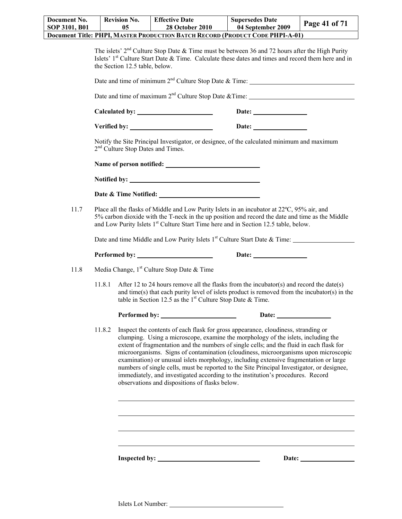| Document No.                                                                         | <b>Revision No.</b> | <b>Effective Date</b>  | <b>Supersedes Date</b> |               |  |
|--------------------------------------------------------------------------------------|---------------------|------------------------|------------------------|---------------|--|
| <b>SOP 3101, B01</b>                                                                 | 05                  | <b>28 October 2010</b> | 04 September 2009      | Page 41 of 71 |  |
| <b>Document Title: PHPI, MASTER PRODUCTION BATCH RECORD (PRODUCT CODE PHPI-A-01)</b> |                     |                        |                        |               |  |

|      |        | the Section 12.5 table, below.                         | The islets' $2nd$ Culture Stop Date & Time must be between 36 and 72 hours after the High Purity<br>Islets' 1 <sup>st</sup> Culture Start Date & Time. Calculate these dates and times and record them here and in                                                                                                                                                                                                                                                                                                                                                                                                                  |
|------|--------|--------------------------------------------------------|-------------------------------------------------------------------------------------------------------------------------------------------------------------------------------------------------------------------------------------------------------------------------------------------------------------------------------------------------------------------------------------------------------------------------------------------------------------------------------------------------------------------------------------------------------------------------------------------------------------------------------------|
|      |        |                                                        | Date and time of minimum 2 <sup>nd</sup> Culture Stop Date & Time:                                                                                                                                                                                                                                                                                                                                                                                                                                                                                                                                                                  |
|      |        |                                                        |                                                                                                                                                                                                                                                                                                                                                                                                                                                                                                                                                                                                                                     |
|      |        |                                                        | Date: $\qquad \qquad$                                                                                                                                                                                                                                                                                                                                                                                                                                                                                                                                                                                                               |
|      |        |                                                        | Verified by: <u>New York Base</u> Date:                                                                                                                                                                                                                                                                                                                                                                                                                                                                                                                                                                                             |
|      |        | 2 <sup>nd</sup> Culture Stop Dates and Times.          | Notify the Site Principal Investigator, or designee, of the calculated minimum and maximum                                                                                                                                                                                                                                                                                                                                                                                                                                                                                                                                          |
|      |        |                                                        |                                                                                                                                                                                                                                                                                                                                                                                                                                                                                                                                                                                                                                     |
|      |        |                                                        |                                                                                                                                                                                                                                                                                                                                                                                                                                                                                                                                                                                                                                     |
|      |        |                                                        |                                                                                                                                                                                                                                                                                                                                                                                                                                                                                                                                                                                                                                     |
| 11.7 |        |                                                        | Place all the flasks of Middle and Low Purity Islets in an incubator at 22°C, 95% air, and<br>5% carbon dioxide with the T-neck in the up position and record the date and time as the Middle<br>and Low Purity Islets 1 <sup>st</sup> Culture Start Time here and in Section 12.5 table, below.                                                                                                                                                                                                                                                                                                                                    |
|      |        |                                                        | Date and time Middle and Low Purity Islets 1 <sup>st</sup> Culture Start Date & Time:                                                                                                                                                                                                                                                                                                                                                                                                                                                                                                                                               |
|      |        |                                                        |                                                                                                                                                                                                                                                                                                                                                                                                                                                                                                                                                                                                                                     |
|      |        |                                                        | Date:                                                                                                                                                                                                                                                                                                                                                                                                                                                                                                                                                                                                                               |
| 11.8 |        | Media Change, 1 <sup>st</sup> Culture Stop Date & Time |                                                                                                                                                                                                                                                                                                                                                                                                                                                                                                                                                                                                                                     |
|      | 11.8.1 |                                                        | After 12 to 24 hours remove all the flasks from the incubator(s) and record the date(s)<br>and time(s) that each purity level of islets product is removed from the incubator(s) in the<br>table in Section 12.5 as the $1st$ Culture Stop Date & Time.                                                                                                                                                                                                                                                                                                                                                                             |
|      |        | Performed by:                                          |                                                                                                                                                                                                                                                                                                                                                                                                                                                                                                                                                                                                                                     |
|      | 11.8.2 | observations and dispositions of flasks below.         | Inspect the contents of each flask for gross appearance, cloudiness, stranding or<br>clumping. Using a microscope, examine the morphology of the islets, including the<br>extent of fragmentation and the numbers of single cells; and the fluid in each flask for<br>microorganisms. Signs of contamination (cloudiness, microorganisms upon microscopic<br>examination) or unusual islets morphology, including extensive fragmentation or large<br>numbers of single cells, must be reported to the Site Principal Investigator, or designee,<br>immediately, and investigated according to the institution's procedures. Record |
|      |        |                                                        |                                                                                                                                                                                                                                                                                                                                                                                                                                                                                                                                                                                                                                     |
|      |        |                                                        |                                                                                                                                                                                                                                                                                                                                                                                                                                                                                                                                                                                                                                     |

**Inspected by:** <u>Date:</u> Date: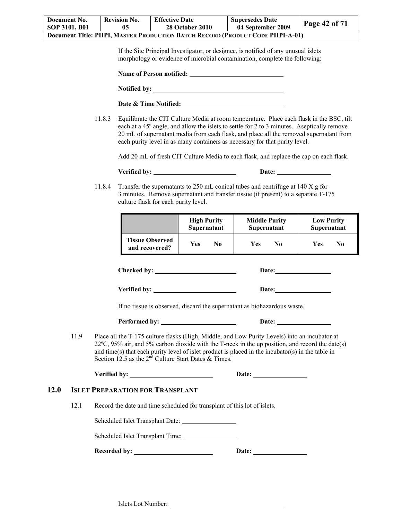| Document No.                                                                  | <b>Revision No.</b> | <b>Effective Date</b>  | <b>Supersedes Date</b> |               |  |
|-------------------------------------------------------------------------------|---------------------|------------------------|------------------------|---------------|--|
| SOP 3101, B01                                                                 | 05                  | <b>28 October 2010</b> | 04 September 2009      | Page 42 of 71 |  |
| Document Title: PHPI, MASTER PRODUCTION BATCH RECORD (PRODUCT CODE PHPI-A-01) |                     |                        |                        |               |  |

If the Site Principal Investigator, or designee, is notified of any unusual islets morphology or evidence of microbial contamination, complete the following:

| Name of Person notified: _____ |  |  |
|--------------------------------|--|--|
| <b>Notified by:</b>            |  |  |

| <b>Date &amp; Time Notified:</b> |  |
|----------------------------------|--|
|                                  |  |

11.8.3 Equilibrate the CIT Culture Media at room temperature. Place each flask in the BSC, tilt each at a 45º angle, and allow the islets to settle for 2 to 3 minutes. Aseptically remove 20 mL of supernatant media from each flask, and place all the removed supernatant from each purity level in as many containers as necessary for that purity level.

Add 20 mL of fresh CIT Culture Media to each flask, and replace the cap on each flask.

**Verified by:** D

| <b>)</b> ate: |  |
|---------------|--|
|               |  |

11.8.4 Transfer the supernatants to 250 mL conical tubes and centrifuge at 140 X g for 3 minutes. Remove supernatant and transfer tissue (if present) to a separate T-175 culture flask for each purity level.

|                        | <b>High Purity</b> | <b>Middle Purity</b> | <b>Low Purity</b> |
|------------------------|--------------------|----------------------|-------------------|
|                        | Supernatant        | <b>Supernatant</b>   | Supernatant       |
| <b>Tissue Observed</b> | Yes                | Yes                  | No                |
| and recovered?         | No                 | No                   | Yes               |

**Checked by:** <u>Date:</u> Date:

| Verified by: | <b>Date:</b> |  |
|--------------|--------------|--|
|              |              |  |

If no tissue is observed, discard the supernatant as biohazardous waste.

**Performed by: Date:** 

11.9 Place all the T-175 culture flasks (High, Middle, and Low Purity Levels) into an incubator at  $22^{\circ}$ C,  $95\%$  air, and  $5\%$  carbon dioxide with the T-neck in the up position, and record the date(s) and time(s) that each purity level of islet product is placed in the incubator(s) in the table in Section 12.5 as the  $2<sup>nd</sup>$  Culture Start Dates & Times.

Verified by: <u>Queen Constantine and Date:</u> Date: <u>Queen Constantine and Date:</u> Queen Constantine and Date: <u>Queen Constantine and Date:</u> Queen Constantine and Date: <u>Queen Constantine and Date: Queen Constantine and Date: </u>

## **12.0 ISLET PREPARATION FOR TRANSPLANT**

12.1 Record the date and time scheduled for transplant of this lot of islets.

Scheduled Islet Transplant Date:

Scheduled Islet Transplant Time:

Recorded by: <u>Date:</u> Date: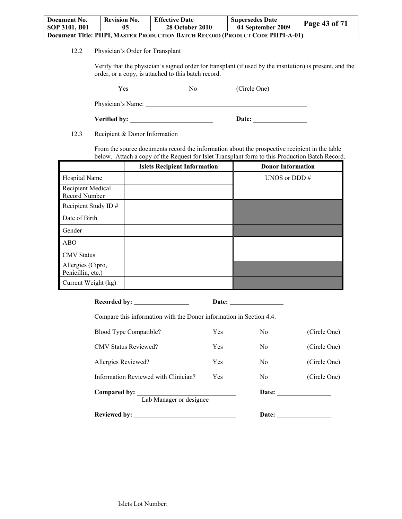| Document No.                                                                         | <b>Revision No.</b> | <b>Effective Date</b>  | <b>Supersedes Date</b> |               |
|--------------------------------------------------------------------------------------|---------------------|------------------------|------------------------|---------------|
| SOP 3101, B01                                                                        | 05                  | <b>28 October 2010</b> | 04 September 2009      | Page 43 of 71 |
| <b>Document Title: PHPI, MASTER PRODUCTION BATCH RECORD (PRODUCT CODE PHPI-A-01)</b> |                     |                        |                        |               |

12.2 Physician's Order for Transplant

Verify that the physician's signed order for transplant (if used by the institution) is present, and the order, or a copy, is attached to this batch record.

Yes No (Circle One)

Physician's Name:

**Verified by:** Date: Date:

12.3 Recipient & Donor Information

From the source documents record the information about the prospective recipient in the table below. Attach a copy of the Request for Islet Transplant form to this Production Batch Record.

|                                        | <b>Islets Recipient Information</b> | <b>Donor Information</b> |
|----------------------------------------|-------------------------------------|--------------------------|
| Hospital Name                          |                                     | UNOS or DDD $#$          |
| Recipient Medical<br>Record Number     |                                     |                          |
| Recipient Study ID#                    |                                     |                          |
| Date of Birth                          |                                     |                          |
| Gender                                 |                                     |                          |
| <b>ABO</b>                             |                                     |                          |
| <b>CMV</b> Status                      |                                     |                          |
| Allergies (Cipro,<br>Penicillin, etc.) |                                     |                          |
| Current Weight (kg)                    |                                     |                          |

**Recorded by: Date:** 

Compare this information with the Donor information in Section 4.4.

| <b>Reviewed by:</b>                     |     | Date:          |              |
|-----------------------------------------|-----|----------------|--------------|
| Compared by:<br>Lab Manager or designee |     | Date:          |              |
| Information Reviewed with Clinician?    | Yes | N <sub>0</sub> | (Circle One) |
| Allergies Reviewed?                     | Yes | N <sub>0</sub> | (Circle One) |
| <b>CMV Status Reviewed?</b>             | Yes | N <sub>0</sub> | (Circle One) |
| Blood Type Compatible?                  | Yes | N <sub>0</sub> | (Circle One) |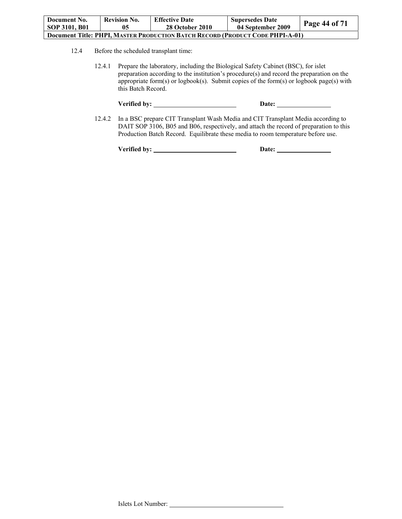| Document No.                                                                         | <b>Revision No.</b> | <b>Effective Date</b>  | <b>Supersedes Date</b> |                      |
|--------------------------------------------------------------------------------------|---------------------|------------------------|------------------------|----------------------|
| SOP 3101, B01                                                                        | 05                  | <b>28 October 2010</b> | 04 September 2009      | <b>Page 44 of 71</b> |
| <b>Document Title: PHPI, MASTER PRODUCTION BATCH RECORD (PRODUCT CODE PHPI-A-01)</b> |                     |                        |                        |                      |

- 12.4 Before the scheduled transplant time:
	- 12.4.1 Prepare the laboratory, including the Biological Safety Cabinet (BSC), for islet preparation according to the institution's procedure(s) and record the preparation on the appropriate form(s) or logbook(s). Submit copies of the form(s) or logbook page(s) with this Batch Record.

| Verified by: | <b>Date:</b> |
|--------------|--------------|
|--------------|--------------|

12.4.2 In a BSC prepare CIT Transplant Wash Media and CIT Transplant Media according to DAIT SOP 3106, B05 and B06, respectively, and attach the record of preparation to this Production Batch Record. Equilibrate these media to room temperature before use.

Verified by: <u>New York:</u> Date: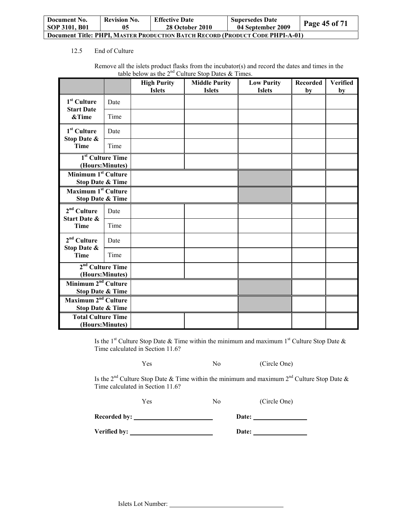| Document No.                                                                  | <b>Revision No.</b> | <b>Effective Date</b>  | <b>Supersedes Date</b> |                      |
|-------------------------------------------------------------------------------|---------------------|------------------------|------------------------|----------------------|
| <b>SOP 3101, B01</b>                                                          | 05                  | <b>28 October 2010</b> | 04 September 2009      | <b>Page 45 of 71</b> |
| Document Title: PHPI. MASTER PRODUCTION BATCH RECORD (PRODUCT CODE PHPI-A-01) |                     |                        |                        |                      |

#### 12.5 End of Culture

|                                                                |                              | <b>High Purity</b><br><b>Islets</b> | <b>Middle Purity</b><br><b>Islets</b> | <b>Low Purity</b><br><b>Islets</b> | Recorded<br>by | <b>Verified</b><br>by |
|----------------------------------------------------------------|------------------------------|-------------------------------------|---------------------------------------|------------------------------------|----------------|-----------------------|
| 1 <sup>st</sup> Culture                                        | Date                         |                                     |                                       |                                    |                |                       |
| <b>Start Date</b><br>&Time                                     | Time                         |                                     |                                       |                                    |                |                       |
| $1st$ Culture<br>Stop Date &                                   | Date                         |                                     |                                       |                                    |                |                       |
| <b>Time</b>                                                    | Time                         |                                     |                                       |                                    |                |                       |
| (Hours:Minutes)                                                | 1 <sup>st</sup> Culture Time |                                     |                                       |                                    |                |                       |
| Minimum 1 <sup>st</sup> Culture<br><b>Stop Date &amp; Time</b> |                              |                                     |                                       |                                    |                |                       |
| Maximum 1 <sup>st</sup> Culture<br><b>Stop Date &amp; Time</b> |                              |                                     |                                       |                                    |                |                       |
| $2nd$ Culture<br><b>Start Date &amp;</b>                       | Date                         |                                     |                                       |                                    |                |                       |
| Time                                                           | Time                         |                                     |                                       |                                    |                |                       |
| $2nd$ Culture<br>Stop Date &                                   | Date                         |                                     |                                       |                                    |                |                       |
| <b>Time</b>                                                    | Time                         |                                     |                                       |                                    |                |                       |
| $2nd$ Culture Time<br>(Hours:Minutes)                          |                              |                                     |                                       |                                    |                |                       |
| Minimum 2 <sup>nd</sup> Culture<br><b>Stop Date &amp; Time</b> |                              |                                     |                                       |                                    |                |                       |
| Maximum 2 <sup>nd</sup> Culture<br><b>Stop Date &amp; Time</b> |                              |                                     |                                       |                                    |                |                       |
| <b>Total Culture Time</b><br>(Hours:Minutes)                   |                              |                                     |                                       |                                    |                |                       |

Remove all the islets product flasks from the incubator(s) and record the dates and times in the table below as the  $2^{nd}$  Culture Stop Dates & Times.

Is the 1<sup>st</sup> Culture Stop Date & Time within the minimum and maximum 1<sup>st</sup> Culture Stop Date & Time calculated in Section 11.6?

Yes No (Circle One)

Is the 2<sup>nd</sup> Culture Stop Date & Time within the minimum and maximum 2<sup>nd</sup> Culture Stop Date & Time calculated in Section 11.6?

Yes No (Circle One)

Recorded by: <u>Date:</u> Date:

**Verified by: Date:** 

Islets Lot Number: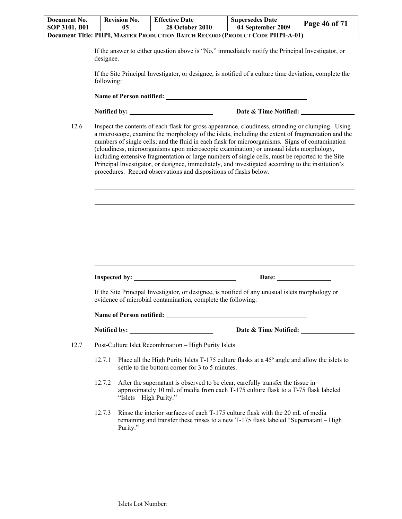| Document No.                                                                         | <b>Revision No.</b> | <b>Effective Date</b>  | <b>Supersedes Date</b> |                      |
|--------------------------------------------------------------------------------------|---------------------|------------------------|------------------------|----------------------|
| SOP 3101, B01                                                                        | 05                  | <b>28 October 2010</b> | 04 September 2009      | <b>Page 46 of 71</b> |
| <b>Document Title: PHPI, MASTER PRODUCTION BATCH RECORD (PRODUCT CODE PHPI-A-01)</b> |                     |                        |                        |                      |

If the answer to either question above is "No," immediately notify the Principal Investigator, or designee.

If the Site Principal Investigator, or designee, is notified of a culture time deviation, complete the following:

**Name of Person notified:** 

 $\overline{a}$ 

**Notified by:** Date & Time Notified:

12.6 Inspect the contents of each flask for gross appearance, cloudiness, stranding or clumping. Using a microscope, examine the morphology of the islets, including the extent of fragmentation and the numbers of single cells; and the fluid in each flask for microorganisms. Signs of contamination (cloudiness, microorganisms upon microscopic examination) or unusual islets morphology, including extensive fragmentation or large numbers of single cells, must be reported to the Site Principal Investigator, or designee, immediately, and investigated according to the institution's procedures. Record observations and dispositions of flasks below.

If the Site Principal Investigator, or designee, is notified of any unusual islets morphology or evidence of microbial contamination, complete the following:

**Inspected by:** Date: Date:

**Name of Person notified:** 

**Notified by: Date & Time Notified:** 

12.7 Post-Culture Islet Recombination – High Purity Islets

- 12.7.1 Place all the High Purity Islets T-175 culture flasks at a 45º angle and allow the islets to settle to the bottom corner for 3 to 5 minutes.
- 12.7.2 After the supernatant is observed to be clear, carefully transfer the tissue in approximately 10 mL of media from each T-175 culture flask to a T-75 flask labeled "Islets – High Purity."
- 12.7.3 Rinse the interior surfaces of each T-175 culture flask with the 20 mL of media remaining and transfer these rinses to a new T-175 flask labeled "Supernatant – High Purity."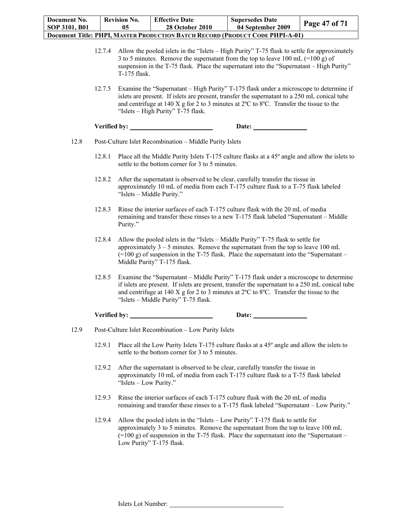| Document No.                                                                         | <b>Revision No.</b> | <b>Effective Date</b>  | <b>Supersedes Date</b> |               |
|--------------------------------------------------------------------------------------|---------------------|------------------------|------------------------|---------------|
| SOP 3101, B01                                                                        | 05                  | <b>28 October 2010</b> | 04 September 2009      | Page 47 of 71 |
| <b>Document Title: PHPI, MASTER PRODUCTION BATCH RECORD (PRODUCT CODE PHPI-A-01)</b> |                     |                        |                        |               |

- 12.7.4 Allow the pooled islets in the "Islets High Purity" T-75 flask to settle for approximately 3 to 5 minutes. Remove the supernatant from the top to leave 100 mL (=100 g) of suspension in the T-75 flask. Place the supernatant into the "Supernatant – High Purity" T-175 flask.
- 12.7.5 Examine the "Supernatant High Purity" T-175 flask under a microscope to determine if islets are present. If islets are present, transfer the supernatant to a 250 mL conical tube and centrifuge at 140 X g for 2 to 3 minutes at 2ºC to 8ºC. Transfer the tissue to the "Islets – High Purity" T-75 flask.

| Verified by: | Date: |
|--------------|-------|
|              |       |

- 12.8 Post-Culture Islet Recombination Middle Purity Islets
	- 12.8.1 Place all the Middle Purity Islets T-175 culture flasks at a 45º angle and allow the islets to settle to the bottom corner for 3 to 5 minutes.
	- 12.8.2 After the supernatant is observed to be clear, carefully transfer the tissue in approximately 10 mL of media from each T-175 culture flask to a T-75 flask labeled "Islets – Middle Purity."
	- 12.8.3 Rinse the interior surfaces of each T-175 culture flask with the 20 mL of media remaining and transfer these rinses to a new T-175 flask labeled "Supernatant – Middle Purity."
	- 12.8.4 Allow the pooled islets in the "Islets Middle Purity" T-75 flask to settle for approximately  $3 - 5$  minutes. Remove the supernatant from the top to leave 100 mL  $(=100 \text{ g})$  of suspension in the T-75 flask. Place the supernatant into the "Supernatant – Middle Purity" T-175 flask.
	- 12.8.5 Examine the "Supernatant Middle Purity" T-175 flask under a microscope to determine if islets are present. If islets are present, transfer the supernatant to a 250 mL conical tube and centrifuge at 140 X g for 2 to 3 minutes at 2ºC to 8ºC. Transfer the tissue to the "Islets – Middle Purity" T-75 flask.

#### **Verified by: Date:**

- 12.9 Post-Culture Islet Recombination Low Purity Islets
	- 12.9.1 Place all the Low Purity Islets T-175 culture flasks at a 45º angle and allow the islets to settle to the bottom corner for 3 to 5 minutes.
	- 12.9.2 After the supernatant is observed to be clear, carefully transfer the tissue in approximately 10 mL of media from each T-175 culture flask to a T-75 flask labeled "Islets – Low Purity."
	- 12.9.3 Rinse the interior surfaces of each T-175 culture flask with the 20 mL of media remaining and transfer these rinses to a T-175 flask labeled "Supernatant – Low Purity."
	- 12.9.4 Allow the pooled islets in the "Islets Low Purity" T-175 flask to settle for approximately 3 to 5 minutes. Remove the supernatant from the top to leave 100 mL  $(=100 \text{ g})$  of suspension in the T-75 flask. Place the supernatant into the "Supernatant – Low Purity" T-175 flask.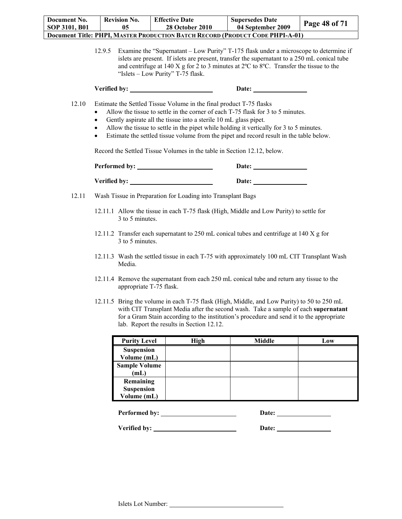| Document No.<br>SOP 3101, B01 | <b>Revision No.</b><br>05                                                                                                                                                                                                                                                                                                                                                                                                                                                                                                  | <b>Effective Date</b><br><b>28 October 2010</b>             | <b>Supersedes Date</b><br>04 September 2009                                                                                                                                                                                                                                     | Page 48 of 71 |  |
|-------------------------------|----------------------------------------------------------------------------------------------------------------------------------------------------------------------------------------------------------------------------------------------------------------------------------------------------------------------------------------------------------------------------------------------------------------------------------------------------------------------------------------------------------------------------|-------------------------------------------------------------|---------------------------------------------------------------------------------------------------------------------------------------------------------------------------------------------------------------------------------------------------------------------------------|---------------|--|
|                               |                                                                                                                                                                                                                                                                                                                                                                                                                                                                                                                            |                                                             | Document Title: PHPI, MASTER PRODUCTION BATCH RECORD (PRODUCT CODE PHPI-A-01)                                                                                                                                                                                                   |               |  |
|                               | 12.9.5                                                                                                                                                                                                                                                                                                                                                                                                                                                                                                                     | "Islets – Low Purity" T-75 flask.                           | Examine the "Supernatant – Low Purity" T-175 flask under a microscope to determine if<br>islets are present. If islets are present, transfer the supernatant to a 250 mL conical tube<br>and centrifuge at 140 X g for 2 to 3 minutes at 2°C to 8°C. Transfer the tissue to the |               |  |
|                               |                                                                                                                                                                                                                                                                                                                                                                                                                                                                                                                            |                                                             | Date:                                                                                                                                                                                                                                                                           |               |  |
| 12.10                         | Estimate the Settled Tissue Volume in the final product T-75 flasks<br>Allow the tissue to settle in the corner of each T-75 flask for 3 to 5 minutes.<br>Gently aspirate all the tissue into a sterile 10 mL glass pipet.<br>٠<br>Allow the tissue to settle in the pipet while holding it vertically for 3 to 5 minutes.<br>$\bullet$<br>Estimate the settled tissue volume from the pipet and record result in the table below.<br>$\bullet$<br>Record the Settled Tissue Volumes in the table in Section 12.12, below. |                                                             |                                                                                                                                                                                                                                                                                 |               |  |
|                               |                                                                                                                                                                                                                                                                                                                                                                                                                                                                                                                            |                                                             |                                                                                                                                                                                                                                                                                 |               |  |
|                               |                                                                                                                                                                                                                                                                                                                                                                                                                                                                                                                            |                                                             |                                                                                                                                                                                                                                                                                 |               |  |
|                               |                                                                                                                                                                                                                                                                                                                                                                                                                                                                                                                            |                                                             |                                                                                                                                                                                                                                                                                 |               |  |
| 12.11                         |                                                                                                                                                                                                                                                                                                                                                                                                                                                                                                                            | Wash Tissue in Preparation for Loading into Transplant Bags |                                                                                                                                                                                                                                                                                 |               |  |
|                               | 3 to 5 minutes.                                                                                                                                                                                                                                                                                                                                                                                                                                                                                                            |                                                             | 12.11.1 Allow the tissue in each T-75 flask (High, Middle and Low Purity) to settle for                                                                                                                                                                                         |               |  |
|                               | 3 to 5 minutes.                                                                                                                                                                                                                                                                                                                                                                                                                                                                                                            |                                                             | 12.11.2 Transfer each supernatant to 250 mL conical tubes and centrifuge at 140 X g for                                                                                                                                                                                         |               |  |
|                               | Media.                                                                                                                                                                                                                                                                                                                                                                                                                                                                                                                     |                                                             | 12.11.3 Wash the settled tissue in each T-75 with approximately 100 mL CIT Transplant Wash                                                                                                                                                                                      |               |  |
|                               | appropriate T-75 flask.                                                                                                                                                                                                                                                                                                                                                                                                                                                                                                    |                                                             | 12.11.4 Remove the supernatant from each 250 mL conical tube and return any tissue to the                                                                                                                                                                                       |               |  |
|                               | 12.11.5 Bring the volume in each T-75 flask (High, Middle, and Low Purity) to 50 to 250 mL<br>with CIT Transplant Media after the second wash. Take a sample of each supernatant<br>for a Gram Stain according to the institution's procedure and send it to the appropriate<br>lab. Report the results in Section 12.12.                                                                                                                                                                                                  |                                                             |                                                                                                                                                                                                                                                                                 |               |  |
|                               | <b>Purity Level</b>                                                                                                                                                                                                                                                                                                                                                                                                                                                                                                        | High                                                        | <b>Middle</b>                                                                                                                                                                                                                                                                   | Low           |  |
|                               | <b>Suspension</b><br>Volume (mL)                                                                                                                                                                                                                                                                                                                                                                                                                                                                                           |                                                             |                                                                                                                                                                                                                                                                                 |               |  |
|                               | <b>Sample Volume</b>                                                                                                                                                                                                                                                                                                                                                                                                                                                                                                       |                                                             |                                                                                                                                                                                                                                                                                 |               |  |
|                               | (mL)                                                                                                                                                                                                                                                                                                                                                                                                                                                                                                                       |                                                             |                                                                                                                                                                                                                                                                                 |               |  |
|                               | Remaining<br><b>Suspension</b>                                                                                                                                                                                                                                                                                                                                                                                                                                                                                             |                                                             |                                                                                                                                                                                                                                                                                 |               |  |
|                               | Volume (mL)                                                                                                                                                                                                                                                                                                                                                                                                                                                                                                                |                                                             |                                                                                                                                                                                                                                                                                 |               |  |
|                               | Performed by:                                                                                                                                                                                                                                                                                                                                                                                                                                                                                                              |                                                             | Date: $\sqrt{\frac{2}{1-\frac{1}{2}} \cdot \frac{1}{2-\frac{1}{2}} \cdot \frac{1}{2-\frac{1}{2}}}$                                                                                                                                                                              |               |  |
|                               | Verified by:                                                                                                                                                                                                                                                                                                                                                                                                                                                                                                               |                                                             | Date:                                                                                                                                                                                                                                                                           |               |  |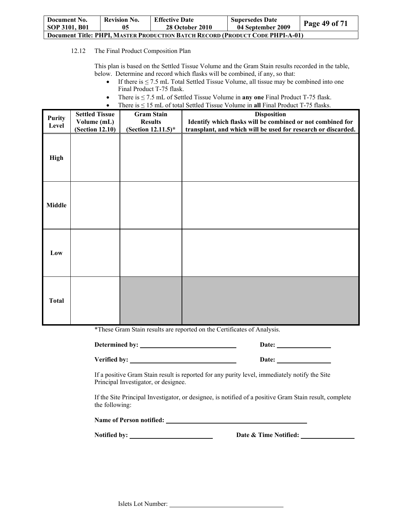| Document No.                                                                         | <b>Revision No.</b> | <b>Effective Date</b>  | <b>Supersedes Date</b> | Page 49 of 71 |  |  |
|--------------------------------------------------------------------------------------|---------------------|------------------------|------------------------|---------------|--|--|
| SOP 3101, B01                                                                        | 05                  | <b>28 October 2010</b> | 04 September 2009      |               |  |  |
| <b>Document Title: PHPI, MASTER PRODUCTION BATCH RECORD (PRODUCT CODE PHPI-A-01)</b> |                     |                        |                        |               |  |  |

12.12 The Final Product Composition Plan

This plan is based on the Settled Tissue Volume and the Gram Stain results recorded in the table, below. Determine and record which flasks will be combined, if any, so that:

- If there is  $\leq$  7.5 mL Total Settled Tissue Volume, all tissue may be combined into one Final Product T-75 flask.
- There is ≤ 7.5 mL of Settled Tissue Volume in **any one** Final Product T-75 flask.
- There is ≤ 15 mL of total Settled Tissue Volume in **all** Final Product T-75 flasks.

| <b>Purity</b><br>Level | <b>Settled Tissue</b><br>Volume (mL)<br>(Section 12.10) | <b>Gram Stain</b><br><b>Results</b><br>(Section 12.11.5)* | <b>Disposition</b><br>Identify which flasks will be combined or not combined for<br>transplant, and which will be used for research or discarded. |
|------------------------|---------------------------------------------------------|-----------------------------------------------------------|---------------------------------------------------------------------------------------------------------------------------------------------------|
| <b>High</b>            |                                                         |                                                           |                                                                                                                                                   |
| <b>Middle</b>          |                                                         |                                                           |                                                                                                                                                   |
| Low                    |                                                         |                                                           |                                                                                                                                                   |
| <b>Total</b>           |                                                         |                                                           |                                                                                                                                                   |

\*These Gram Stain results are reported on the Certificates of Analysis.

Verified by: <u>New York Chapter and Chapter and Chapter and Chapter and Chapter and Chapter and Chapter and Chapter and Chapter and Chapter and Chapter and Chapter and Chapter and Chapter and Chapter and Chapter and Chapter</u>

**Determined by: Date:** 

If a positive Gram Stain result is reported for any purity level, immediately notify the Site Principal Investigator, or designee.

If the Site Principal Investigator, or designee, is notified of a positive Gram Stain result, complete the following:

**Name of Person notified:** 

Notified by: <u>Notified by:</u> Date & Time Notified: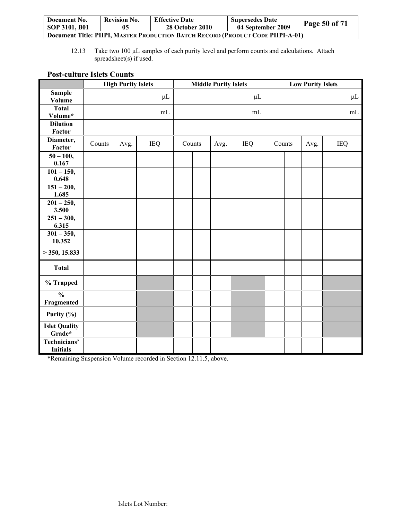| Document No.                                                                         | <b>Revision No.</b> | <b>Effective Date</b>  | <b>Supersedes Date</b> |               |  |  |
|--------------------------------------------------------------------------------------|---------------------|------------------------|------------------------|---------------|--|--|
| SOP 3101, B01                                                                        | 05                  | <b>28 October 2010</b> | 04 September 2009      | Page 50 of 71 |  |  |
| <b>Document Title: PHPI, MASTER PRODUCTION BATCH RECORD (PRODUCT CODE PHPI-A-01)</b> |                     |                        |                        |               |  |  |

12.13 Take two 100 μL samples of each purity level and perform counts and calculations. Attach spreadsheet(s) if used.

## **Post-culture Islets Counts**

|                                 | <b>High Purity Islets</b> |  |      | <b>Middle Purity Islets</b> |        | <b>Low Purity Islets</b> |      |            |        |  |      |            |
|---------------------------------|---------------------------|--|------|-----------------------------|--------|--------------------------|------|------------|--------|--|------|------------|
| <b>Sample</b>                   |                           |  |      | $\mu$ L                     |        |                          |      | $\mu$ L    |        |  |      | $\mu$ L    |
| <b>Volume</b>                   |                           |  |      |                             |        |                          |      |            |        |  |      |            |
| <b>Total</b>                    |                           |  |      | mL                          |        |                          |      | mL         |        |  |      | mL         |
| Volume*                         |                           |  |      |                             |        |                          |      |            |        |  |      |            |
| <b>Dilution</b>                 |                           |  |      |                             |        |                          |      |            |        |  |      |            |
| Factor                          |                           |  |      |                             |        |                          |      |            |        |  |      |            |
| Diameter,                       | Counts                    |  | Avg. | IEQ                         | Counts |                          | Avg. | <b>IEQ</b> | Counts |  | Avg. | <b>IEQ</b> |
| Factor                          |                           |  |      |                             |        |                          |      |            |        |  |      |            |
| $50 - 100,$                     |                           |  |      |                             |        |                          |      |            |        |  |      |            |
| 0.167<br>$101 - 150,$           |                           |  |      |                             |        |                          |      |            |        |  |      |            |
| 0.648                           |                           |  |      |                             |        |                          |      |            |        |  |      |            |
| $151 - 200,$                    |                           |  |      |                             |        |                          |      |            |        |  |      |            |
| 1.685                           |                           |  |      |                             |        |                          |      |            |        |  |      |            |
| $201 - 250,$                    |                           |  |      |                             |        |                          |      |            |        |  |      |            |
| 3.500                           |                           |  |      |                             |        |                          |      |            |        |  |      |            |
| $251 - 300,$                    |                           |  |      |                             |        |                          |      |            |        |  |      |            |
| 6.315                           |                           |  |      |                             |        |                          |      |            |        |  |      |            |
| $301 - 350,$<br>10.352          |                           |  |      |                             |        |                          |      |            |        |  |      |            |
| $>$ 350, 15.833                 |                           |  |      |                             |        |                          |      |            |        |  |      |            |
| <b>Total</b>                    |                           |  |      |                             |        |                          |      |            |        |  |      |            |
|                                 |                           |  |      |                             |        |                          |      |            |        |  |      |            |
| % Trapped                       |                           |  |      |                             |        |                          |      |            |        |  |      |            |
| $\frac{0}{0}$<br>Fragmented     |                           |  |      |                             |        |                          |      |            |        |  |      |            |
| Purity (%)                      |                           |  |      |                             |        |                          |      |            |        |  |      |            |
| <b>Islet Quality</b><br>Grade*  |                           |  |      |                             |        |                          |      |            |        |  |      |            |
| Technicians'<br><b>Initials</b> |                           |  |      |                             |        |                          |      |            |        |  |      |            |

\*Remaining Suspension Volume recorded in Section 12.11.5, above.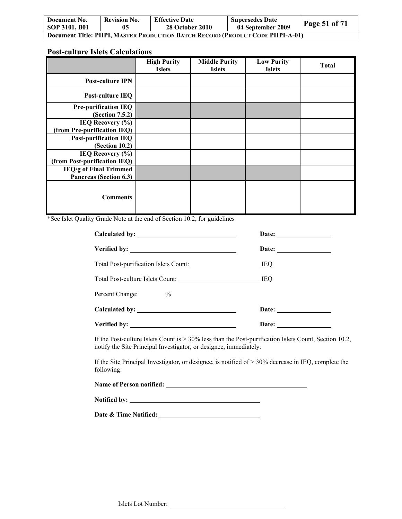| Document No.                                                                         | <b>Revision No.</b> | <b>Effective Date</b>  | <b>Supersedes Date</b> | <b>Page 51 of 71</b> |  |  |
|--------------------------------------------------------------------------------------|---------------------|------------------------|------------------------|----------------------|--|--|
| SOP 3101, B01                                                                        | 05                  | <b>28 October 2010</b> | 04 September 2009      |                      |  |  |
| <b>Document Title: PHPI, MASTER PRODUCTION BATCH RECORD (PRODUCT CODE PHPI-A-01)</b> |                     |                        |                        |                      |  |  |

## **Post-culture Islets Calculations**

|                                                      | <b>High Purity</b><br><b>Islets</b> | <b>Middle Purity</b><br><b>Islets</b> | <b>Low Purity</b><br><b>Islets</b> | Total |
|------------------------------------------------------|-------------------------------------|---------------------------------------|------------------------------------|-------|
| <b>Post-culture IPN</b>                              |                                     |                                       |                                    |       |
| Post-culture IEQ                                     |                                     |                                       |                                    |       |
| <b>Pre-purification IEQ</b><br>(Section 7.5.2)       |                                     |                                       |                                    |       |
| IEQ Recovery $(\% )$<br>(from Pre-purification IEQ)  |                                     |                                       |                                    |       |
| <b>Post-purification IEQ</b><br>(Section 10.2)       |                                     |                                       |                                    |       |
| IEQ Recovery $(\% )$<br>(from Post-purification IEQ) |                                     |                                       |                                    |       |
| IEQ/g of Final Trimmed<br>Pancreas (Section 6.3)     |                                     |                                       |                                    |       |
| <b>Comments</b>                                      |                                     |                                       |                                    |       |

\*See Islet Quality Grade Note at the end of Section 10.2, for guidelines

|                                      | Date: $\frac{1}{\sqrt{1-\frac{1}{2}} \cdot \frac{1}{2}}$ |  |
|--------------------------------------|----------------------------------------------------------|--|
|                                      |                                                          |  |
|                                      |                                                          |  |
| Total Post-culture Islets Count: IEQ |                                                          |  |
| Percent Change: 9%                   |                                                          |  |
| Calculated by:                       | Date: $\qquad \qquad$                                    |  |
|                                      | Date:                                                    |  |

If the Post-culture Islets Count is > 30% less than the Post-purification Islets Count, Section 10.2, notify the Site Principal Investigator, or designee, immediately.

If the Site Principal Investigator, or designee, is notified of > 30% decrease in IEQ, complete the following:

| <b>Name of Person notified:</b> |  |
|---------------------------------|--|
|                                 |  |

**Notified by:** 

**Date & Time Notified:**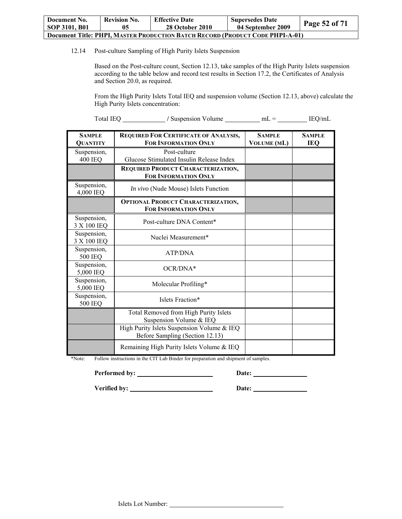| Document No.                                                                  | <b>Revision No.</b> | <b>Effective Date</b>  | <b>Supersedes Date</b> |               |  |  |
|-------------------------------------------------------------------------------|---------------------|------------------------|------------------------|---------------|--|--|
| <b>SOP 3101, B01</b>                                                          | 05                  | <b>28 October 2010</b> | 04 September 2009      | Page 52 of 71 |  |  |
| Document Title: PHPI, MASTER PRODUCTION BATCH RECORD (PRODUCT CODE PHPI-A-01) |                     |                        |                        |               |  |  |

12.14 Post-culture Sampling of High Purity Islets Suspension

Based on the Post-culture count, Section 12.13, take samples of the High Purity Islets suspension according to the table below and record test results in Section 17.2, the Certificates of Analysis and Section 20.0, as required.

From the High Purity Islets Total IEQ and suspension volume (Section 12.13, above) calculate the High Purity Islets concentration:

Total IEQ **/** Suspension Volume mL = IEQ/mL

| <b>SAMPLE</b><br><b>QUANTITY</b> | <b>REQUIRED FOR CERTIFICATE OF ANALYSIS,</b><br><b>FOR INFORMATION ONLY</b>   | <b>SAMPLE</b><br><b>VOLUME</b> (ML) | <b>SAMPLE</b><br><b>IEQ</b> |
|----------------------------------|-------------------------------------------------------------------------------|-------------------------------------|-----------------------------|
| Suspension,<br><b>400 IEQ</b>    | Post-culture<br>Glucose Stimulated Insulin Release Index                      |                                     |                             |
|                                  | REQUIRED PRODUCT CHARACTERIZATION,<br>FOR INFORMATION ONLY                    |                                     |                             |
| Suspension,<br>4,000 IEQ         | In vivo (Nude Mouse) Islets Function                                          |                                     |                             |
|                                  | <b>OPTIONAL PRODUCT CHARACTERIZATION,</b><br><b>FOR INFORMATION ONLY</b>      |                                     |                             |
| Suspension,<br>3 X 100 IEQ       | Post-culture DNA Content*                                                     |                                     |                             |
| Suspension,<br>3 X 100 IEQ       | Nuclei Measurement*                                                           |                                     |                             |
| Suspension,<br>500 IEQ           | <b>ATP/DNA</b>                                                                |                                     |                             |
| Suspension,<br>5,000 IEQ         | $OCR/DNA*$                                                                    |                                     |                             |
| Suspension,<br>5,000 IEQ         | Molecular Profiling*                                                          |                                     |                             |
| Suspension,<br><b>500 IEQ</b>    | Islets Fraction*                                                              |                                     |                             |
|                                  | Total Removed from High Purity Islets<br>Suspension Volume & IEQ              |                                     |                             |
|                                  | High Purity Islets Suspension Volume & IEQ<br>Before Sampling (Section 12.13) |                                     |                             |
|                                  | Remaining High Purity Islets Volume & IEQ                                     |                                     |                             |

\*Note: Follow instructions in the CIT Lab Binder for preparation and shipment of samples.

**Performed by: Date:** 

Verified by: <u>New York Base:</u> Date: <u>New York:</u> Date: <u>New York: New York: New York: New York: New York: New York: New York: New York: New York: New York: New York: New York: New York: New York: New York: New York: New Yor</u>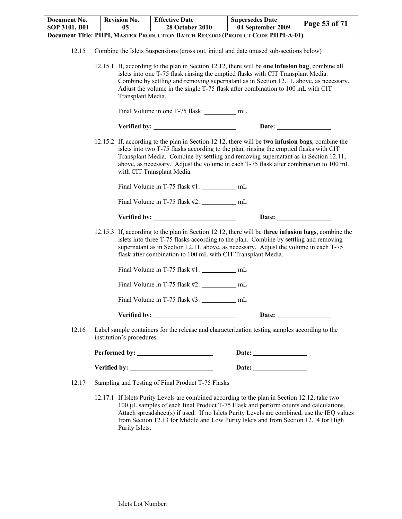| Document No.                                                                         | <b>Revision No.</b> | <b>Effective Date</b>  | <b>Supersedes Date</b> |                      |  |  |
|--------------------------------------------------------------------------------------|---------------------|------------------------|------------------------|----------------------|--|--|
| SOP 3101, B01                                                                        | 05                  | <b>28 October 2010</b> | 04 September 2009      | <b>Page 53 of 71</b> |  |  |
| <b>Document Title: PHPI, MASTER PRODUCTION BATCH RECORD (PRODUCT CODE PHPI-A-01)</b> |                     |                        |                        |                      |  |  |

12.15.1 If, according to the plan in Section 12.12, there will be **one infusion bag**, combine all islets into one T-75 flask rinsing the emptied flasks with CIT Transplant Media. Combine by settling and removing supernatant as in Section 12.11, above, as necessary. Adjust the volume in the single T-75 flask after combination to 100 mL with CIT Transplant Media.

Final Volume in one T-75 flask: \_\_\_\_\_\_\_\_\_ mL

| Verified by: | <b>Date:</b> |
|--------------|--------------|
|              |              |

12.15.2 If, according to the plan in Section 12.12, there will be **two infusion bags**, combine the islets into two T-75 flasks according to the plan, rinsing the emptied flasks with CIT Transplant Media. Combine by settling and removing supernatant as in Section 12.11, above, as necessary. Adjust the volume in each T-75 flask after combination to 100 mL with CIT Transplant Media.

Final Volume in T-75 flask #1: mL

Final Volume in T-75 flask #2: \_\_\_\_\_\_\_\_\_\_\_\_\_ mL

| Verified by: | Date: |  |
|--------------|-------|--|
|              |       |  |

12.15.3 If, according to the plan in Section 12.12, there will be **three infusion bags**, combine the islets into three T-75 flasks according to the plan. Combine by settling and removing supernatant as in Section 12.11, above, as necessary. Adjust the volume in each T-75 flask after combination to 100 mL with CIT Transplant Media.

Final Volume in T-75 flask #1: mL

Final Volume in T-75 flask #2: mL

Final Volume in T-75 flask #3: \_\_\_\_\_\_\_\_\_\_\_\_ mL

**Verified by:** Date:

12.16 Label sample containers for the release and characterization testing samples according to the institution's procedures.

**Performed by: Date: Verified by:** Date:

12.17 Sampling and Testing of Final Product T-75 Flasks

12.17.1 If Islets Purity Levels are combined according to the plan in Section 12.12, take two 100 μL samples of each final Product T-75 Flask and perform counts and calculations. Attach spreadsheet(s) if used. If no Islets Purity Levels are combined, use the IEQ values from Section 12.13 for Middle and Low Purity Islets and from Section 12.14 for High Purity Islets.

<sup>12.15</sup> Combine the Islets Suspensions (cross out, initial and date unused sub-sections below)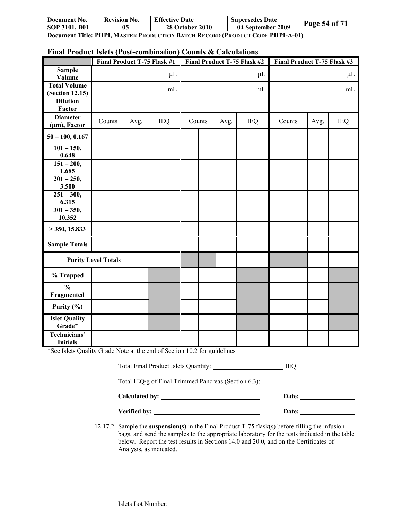| Document No.                                                                         | <b>Revision No.</b> | <b>Effective Date</b>  | <b>Supersedes Date</b> | Page 54 of $71$ |  |
|--------------------------------------------------------------------------------------|---------------------|------------------------|------------------------|-----------------|--|
| SOP 3101, B01                                                                        | 05                  | <b>28 October 2010</b> | 04 September 2009      |                 |  |
| <b>Document Title: PHPI, MASTER PRODUCTION BATCH RECORD (PRODUCT CODE PHPI-A-01)</b> |                     |                        |                        |                 |  |

## **Final Product Islets (Post-combination) Counts & Calculations**

|                                                                                                             | Final Product T-75 Flask #1 |        | Final Product T-75 Flask #2 |            | Final Product T-75 Flask #3 |        |      |            |    |                |  |            |
|-------------------------------------------------------------------------------------------------------------|-----------------------------|--------|-----------------------------|------------|-----------------------------|--------|------|------------|----|----------------|--|------------|
| <b>Sample</b><br>Volume                                                                                     |                             |        |                             | $\mu$ L    |                             |        |      | $\mu$ L    |    |                |  | $\mu$ L    |
| <b>Total Volume</b><br><b>(Section 12.15)</b>                                                               |                             |        |                             | mL         |                             |        |      | mL         | mL |                |  |            |
| <b>Dilution</b><br>Factor                                                                                   |                             |        |                             |            |                             |        |      |            |    |                |  |            |
| <b>Diameter</b><br>$(\mu m)$ , Factor                                                                       |                             | Counts | Avg.                        | <b>IEQ</b> |                             | Counts | Avg. | <b>IEQ</b> |    | Counts<br>Avg. |  | <b>IEQ</b> |
| $50 - 100, 0.167$                                                                                           |                             |        |                             |            |                             |        |      |            |    |                |  |            |
| $101 - 150,$<br>0.648                                                                                       |                             |        |                             |            |                             |        |      |            |    |                |  |            |
| $151 - 200,$<br>1.685                                                                                       |                             |        |                             |            |                             |        |      |            |    |                |  |            |
| $201 - 250,$<br>3.500                                                                                       |                             |        |                             |            |                             |        |      |            |    |                |  |            |
| $251 - 300,$<br>6.315                                                                                       |                             |        |                             |            |                             |        |      |            |    |                |  |            |
| $301 - 350,$<br>10.352                                                                                      |                             |        |                             |            |                             |        |      |            |    |                |  |            |
| $>$ 350, 15.833                                                                                             |                             |        |                             |            |                             |        |      |            |    |                |  |            |
| <b>Sample Totals</b>                                                                                        |                             |        |                             |            |                             |        |      |            |    |                |  |            |
| <b>Purity Level Totals</b>                                                                                  |                             |        |                             |            |                             |        |      |            |    |                |  |            |
| % Trapped                                                                                                   |                             |        |                             |            |                             |        |      |            |    |                |  |            |
| $\frac{0}{0}$<br>Fragmented                                                                                 |                             |        |                             |            |                             |        |      |            |    |                |  |            |
| Purity $(\% )$                                                                                              |                             |        |                             |            |                             |        |      |            |    |                |  |            |
| <b>Islet Quality</b><br>Grade*                                                                              |                             |        |                             |            |                             |        |      |            |    |                |  |            |
| Technicians'<br><b>Initials</b><br>*See Islets Quality Grade Note at the end of Section 10.2 for quidelines |                             |        |                             |            |                             |        |      |            |    |                |  |            |

\*See Islets Quality Grade Note at the end of Section 10.2 for guidelines

| Total Final Product Islets Quantity: | IEO |
|--------------------------------------|-----|
|--------------------------------------|-----|

Total IEQ/g of Final Trimmed Pancreas (Section 6.3):

| Calculated by: | Date: |
|----------------|-------|
| Verified by:   | Date: |

12.17.2 Sample the **suspension(s)** in the Final Product T-75 flask(s) before filling the infusion bags, and send the samples to the appropriate laboratory for the tests indicated in the table below. Report the test results in Sections 14.0 and 20.0, and on the Certificates of Analysis, as indicated.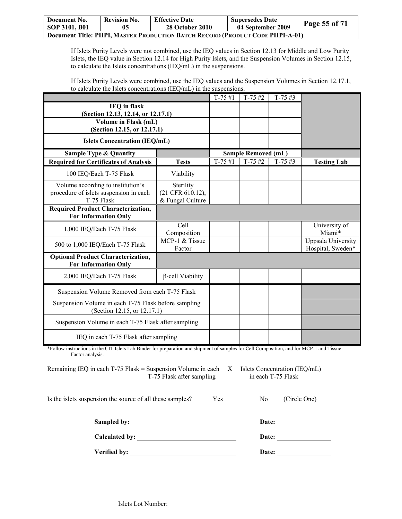| Document No.                                                                  | <b>Revision No.</b> | <b>Effective Date</b>  | <b>Supersedes Date</b> |               |  |
|-------------------------------------------------------------------------------|---------------------|------------------------|------------------------|---------------|--|
| SOP 3101, B01                                                                 | 05                  | <b>28 October 2010</b> | 04 September 2009      | Page 55 of 71 |  |
| Document Title: PHPI, MASTER PRODUCTION BATCH RECORD (PRODUCT CODE PHPI-A-01) |                     |                        |                        |               |  |

If Islets Purity Levels were not combined, use the IEQ values in Section 12.13 for Middle and Low Purity Islets, the IEQ value in Section 12.14 for High Purity Islets, and the Suspension Volumes in Section 12.15, to calculate the Islets concentrations (IEQ/mL) in the suspensions.

If Islets Purity Levels were combined, use the IEQ values and the Suspension Volumes in Section 12.17.1, to calculate the Islets concentrations (IEQ/mL) in the suspensions.

|                                                                                     |                                      | $T-75#1$   | $T-75 \#2$                 | $T-75 \#3$ |                                         |
|-------------------------------------------------------------------------------------|--------------------------------------|------------|----------------------------|------------|-----------------------------------------|
| <b>IEQ</b> in flask                                                                 |                                      |            |                            |            |                                         |
| (Section 12.13, 12.14, or 12.17.1)<br>Volume in Flask (mL)                          |                                      |            |                            |            |                                         |
| (Section 12.15, or 12.17.1)                                                         |                                      |            |                            |            |                                         |
| <b>Islets Concentration (IEQ/mL)</b>                                                |                                      |            |                            |            |                                         |
| <b>Sample Type &amp; Quantity</b>                                                   |                                      |            | <b>Sample Removed (mL)</b> |            |                                         |
| <b>Required for Certificates of Analysis</b>                                        | <b>Tests</b>                         | $T-75 \#1$ | $T-75#2$                   | $T-75 \#3$ | <b>Testing Lab</b>                      |
| 100 IEQ/Each T-75 Flask                                                             | Viability                            |            |                            |            |                                         |
| Volume according to institution's                                                   | Sterility                            |            |                            |            |                                         |
| procedure of islets suspension in each<br>T-75 Flask                                | (21 CFR 610.12),<br>& Fungal Culture |            |                            |            |                                         |
| <b>Required Product Characterization,</b>                                           |                                      |            |                            |            |                                         |
| <b>For Information Only</b>                                                         |                                      |            |                            |            |                                         |
| 1,000 IEQ/Each T-75 Flask                                                           | Cell<br>Composition                  |            |                            |            | University of<br>Miami*                 |
| 500 to 1,000 IEQ/Each T-75 Flask                                                    | MCP-1 & Tissue<br>Factor             |            |                            |            | Uppsala University<br>Hospital, Sweden* |
| <b>Optional Product Characterization,</b><br><b>For Information Only</b>            |                                      |            |                            |            |                                         |
| 2,000 IEQ/Each T-75 Flask                                                           | $\beta$ -cell Viability              |            |                            |            |                                         |
| Suspension Volume Removed from each T-75 Flask                                      |                                      |            |                            |            |                                         |
| Suspension Volume in each T-75 Flask before sampling<br>(Section 12.15, or 12.17.1) |                                      |            |                            |            |                                         |
| Suspension Volume in each T-75 Flask after sampling                                 |                                      |            |                            |            |                                         |
| IEQ in each T-75 Flask after sampling                                               |                                      |            |                            |            |                                         |

\*Follow instructions in the CIT Islets Lab Binder for preparation and shipment of samples for Cell Composition, and for MCP-1 and Tissue Factor analysis.

Remaining IEQ in each T-75 Flask = Suspension Volume in each X Islets Concentration (IEQ/mL) T-75 Flask after sampling in each T-75 Flask

Is the islets suspension the source of all these samples? Yes No (Circle One)

**Sampled by: Date:** 

**Calculated by:** <u>Date: **Date: Date: Calculated by:** 2004</u>

| Date: |  |
|-------|--|

**Verified by:** <u>Date:</u> Date: **Date: Date: Date: Date: Date: Date: Date: Date: Date: Date: Date: Date: Date: Date: Date: Date: Date: Date: Date: Date: Date: Date: Date: Date:**

Islets Lot Number: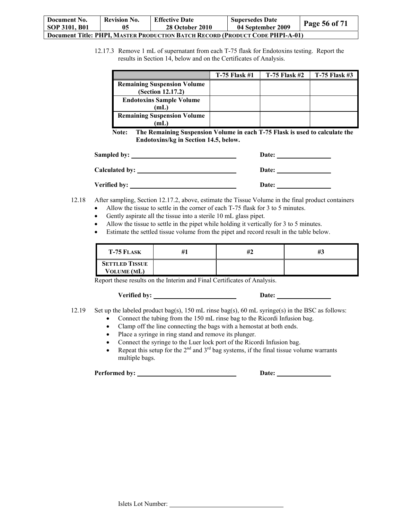| Document No.                                                                         | <b>Revision No.</b> | <b>Effective Date</b>  | <b>Supersedes Date</b> | <b>Page 56 of 71</b> |  |
|--------------------------------------------------------------------------------------|---------------------|------------------------|------------------------|----------------------|--|
| <b>SOP 3101, B01</b>                                                                 | 05                  | <b>28 October 2010</b> | 04 September 2009      |                      |  |
| <b>Document Title: PHPI, MASTER PRODUCTION BATCH RECORD (PRODUCT CODE PHPI-A-01)</b> |                     |                        |                        |                      |  |

12.17.3 Remove 1 mL of supernatant from each T-75 flask for Endotoxins testing. Report the results in Section 14, below and on the Certificates of Analysis.

|                                                         | $T-75$ Flask #1 | $T-75$ Flask #2 | $T-75$ Flask #3 |
|---------------------------------------------------------|-----------------|-----------------|-----------------|
| <b>Remaining Suspension Volume</b><br>(Section 12.17.2) |                 |                 |                 |
| <b>Endotoxins Sample Volume</b><br>mL)                  |                 |                 |                 |
| <b>Remaining Suspension Volume</b><br>mL                |                 |                 |                 |

**Note: The Remaining Suspension Volume in each T-75 Flask is used to calculate the Endotoxins/kg in Section 14.5, below.** 

|                | Date: |
|----------------|-------|
| Calculated by: | Date: |
| Verified by:   | Date: |

- 12.18 After sampling, Section 12.17.2, above, estimate the Tissue Volume in the final product containers
	- Allow the tissue to settle in the corner of each T-75 flask for 3 to 5 minutes.
	- Gently aspirate all the tissue into a sterile 10 mL glass pipet.
	- Allow the tissue to settle in the pipet while holding it vertically for 3 to 5 minutes.
	- Estimate the settled tissue volume from the pipet and record result in the table below.

| <b>T-75 FLASK</b>                           | #1 | #2 | #3 |
|---------------------------------------------|----|----|----|
| <b>SETTLED TISSUE</b><br><b>VOLUME</b> (ML) |    |    |    |

Report these results on the Interim and Final Certificates of Analysis.

Verified by: <u>Date:</u> Date: Date:

- 12.19 Set up the labeled product bag(s), 150 mL rinse bag(s), 60 mL syringe(s) in the BSC as follows:
	- Connect the tubing from the 150 mL rinse bag to the Ricordi Infusion bag.
	- Clamp off the line connecting the bags with a hemostat at both ends.
	- Place a syringe in ring stand and remove its plunger.
	- Connect the syringe to the Luer lock port of the Ricordi Infusion bag.
	- Repeat this setup for the  $2^{nd}$  and  $3^{rd}$  bag systems, if the final tissue volume warrants multiple bags.

**Performed by: Date:**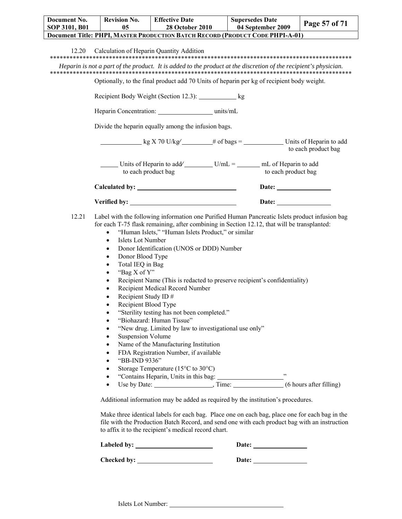| Document No.                                                                         | <b>Revision No.</b> | <b>Effective Date</b>  | <b>Supersedes Date</b> | Page 57 of 71 |
|--------------------------------------------------------------------------------------|---------------------|------------------------|------------------------|---------------|
| SOP 3101, B01                                                                        | 05                  | <b>28 October 2010</b> | 04 September 2009      |               |
| <b>Document Title: PHPI, MASTER PRODUCTION BATCH RECORD (PRODUCT CODE PHPI-A-01)</b> |                     |                        |                        |               |
|                                                                                      |                     |                        |                        |               |

12.20 Calculation of Heparin Quantity Addition

#### \*\*\*\*\*\*\*\*\*\*\*\*\*\*\*\*\*\*\*\*\*\*\*\*\*\*\*\*\*\*\*\*\*\*\*\*\*\*\*\*\*\*\*\*\*\*\*\*\*\*\*\*\*\*\*\*\*\*\*\*\*\*\*\*\*\*\*\*\*\*\*\*\*\*\*\*\*\*\*\*\*\*\*\*\*\*\*\*\*\*\*\*

*Heparin is not a part of the product. It is added to the product at the discretion of the recipient's physician.*  \*\*\*\*\*\*\*\*\*\*\*\*\*\*\*\*\*\*\*\*\*\*\*\*\*\*\*\*\*\*\*\*\*\*\*\*\*\*\*\*\*\*\*\*\*\*\*\*\*\*\*\*\*\*\*\*\*\*\*\*\*\*\*\*\*\*\*\*\*\*\*\*\*\*\*\*\*\*\*\*\*\*\*\*\*\*\*\*\*\*\*\*

Optionally, to the final product add 70 Units of heparin per kg of recipient body weight.

Recipient Body Weight (Section 12.3): kg

Heparin Concentration: units/mL

Divide the heparin equally among the infusion bags.

| kg X 70 U/kg                                   | # of bags $=$ | Units of Heparin to add<br>to each product bag |
|------------------------------------------------|---------------|------------------------------------------------|
| Units of Heparin to add<br>to each product bag | $U/mL =$      | mL of Heparin to add<br>to each product bag    |
| Calculated by:                                 |               | Date:                                          |

| Verified by: | Date: |
|--------------|-------|
|              |       |

| 12.21 Label with the following information one Purified Human Pancreatic Islets product infusion bag |
|------------------------------------------------------------------------------------------------------|
| for each T-75 flask remaining, after combining in Section 12.12, that will be transplanted:          |

- "Human Islets," "Human Islets Product," or similar
- Islets Lot Number
- Donor Identification (UNOS or DDD) Number
- Donor Blood Type
- Total IEQ in Bag
- "Bag X of Y"
- Recipient Name (This is redacted to preserve recipient's confidentiality)
- Recipient Medical Record Number
- Recipient Study ID  $#$
- Recipient Blood Type
- "Sterility testing has not been completed."
- "Biohazard: Human Tissue"
- "New drug. Limited by law to investigational use only"
- Suspension Volume
- Name of the Manufacturing Institution
- FDA Registration Number, if available
- "BB-IND 9336"
- Storage Temperature (15°C to 30°C)
- "Contains Heparin, Units in this bag: "
- Use by Date:  $\frac{1}{\sqrt{1}}$ ,  $\frac{1}{\sqrt{1}}$ ,  $\frac{1}{\sqrt{1}}$ ,  $\frac{1}{\sqrt{1}}$  (6 hours after filling)

Additional information may be added as required by the institution's procedures.

Make three identical labels for each bag. Place one on each bag, place one for each bag in the file with the Production Batch Record, and send one with each product bag with an instruction to affix it to the recipient's medical record chart.

**Labeled by:** <u>Date:</u> Date: <u>Date:</u>

**Checked by:** Date: Date:

Islets Lot Number: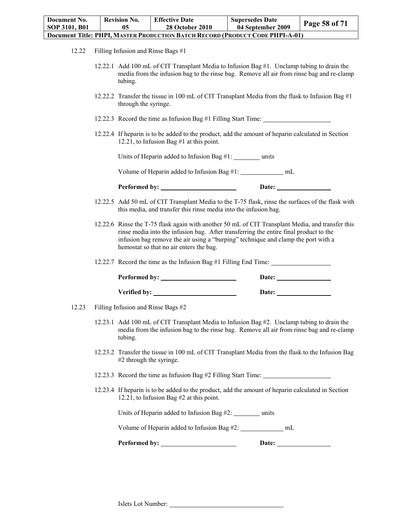| Document No.                                                                         | <b>Revision No.</b> | <b>Effective Date</b>  | <b>Supersedes Date</b> |               |  |
|--------------------------------------------------------------------------------------|---------------------|------------------------|------------------------|---------------|--|
| SOP 3101, B01                                                                        | 05                  | <b>28 October 2010</b> | 04 September 2009      | Page 58 of 71 |  |
| <b>Document Title: PHPI, MASTER PRODUCTION BATCH RECORD (PRODUCT CODE PHPI-A-01)</b> |                     |                        |                        |               |  |

- 12.22 Filling Infusion and Rinse Bags #1
	- 12.22.1 Add 100 mL of CIT Transplant Media to Infusion Bag #1. Unclamp tubing to drain the media from the infusion bag to the rinse bag. Remove all air from rinse bag and re-clamp tubing.
	- 12.22.2 Transfer the tissue in 100 mL of CIT Transplant Media from the flask to Infusion Bag #1 through the syringe.
	- 12.22.3 Record the time as Infusion Bag #1 Filling Start Time:
	- 12.22.4 If heparin is to be added to the product, add the amount of heparin calculated in Section 12.21, to Infusion Bag #1 at this point.

Units of Heparin added to Infusion Bag #1: \_\_\_\_\_\_\_ units

Volume of Heparin added to Infusion Bag #1: mL

| Performed by: | <b>Date:</b> |  |
|---------------|--------------|--|
|               |              |  |

- 12.22.5 Add 50 mL of CIT Transplant Media to the T-75 flask, rinse the surfaces of the flask with this media, and transfer this rinse media into the infusion bag.
- 12.22.6 Rinse the T-75 flask again with another 50 mL of CIT Transplant Media, and transfer this rinse media into the infusion bag. After transferring the entire final product to the infusion bag remove the air using a "burping" technique and clamp the port with a hemostat so that no air enters the bag.

12.22.7 Record the time as the Infusion Bag #1 Filling End Time:

| Performed by: | Date: |
|---------------|-------|
| Verified by:  | Date: |

- 12.23 Filling Infusion and Rinse Bags #2
	- 12.23.1 Add 100 mL of CIT Transplant Media to Infusion Bag #2. Unclamp tubing to drain the media from the infusion bag to the rinse bag. Remove all air from rinse bag and re-clamp tubing.
	- 12.23.2 Transfer the tissue in 100 mL of CIT Transplant Media from the flask to the Infusion Bag #2 through the syringe.
	- 12.23.3 Record the time as Infusion Bag #2 Filling Start Time:
	- 12.23.4 If heparin is to be added to the product, add the amount of heparin calculated in Section 12.21, to Infusion Bag #2 at this point.

Units of Heparin added to Infusion Bag  $#2$ : units

Volume of Heparin added to Infusion Bag #2: \_\_\_\_\_\_\_\_\_\_\_\_\_\_\_\_\_ mL

| <b>Performed by:</b> | <b>Date:</b> |  |
|----------------------|--------------|--|
|                      |              |  |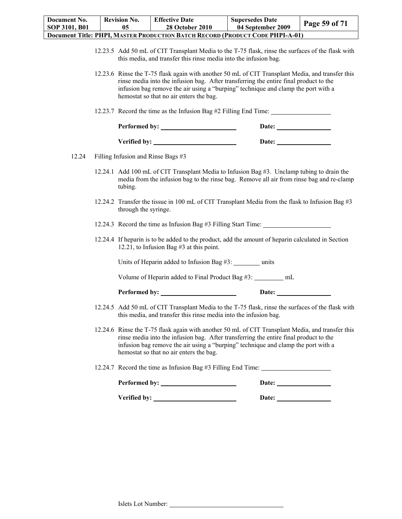| Document No.<br>SOP 3101, B01 |                                                                                                                                                                                                                                                                                                                                                                    | <b>Revision No.</b><br>05                                                                                                                       | <b>Effective Date</b><br><b>28 October 2010</b>                                                                                                                                                                                                                                                                           | <b>Supersedes Date</b><br>04 September 2009 | Page 59 of 71 |
|-------------------------------|--------------------------------------------------------------------------------------------------------------------------------------------------------------------------------------------------------------------------------------------------------------------------------------------------------------------------------------------------------------------|-------------------------------------------------------------------------------------------------------------------------------------------------|---------------------------------------------------------------------------------------------------------------------------------------------------------------------------------------------------------------------------------------------------------------------------------------------------------------------------|---------------------------------------------|---------------|
|                               |                                                                                                                                                                                                                                                                                                                                                                    |                                                                                                                                                 | Document Title: PHPI, MASTER PRODUCTION BATCH RECORD (PRODUCT CODE PHPI-A-01)                                                                                                                                                                                                                                             |                                             |               |
|                               | 12.23.5 Add 50 mL of CIT Transplant Media to the T-75 flask, rinse the surfaces of the flask with<br>this media, and transfer this rinse media into the infusion bag.<br>12.23.6 Rinse the T-75 flask again with another 50 mL of CIT Transplant Media, and transfer this<br>rinse media into the infusion bag. After transferring the entire final product to the |                                                                                                                                                 |                                                                                                                                                                                                                                                                                                                           |                                             |               |
|                               |                                                                                                                                                                                                                                                                                                                                                                    | infusion bag remove the air using a "burping" technique and clamp the port with a<br>hemostat so that no air enters the bag.                    |                                                                                                                                                                                                                                                                                                                           |                                             |               |
|                               |                                                                                                                                                                                                                                                                                                                                                                    |                                                                                                                                                 | 12.23.7 Record the time as the Infusion Bag #2 Filling End Time: _______________                                                                                                                                                                                                                                          |                                             |               |
|                               |                                                                                                                                                                                                                                                                                                                                                                    |                                                                                                                                                 |                                                                                                                                                                                                                                                                                                                           |                                             |               |
|                               |                                                                                                                                                                                                                                                                                                                                                                    |                                                                                                                                                 |                                                                                                                                                                                                                                                                                                                           | Date: $\qquad \qquad$                       |               |
| 12.24                         |                                                                                                                                                                                                                                                                                                                                                                    |                                                                                                                                                 | Filling Infusion and Rinse Bags #3                                                                                                                                                                                                                                                                                        |                                             |               |
|                               |                                                                                                                                                                                                                                                                                                                                                                    | tubing.                                                                                                                                         | 12.24.1 Add 100 mL of CIT Transplant Media to Infusion Bag #3. Unclamp tubing to drain the<br>media from the infusion bag to the rinse bag. Remove all air from rinse bag and re-clamp                                                                                                                                    |                                             |               |
|                               |                                                                                                                                                                                                                                                                                                                                                                    | 12.24.2 Transfer the tissue in 100 mL of CIT Transplant Media from the flask to Infusion Bag #3<br>through the syringe.                         |                                                                                                                                                                                                                                                                                                                           |                                             |               |
|                               |                                                                                                                                                                                                                                                                                                                                                                    | 12.24.3 Record the time as Infusion Bag #3 Filling Start Time: _________________                                                                |                                                                                                                                                                                                                                                                                                                           |                                             |               |
|                               |                                                                                                                                                                                                                                                                                                                                                                    | 12.24.4 If heparin is to be added to the product, add the amount of heparin calculated in Section<br>12.21, to Infusion Bag $#3$ at this point. |                                                                                                                                                                                                                                                                                                                           |                                             |               |
|                               |                                                                                                                                                                                                                                                                                                                                                                    |                                                                                                                                                 | Units of Heparin added to Infusion Bag #3: _________ units                                                                                                                                                                                                                                                                |                                             |               |
|                               |                                                                                                                                                                                                                                                                                                                                                                    |                                                                                                                                                 | Volume of Heparin added to Final Product Bag #3: ________ mL                                                                                                                                                                                                                                                              |                                             |               |
|                               |                                                                                                                                                                                                                                                                                                                                                                    |                                                                                                                                                 | Performed by:                                                                                                                                                                                                                                                                                                             | Date:                                       |               |
|                               |                                                                                                                                                                                                                                                                                                                                                                    |                                                                                                                                                 | 12.24.5 Add 50 mL of CIT Transplant Media to the T-75 flask, rinse the surfaces of the flask with<br>this media, and transfer this rinse media into the infusion bag.                                                                                                                                                     |                                             |               |
|                               |                                                                                                                                                                                                                                                                                                                                                                    |                                                                                                                                                 | 12.24.6 Rinse the T-75 flask again with another 50 mL of CIT Transplant Media, and transfer this<br>rinse media into the infusion bag. After transferring the entire final product to the<br>infusion bag remove the air using a "burping" technique and clamp the port with a<br>hemostat so that no air enters the bag. |                                             |               |
|                               |                                                                                                                                                                                                                                                                                                                                                                    |                                                                                                                                                 | 12.24.7 Record the time as Infusion Bag #3 Filling End Time:                                                                                                                                                                                                                                                              |                                             |               |
|                               |                                                                                                                                                                                                                                                                                                                                                                    |                                                                                                                                                 |                                                                                                                                                                                                                                                                                                                           | Date: $\qquad \qquad$                       |               |
|                               |                                                                                                                                                                                                                                                                                                                                                                    |                                                                                                                                                 |                                                                                                                                                                                                                                                                                                                           |                                             |               |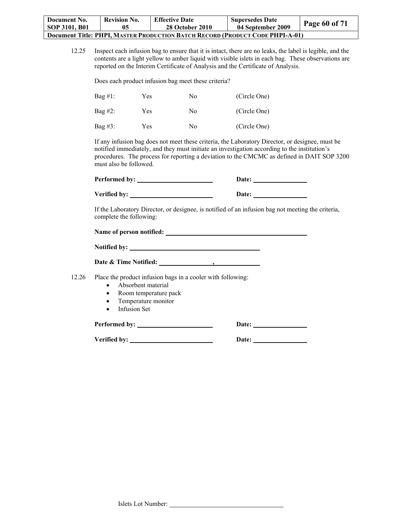| Document No.                                                                         | <b>Revision No.</b> | <b>Effective Date</b>  | <b>Supersedes Date</b> |                      |  |
|--------------------------------------------------------------------------------------|---------------------|------------------------|------------------------|----------------------|--|
| SOP 3101, B01                                                                        |                     | <b>28 October 2010</b> | 04 September 2009      | <b>Page 60 of 71</b> |  |
| <b>Document Title: PHPI, MASTER PRODUCTION BATCH RECORD (PRODUCT CODE PHPI-A-01)</b> |                     |                        |                        |                      |  |

12.25 Inspect each infusion bag to ensure that it is intact, there are no leaks, the label is legible, and the contents are a light yellow to amber liquid with visible islets in each bag. These observations are reported on the Interim Certificate of Analysis and the Certificate of Analysis.

Does each product infusion bag meet these criteria?

| $Bag #1$ : | Yes | No | (Circle One) |
|------------|-----|----|--------------|
| Bag #2:    | Yes | No | (Circle One) |
| Bag #3:    | Yes | No | (Circle One) |

If any infusion bag does not meet these criteria, the Laboratory Director, or designee, must be notified immediately, and they must initiate an investigation according to the institution's procedures. The process for reporting a deviation to the CMCMC as defined in DAIT SOP 3200 must also be followed.

| Performed by: | Date: |
|---------------|-------|
| Verified by:  | Date: |

If the Laboratory Director, or designee, is notified of an infusion bag not meeting the criteria, complete the following:

| Name of person notified: |  |
|--------------------------|--|
|                          |  |

| <b>Notified by:</b>   |  |
|-----------------------|--|
| Date & Time Notified: |  |

12.26 Place the product infusion bags in a cooler with following:

- Absorbent material
- Room temperature pack
- Temperature monitor
- Infusion Set

**Performed by: Date:** 

**Verified by:** <u>Date:</u> Date: <u>Date:</u> Date:

| ٠ |  |  |  |  |
|---|--|--|--|--|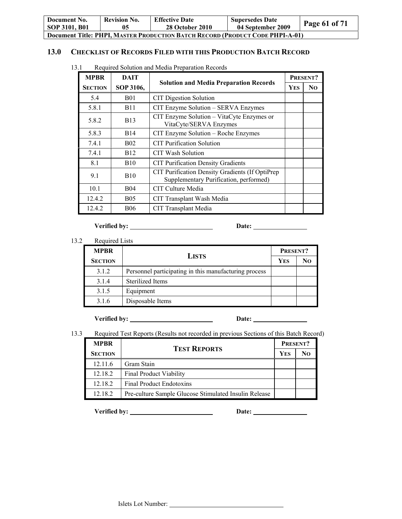| Document No.                                                                         | <b>Revision No.</b> | <b>Effective Date</b>  | <b>Supersedes Date</b> | Page 61 of 71 |  |  |
|--------------------------------------------------------------------------------------|---------------------|------------------------|------------------------|---------------|--|--|
| SOP 3101, B01                                                                        | 05                  | <b>28 October 2010</b> | 04 September 2009      |               |  |  |
| <b>Document Title: PHPI, MASTER PRODUCTION BATCH RECORD (PRODUCT CODE PHPI-A-01)</b> |                     |                        |                        |               |  |  |

## **13.0 CHECKLIST OF RECORDS FILED WITH THIS PRODUCTION BATCH RECORD**

| <b>MPBR</b>    | <b>DAIT</b> |                                                                                            |  | PRESENT?       |
|----------------|-------------|--------------------------------------------------------------------------------------------|--|----------------|
| <b>SECTION</b> | SOP 3106,   | <b>Solution and Media Preparation Records</b>                                              |  | N <sub>0</sub> |
| 5.4            | <b>B01</b>  | <b>CIT Digestion Solution</b>                                                              |  |                |
| 5.8.1          | <b>B11</b>  | CIT Enzyme Solution - SERVA Enzymes                                                        |  |                |
| 5.8.2          | <b>B</b> 13 | CIT Enzyme Solution – VitaCyte Enzymes or<br>VitaCyte/SERVA Enzymes                        |  |                |
| 5.8.3          | <b>B14</b>  | CIT Enzyme Solution - Roche Enzymes                                                        |  |                |
| 7.4.1          | <b>B02</b>  | <b>CIT</b> Purification Solution                                                           |  |                |
| 7.4.1          | <b>B12</b>  | <b>CIT Wash Solution</b>                                                                   |  |                |
| 8.1            | <b>B10</b>  | <b>CIT Purification Density Gradients</b>                                                  |  |                |
| 9.1            | <b>B10</b>  | CIT Purification Density Gradients (If OptiPrep)<br>Supplementary Purification, performed) |  |                |
| 10.1           | <b>B04</b>  | CIT Culture Media                                                                          |  |                |
| 12.4.2         | <b>B05</b>  | CIT Transplant Wash Media                                                                  |  |                |
| 12.4.2         | <b>B06</b>  | CIT Transplant Media                                                                       |  |                |

13.1 Required Solution and Media Preparation Records

**Verified by:** <u>Date:</u> Date:

13.2 Required Lists

| <b>MPBR</b>    | <b>LISTS</b>                                          |  | PRESENT? |
|----------------|-------------------------------------------------------|--|----------|
| <b>SECTION</b> |                                                       |  | No       |
| 3.1.2          | Personnel participating in this manufacturing process |  |          |
| 3.1.4          | Sterilized Items                                      |  |          |
| 3.1.5          | Equipment                                             |  |          |
| 3.1.6          | Disposable Items                                      |  |          |

**Verified by: Date:** 

13.3 Required Test Reports (Results not recorded in previous Sections of this Batch Record)

| <b>MPBR</b>    |                                                       |  | PRESENT? |  |
|----------------|-------------------------------------------------------|--|----------|--|
| <b>SECTION</b> | <b>TEST REPORTS</b>                                   |  | Nο       |  |
| 12.11.6        | Gram Stain                                            |  |          |  |
| 12.18.2        | Final Product Viability                               |  |          |  |
| 12.18.2        | <b>Final Product Endotoxins</b>                       |  |          |  |
| 12.18.2        | Pre-culture Sample Glucose Stimulated Insulin Release |  |          |  |

**Verified by:** <u>Date:</u> Date: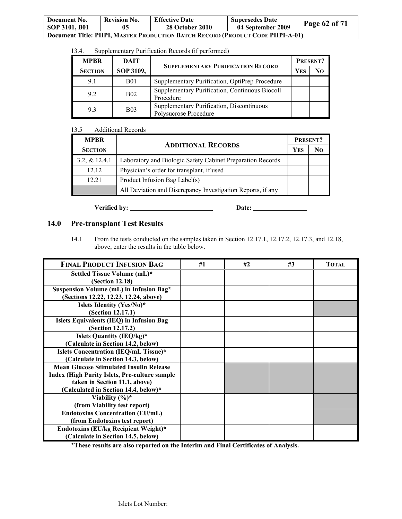| Document No.<br>SOP 3101, B01                                                        | <b>Revision No.</b> | <b>Effective Date</b><br><b>28 October 2010</b> | <b>Supersedes Date</b><br>04 September 2009 | Page 62 of 71 |  |  |
|--------------------------------------------------------------------------------------|---------------------|-------------------------------------------------|---------------------------------------------|---------------|--|--|
| <b>Document Title: PHPI, MASTER PRODUCTION BATCH RECORD (PRODUCT CODE PHPI-A-01)</b> |                     |                                                 |                                             |               |  |  |

| 13.4. | Supplementary Purification Records (if performed) |  |
|-------|---------------------------------------------------|--|
|       |                                                   |  |

| <b>MPBR</b>    | DAIT       | <b>SUPPLEMENTARY PURIFICATION RECORD</b>                           |  | PRESENT?       |
|----------------|------------|--------------------------------------------------------------------|--|----------------|
| <b>SECTION</b> | SOP 3109,  |                                                                    |  | N <sub>O</sub> |
| 9.1            | B01        | Supplementary Purification, OptiPrep Procedure                     |  |                |
| 9.2            | <b>B02</b> | Supplementary Purification, Continuous Biocoll<br>Procedure        |  |                |
| 9.3            | <b>B03</b> | Supplementary Purification, Discontinuous<br>Polysucrose Procedure |  |                |

## 13.5 Additional Records

| <b>MPRR</b>    |                                                             | PRESENT? |  |
|----------------|-------------------------------------------------------------|----------|--|
| <b>SECTION</b> | <b>ADDITIONAL RECORDS</b>                                   |          |  |
| 3.2, & 12.4.1  | Laboratory and Biologic Safety Cabinet Preparation Records  |          |  |
| 12.12          | Physician's order for transplant, if used                   |          |  |
| 12.21          | Product Infusion Bag Label(s)                               |          |  |
|                | All Deviation and Discrepancy Investigation Reports, if any |          |  |

**Verified by: Date:** 

## **14.0 Pre-transplant Test Results**

14.1 From the tests conducted on the samples taken in Section 12.17.1, 12.17.2, 12.17.3, and 12.18, above, enter the results in the table below.

| <b>FINAL PRODUCT INFUSION BAG</b>                    | #1 | #2 | #3 | <b>TOTAL</b> |
|------------------------------------------------------|----|----|----|--------------|
| Settled Tissue Volume (mL)*                          |    |    |    |              |
| <b>(Section 12.18)</b>                               |    |    |    |              |
| Suspension Volume (mL) in Infusion Bag*              |    |    |    |              |
| (Sections 12.22, 12.23, 12.24, above)                |    |    |    |              |
| Islets Identity (Yes/No)*                            |    |    |    |              |
| (Section 12.17.1)                                    |    |    |    |              |
| <b>Islets Equivalents (IEQ) in Infusion Bag</b>      |    |    |    |              |
| (Section 12.17.2)                                    |    |    |    |              |
| Islets Quantity (IEQ/kg)*                            |    |    |    |              |
| (Calculate in Section 14.2, below)                   |    |    |    |              |
| <b>Islets Concentration (IEQ/mL Tissue)*</b>         |    |    |    |              |
| (Calculate in Section 14.3, below)                   |    |    |    |              |
| <b>Mean Glucose Stimulated Insulin Release</b>       |    |    |    |              |
| <b>Index (High Purity Islets, Pre-culture sample</b> |    |    |    |              |
| taken in Section 11.1, above)                        |    |    |    |              |
| (Calculated in Section 14.4, below)*                 |    |    |    |              |
| Viability $(\%)^*$                                   |    |    |    |              |
| (from Viability test report)                         |    |    |    |              |
| <b>Endotoxins Concentration (EU/mL)</b>              |    |    |    |              |
| (from Endotoxins test report)                        |    |    |    |              |
| <b>Endotoxins (EU/kg Recipient Weight)*</b>          |    |    |    |              |
| (Calculate in Section 14.5, below)                   |    |    |    |              |

**\*These results are also reported on the Interim and Final Certificates of Analysis.**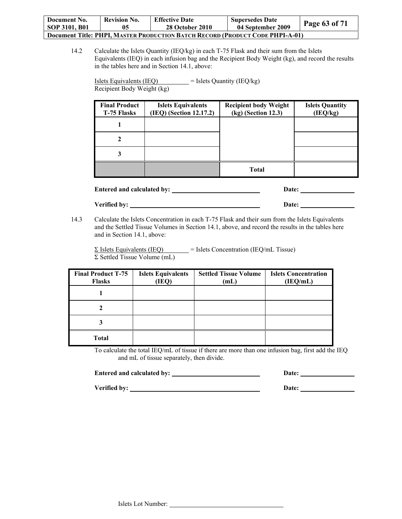| Document No.  | <b>Revision No.</b> | <b>Effective Date</b>                                                                | <b>Supersedes Date</b> | Page 63 of 71 |
|---------------|---------------------|--------------------------------------------------------------------------------------|------------------------|---------------|
| SOP 3101, B01 | 05                  | <b>28 October 2010</b>                                                               | 04 September 2009      |               |
|               |                     | <b>Document Title: PHPI, MASTER PRODUCTION BATCH RECORD (PRODUCT CODE PHPI-A-01)</b> |                        |               |

14.2 Calculate the Islets Quantity (IEQ/kg) in each T-75 Flask and their sum from the Islets Equivalents (IEQ) in each infusion bag and the Recipient Body Weight (kg), and record the results in the tables here and in Section 14.1, above:

 $I_{\text{Slets}}$  Equivalents (IEQ) = Islets Quantity (IEQ/kg) Recipient Body Weight (kg)

| <b>Final Product</b><br>T-75 Flasks | <b>Islets Equivalents</b><br>(IEQ) (Section 12.17.2) | <b>Recipient body Weight</b><br>(kg) (Section 12.3) | <b>Islets Quantity</b><br>(IEQ/kg) |
|-------------------------------------|------------------------------------------------------|-----------------------------------------------------|------------------------------------|
|                                     |                                                      |                                                     |                                    |
|                                     |                                                      |                                                     |                                    |
|                                     |                                                      |                                                     |                                    |
|                                     |                                                      | <b>Total</b>                                        |                                    |

**Entered and calculated by:** <u>Date:</u> Date:

## **Verified by: Date:**

14.3 Calculate the Islets Concentration in each T-75 Flask and their sum from the Islets Equivalents and the Settled Tissue Volumes in Section 14.1, above, and record the results in the tables here and in Section 14.1, above:

 $\Sigma$  Islets Equivalents (IEQ) = Islets Concentration (IEQ/mL Tissue) Σ Settled Tissue Volume (mL)

| <b>Final Product T-75</b><br><b>Flasks</b> | <b>Islets Equivalents</b><br>(IEQ) | <b>Settled Tissue Volume</b><br>(mL) | <b>Islets Concentration</b><br>(IEQ/mL) |
|--------------------------------------------|------------------------------------|--------------------------------------|-----------------------------------------|
|                                            |                                    |                                      |                                         |
|                                            |                                    |                                      |                                         |
|                                            |                                    |                                      |                                         |
| <b>Total</b>                               |                                    |                                      |                                         |

To calculate the total IEQ/mL of tissue if there are more than one infusion bag, first add the IEQ and mL of tissue separately, then divide.

| <b>Entered and calculated by:</b> | <b>Date:</b> |  |
|-----------------------------------|--------------|--|
|                                   |              |  |

**Verified by: Date:**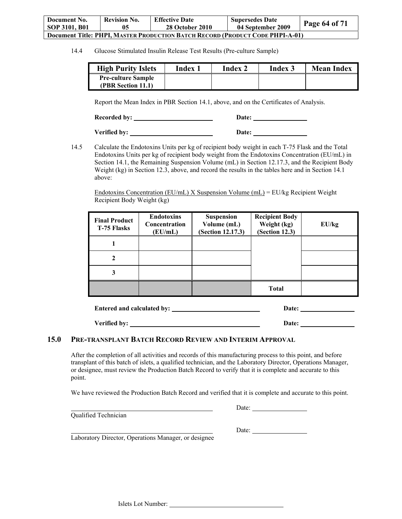| Document No.         | <b>Revision No.</b> | <b>Effective Date</b>                                                                | <b>Supersedes Date</b> | Page $64$ of $71$ |
|----------------------|---------------------|--------------------------------------------------------------------------------------|------------------------|-------------------|
| <b>SOP 3101, B01</b> | 05                  | <b>28 October 2010</b>                                                               | 04 September 2009      |                   |
|                      |                     | <b>Document Title: PHPI, MASTER PRODUCTION BATCH RECORD (PRODUCT CODE PHPI-A-01)</b> |                        |                   |

14.4 Glucose Stimulated Insulin Release Test Results (Pre-culture Sample)

| <b>High Purity Islets</b>                       | Index | Index 2 | Index 3 | <b>Mean Index</b> |
|-------------------------------------------------|-------|---------|---------|-------------------|
| <b>Pre-culture Sample</b><br>(PBR Section 11.1) |       |         |         |                   |

Report the Mean Index in PBR Section 14.1, above, and on the Certificates of Analysis.

Recorded by: <u>Necorded by:</u> Necorded by: 2014 **Date:** 2014 **Date:** 2014 **Date:** 2014 **Date:** 2014 **Date:** 2014 **Date:** 2014 **Date:** 2014 **Date:** 2014 **Date:** 2014 **Date:** 2014 **Date:** 2014 **Date:** 2014 **Date:** 2014 **Date:** 

Verified by: <u>New York Base:</u> Date: <u>New York:</u> Date:

14.5 Calculate the Endotoxins Units per kg of recipient body weight in each T-75 Flask and the Total Endotoxins Units per kg of recipient body weight from the Endotoxins Concentration (EU/mL) in Section 14.1, the Remaining Suspension Volume (mL) in Section 12.17.3, and the Recipient Body Weight (kg) in Section 12.3, above, and record the results in the tables here and in Section 14.1 above:

Endotoxins Concentration (EU/mL) X Suspension Volume (mL) = EU/kg Recipient Weight Recipient Body Weight (kg)

| <b>Final Product</b><br>T-75 Flasks | <b>Endotoxins</b><br>Concentration<br>(EU/mL) | <b>Suspension</b><br>Volume (mL)<br>(Section 12.17.3) | <b>Recipient Body</b><br>Weight (kg)<br>(Section 12.3) | EU/kg |
|-------------------------------------|-----------------------------------------------|-------------------------------------------------------|--------------------------------------------------------|-------|
|                                     |                                               |                                                       |                                                        |       |
| 2                                   |                                               |                                                       |                                                        |       |
| 3                                   |                                               |                                                       |                                                        |       |
|                                     |                                               |                                                       | <b>Total</b>                                           |       |

| Entered and calculated by: | <b>Date:</b> |  |  |
|----------------------------|--------------|--|--|
|                            |              |  |  |

**Verified by: Date: Date: Date: Date: Date: Date: Date: Date: Date: Date: Date: Date: Date: Date: Date: Date: Date: Date: Date: Date: Date: Date: Date: Date: Date: Date:** 

## **15.0 PRE-TRANSPLANT BATCH RECORD REVIEW AND INTERIM APPROVAL**

After the completion of all activities and records of this manufacturing process to this point, and before transplant of this batch of islets, a qualified technician, and the Laboratory Director, Operations Manager, or designee, must review the Production Batch Record to verify that it is complete and accurate to this point.

We have reviewed the Production Batch Record and verified that it is complete and accurate to this point.

Qualified Technician

<u>Date:</u>

<u>Date:</u>

Laboratory Director, Operations Manager, or designee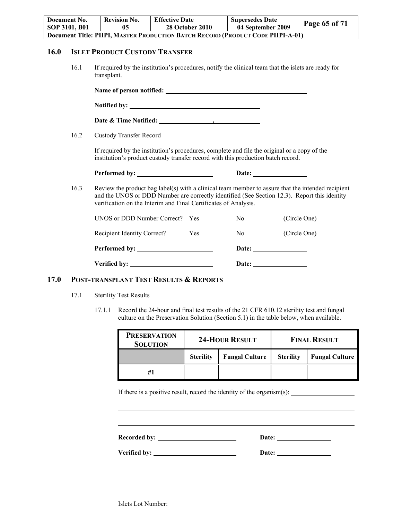|      | Document No.<br>SOP 3101, B01 | <b>Revision No.</b><br>05                                                                                                                                                                                                                                            | <b>Effective Date</b> | <b>28 October 2010</b> | <b>Supersedes Date</b><br>04 September 2009 |              | Page 65 of 71 |
|------|-------------------------------|----------------------------------------------------------------------------------------------------------------------------------------------------------------------------------------------------------------------------------------------------------------------|-----------------------|------------------------|---------------------------------------------|--------------|---------------|
|      |                               | Document Title: PHPI, MASTER PRODUCTION BATCH RECORD (PRODUCT CODE PHPI-A-01)                                                                                                                                                                                        |                       |                        |                                             |              |               |
| 16.0 |                               | <b>ISLET PRODUCT CUSTODY TRANSFER</b>                                                                                                                                                                                                                                |                       |                        |                                             |              |               |
|      | 16.1                          | If required by the institution's procedures, notify the clinical team that the islets are ready for<br>transplant.                                                                                                                                                   |                       |                        |                                             |              |               |
|      |                               |                                                                                                                                                                                                                                                                      |                       |                        |                                             |              |               |
|      |                               | Notified by:                                                                                                                                                                                                                                                         |                       |                        |                                             |              |               |
|      |                               |                                                                                                                                                                                                                                                                      |                       |                        |                                             |              |               |
|      | 16.2                          | <b>Custody Transfer Record</b>                                                                                                                                                                                                                                       |                       |                        |                                             |              |               |
|      |                               | If required by the institution's procedures, complete and file the original or a copy of the<br>institution's product custody transfer record with this production batch record.                                                                                     |                       |                        |                                             |              |               |
|      |                               |                                                                                                                                                                                                                                                                      |                       |                        |                                             |              |               |
|      | 16.3                          | Review the product bag label(s) with a clinical team member to assure that the intended recipient<br>and the UNOS or DDD Number are correctly identified (See Section 12.3). Report this identity<br>verification on the Interim and Final Certificates of Analysis. |                       |                        |                                             |              |               |
|      |                               | UNOS or DDD Number Correct? Yes                                                                                                                                                                                                                                      |                       |                        | N <sub>0</sub>                              | (Circle One) |               |
|      |                               | Recipient Identity Correct?                                                                                                                                                                                                                                          |                       | Yes                    | No                                          | (Circle One) |               |
|      |                               | Performed by:                                                                                                                                                                                                                                                        |                       |                        |                                             |              |               |
|      |                               | Verified by:                                                                                                                                                                                                                                                         |                       |                        |                                             |              |               |

#### **17.0 POST-TRANSPLANT TEST RESULTS & REPORTS**

- 17.1 Sterility Test Results
	- 17.1.1 Record the 24-hour and final test results of the 21 CFR 610.12 sterility test and fungal culture on the Preservation Solution (Section 5.1) in the table below, when available.

| <b>PRESERVATION</b><br><b>SOLUTION</b> |                  | <b>24-HOUR RESULT</b> | <b>FINAL RESULT</b> |                       |  |
|----------------------------------------|------------------|-----------------------|---------------------|-----------------------|--|
|                                        | <b>Sterility</b> | <b>Fungal Culture</b> | <b>Sterility</b>    | <b>Fungal Culture</b> |  |
| #1                                     |                  |                       |                     |                       |  |

If there is a positive result, record the identity of the organism(s):

**Recorded by: Date:** 

l

**Verified by: Date:**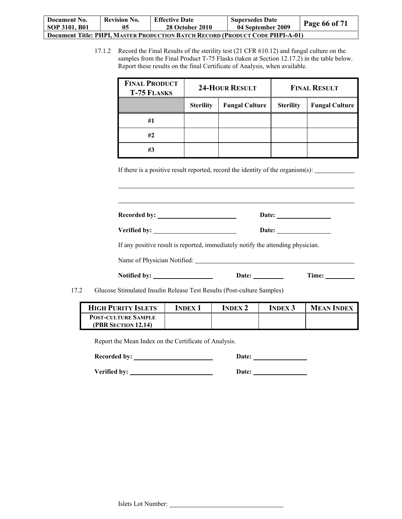| Document No.                                                                         | <b>Revision No.</b> | <b>Effective Date</b>  | <b>Supersedes Date</b> | Page 66 of 71 |  |
|--------------------------------------------------------------------------------------|---------------------|------------------------|------------------------|---------------|--|
| SOP 3101, B01                                                                        | 05                  | <b>28 October 2010</b> | 04 September 2009      |               |  |
| <b>Document Title: PHPI, MASTER PRODUCTION BATCH RECORD (PRODUCT CODE PHPI-A-01)</b> |                     |                        |                        |               |  |

17.1.2 Record the Final Results of the sterility test (21 CFR 610.12) and fungal culture on the samples from the Final Product T-75 Flasks (taken at Section 12.17.2) in the table below. Report these results on the final Certificate of Analysis, when available.

| <b>FINAL PRODUCT</b><br><b>T-75 FLASKS</b> | <b>24-HOUR RESULT</b> |                       |                  | <b>FINAL RESULT</b>   |
|--------------------------------------------|-----------------------|-----------------------|------------------|-----------------------|
|                                            | <b>Sterility</b>      | <b>Fungal Culture</b> | <b>Sterility</b> | <b>Fungal Culture</b> |
| #1                                         |                       |                       |                  |                       |
| #2                                         |                       |                       |                  |                       |
| #3                                         |                       |                       |                  |                       |

If there is a positive result reported, record the identity of the organism(s):

Recorded by: <u>Date:</u> Date:

| Verified by: | Date: |
|--------------|-------|

If any positive result is reported, immediately notify the attending physician.

Name of Physician Notified:

**Notified by:** <u>Date: Time:</u> Time:

17.2 Glucose Stimulated Insulin Release Test Results (Post-culture Samples)

| <b>HIGH PURITY ISLETS</b>  | <b>INDEX</b> | <b>INDEX 2</b> | <b>INDEX 3</b> | <b>MEAN INDEX</b> |
|----------------------------|--------------|----------------|----------------|-------------------|
| <b>POST-CULTURE SAMPLE</b> |              |                |                |                   |
| <b>(PBR SECTION 12.14)</b> |              |                |                |                   |

Report the Mean Index on the Certificate of Analysis.

l

**Recorded by:** <u>Date:</u> Date:

Verified by: <u>New York Bate:</u> Bate: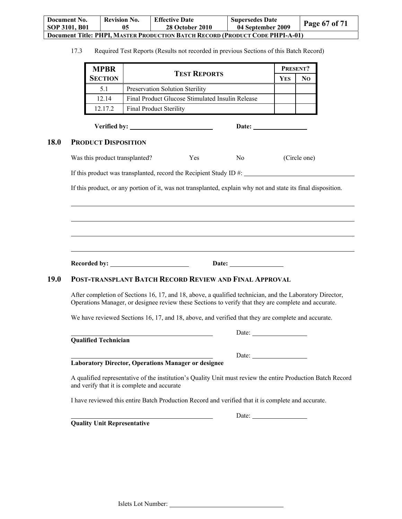| Document No.                                                                  | <b>Revision No.</b> | <b>Effective Date</b>  | <b>Supersedes Date</b> | <b>Page 67 of 71</b> |  |
|-------------------------------------------------------------------------------|---------------------|------------------------|------------------------|----------------------|--|
| SOP 3101, B01                                                                 | 05                  | <b>28 October 2010</b> | 04 September 2009      |                      |  |
| Document Title: PHPI, MASTER PRODUCTION BATCH RECORD (PRODUCT CODE PHPI-A-01) |                     |                        |                        |                      |  |

17.3 Required Test Reports (Results not recorded in previous Sections of this Batch Record)

| <b>MPBR</b>    |                                                  |     | PRESENT? |  |
|----------------|--------------------------------------------------|-----|----------|--|
| <b>SECTION</b> | <b>TEST REPORTS</b>                              | Yes | Nο       |  |
| 5.1            | Preservation Solution Sterility                  |     |          |  |
| 12 14          | Final Product Glucose Stimulated Insulin Release |     |          |  |
| 12 17 2        | <b>Final Product Sterility</b>                   |     |          |  |

**Verified by: Date:** 

## **18.0 PRODUCT DISPOSITION**

 $\overline{a}$ 

| Was this product transplanted?<br>(Circle one)<br>No<br>Y es |
|--------------------------------------------------------------|
|--------------------------------------------------------------|

If this product was transplanted, record the Recipient Study ID #:

If this product, or any portion of it, was not transplanted, explain why not and state its final disposition.

**Recorded by:** Date: Date:

## **19.0 POST-TRANSPLANT BATCH RECORD REVIEW AND FINAL APPROVAL**

After completion of Sections 16, 17, and 18, above, a qualified technician, and the Laboratory Director, Operations Manager, or designee review these Sections to verify that they are complete and accurate.

We have reviewed Sections 16, 17, and 18, above, and verified that they are complete and accurate.

**Qualified Technician** 

|                               | ияте |
|-------------------------------|------|
| $\sim$ 1.00 1.00 1.00 $\cdot$ |      |

**Laboratory Director, Operations Manager or designee** 

<u>Date:</u>

A qualified representative of the institution's Quality Unit must review the entire Production Batch Record and verify that it is complete and accurate

I have reviewed this entire Batch Production Record and verified that it is complete and accurate.

**Quality Unit Representative**

<u>Date:</u>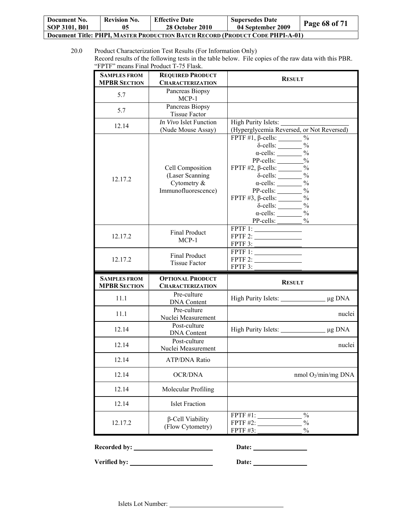| Document No.                                                                         | <b>Revision No.</b> | <b>Effective Date</b>  | <b>Supersedes Date</b> |               |  |  |
|--------------------------------------------------------------------------------------|---------------------|------------------------|------------------------|---------------|--|--|
| SOP 3101, B01                                                                        | 05                  | <b>28 October 2010</b> | 04 September 2009      | Page 68 of 71 |  |  |
| <b>Document Title: PHPI, MASTER PRODUCTION BATCH RECORD (PRODUCT CODE PHPI-A-01)</b> |                     |                        |                        |               |  |  |

<sup>20.0</sup> Product Characterization Test Results (For Information Only) Record results of the following tests in the table below. File copies of the raw data with this PBR. "FPTF" means Final Product T-75 Flask.

| <b>SAMPLES FROM</b><br><b>MPBR SECTION</b> | <b>REQUIRED PRODUCT</b><br><b>CHARACTERIZATION</b>                          | <b>RESULT</b>                                                                                                                                                                                                                                                                                                                                                                                                                                              |
|--------------------------------------------|-----------------------------------------------------------------------------|------------------------------------------------------------------------------------------------------------------------------------------------------------------------------------------------------------------------------------------------------------------------------------------------------------------------------------------------------------------------------------------------------------------------------------------------------------|
| 5.7                                        | Pancreas Biopsy<br>$MCP-1$                                                  |                                                                                                                                                                                                                                                                                                                                                                                                                                                            |
| 5.7                                        | Pancreas Biopsy<br><b>Tissue Factor</b>                                     |                                                                                                                                                                                                                                                                                                                                                                                                                                                            |
| 12.14                                      | In Vivo Islet Function<br>(Nude Mouse Assay)                                | (Hyperglycemia Reversed, or Not Reversed)                                                                                                                                                                                                                                                                                                                                                                                                                  |
| 12.17.2                                    | Cell Composition<br>(Laser Scanning<br>Cytometry $&$<br>Immunofluorescence) | FPTF $#1$ , $\beta$ -cells: _________ %<br>$\delta$ -cells: $\_\_\_\_\_\_\$ %<br>$\alpha$ -cells: $\frac{0}{6}$<br>PP-cells: $\frac{9}{6}$<br>FPTF $#2$ , $\beta$ -cells: $\_\_\_\_\_\_\_\_$ %<br>$\delta$ -cells: $\frac{\%}{\%}$<br>$\alpha$ -cells: $\frac{9}{6}$<br>PP-cells: $\frac{9}{6}$<br>FPTF #3, $\beta$ -cells: $\_\_\_\_\_\_\$ %<br>$\delta$ -cells: $\_\_\_\_\_\_\_$<br>$\alpha$ -cells: $\_\_\_\_\_\_\_\$ %<br>$PP-cells:$<br>$\frac{0}{0}$ |
| 12.17.2                                    | Final Product<br>$MCP-1$                                                    | $\overline{\text{FPTF}}$ 1: $\overline{\qquad \qquad }$<br>FPTF 2:<br>FPTF 3:                                                                                                                                                                                                                                                                                                                                                                              |
| 12.17.2                                    | <b>Final Product</b><br><b>Tissue Factor</b>                                | FPTF1:<br>FPTF 2:<br>FPTF 3:                                                                                                                                                                                                                                                                                                                                                                                                                               |
| <b>SAMPLES FROM</b><br><b>MPBR SECTION</b> | <b>OPTIONAL PRODUCT</b><br><b>CHARACTERIZATION</b>                          | <b>RESULT</b>                                                                                                                                                                                                                                                                                                                                                                                                                                              |
| 11.1                                       | Pre-culture<br><b>DNA</b> Content                                           |                                                                                                                                                                                                                                                                                                                                                                                                                                                            |
| 11.1                                       | Pre-culture<br>Nuclei Measurement                                           | nuclei                                                                                                                                                                                                                                                                                                                                                                                                                                                     |
| 12.14                                      | Post-culture<br><b>DNA</b> Content                                          |                                                                                                                                                                                                                                                                                                                                                                                                                                                            |
| 12.14                                      | Post-culture<br>Nuclei Measurement                                          | nuclei                                                                                                                                                                                                                                                                                                                                                                                                                                                     |
| 12.14                                      | ATP/DNA Ratio                                                               |                                                                                                                                                                                                                                                                                                                                                                                                                                                            |
| 12.14                                      | <b>OCR/DNA</b>                                                              | nmol $O_2/min/mg$ DNA                                                                                                                                                                                                                                                                                                                                                                                                                                      |
| 12.14                                      | Molecular Profiling                                                         |                                                                                                                                                                                                                                                                                                                                                                                                                                                            |
| 12.14                                      | <b>Islet Fraction</b>                                                       |                                                                                                                                                                                                                                                                                                                                                                                                                                                            |
| 12.17.2                                    | $\beta$ -Cell Viability<br>(Flow Cytometry)                                 | FPTF $#1$ :<br>$\frac{0}{0}$<br><b>FPTF #2:</b><br>$\frac{0}{0}$<br>FPTF #3:<br>$\%$                                                                                                                                                                                                                                                                                                                                                                       |

Recorded by: <u>Necorded by:</u> Date: Necorded by:

÷.

**Verified by: Date: Date: Date: Date: Date: Date: Date: Date: Date: Date: Date: Date: Date: Date: Date: Date: Date: Date: Date: Date: Date: Date: Date: Date: Date: Date:**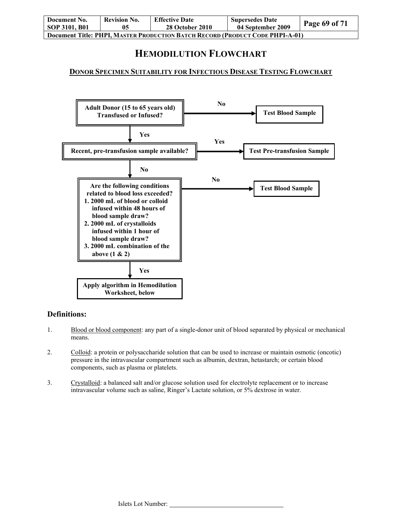| Document No.                                                                         | <b>Revision No.</b> | <b>Effective Date</b>  | <b>Supersedes Date</b> | Page 69 of 71 |  |
|--------------------------------------------------------------------------------------|---------------------|------------------------|------------------------|---------------|--|
| SOP 3101, B01                                                                        | 05                  | <b>28 October 2010</b> | 04 September 2009      |               |  |
| <b>Document Title: PHPI, MASTER PRODUCTION BATCH RECORD (PRODUCT CODE PHPI-A-01)</b> |                     |                        |                        |               |  |

# **HEMODILUTION FLOWCHART**

## **DONOR SPECIMEN SUITABILITY FOR INFECTIOUS DISEASE TESTING FLOWCHART**



## **Definitions:**

- 1. Blood or blood component: any part of a single-donor unit of blood separated by physical or mechanical means.
- 2. Colloid: a protein or polysaccharide solution that can be used to increase or maintain osmotic (oncotic) pressure in the intravascular compartment such as albumin, dextran, hetastarch; or certain blood components, such as plasma or platelets.
- 3. Crystalloid: a balanced salt and/or glucose solution used for electrolyte replacement or to increase intravascular volume such as saline, Ringer's Lactate solution, or 5% dextrose in water.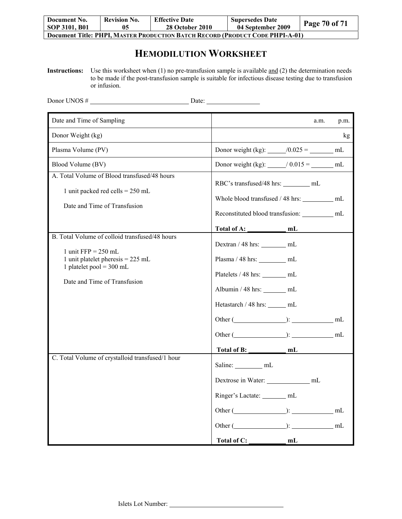| Document No.                                                                         | <b>Revision No.</b> | <b>Effective Date</b>  | <b>Supersedes Date</b> | Page 70 of 71 |  |  |
|--------------------------------------------------------------------------------------|---------------------|------------------------|------------------------|---------------|--|--|
| SOP 3101, B01                                                                        | 05                  | <b>28 October 2010</b> | 04 September 2009      |               |  |  |
| <b>Document Title: PHPI, MASTER PRODUCTION BATCH RECORD (PRODUCT CODE PHPI-A-01)</b> |                     |                        |                        |               |  |  |

# **HEMODILUTION WORKSHEET**

**Instructions:** Use this worksheet when (1) no pre-transfusion sample is available and (2) the determination needs to be made if the post-transfusion sample is suitable for infectious disease testing due to transfusion or infusion.

| Donor UNOS #                                                                                                                                                                                | $\Box$ Date: $\Box$                                                                                                                                                                                                |          |
|---------------------------------------------------------------------------------------------------------------------------------------------------------------------------------------------|--------------------------------------------------------------------------------------------------------------------------------------------------------------------------------------------------------------------|----------|
| Date and Time of Sampling                                                                                                                                                                   | a.m.                                                                                                                                                                                                               | p.m.     |
| Donor Weight (kg)                                                                                                                                                                           |                                                                                                                                                                                                                    | kg       |
| Plasma Volume (PV)                                                                                                                                                                          | Donor weight (kg): $\_\_/0.025 = \_\_$ mL                                                                                                                                                                          |          |
| Blood Volume (BV)                                                                                                                                                                           | Donor weight (kg): $\_\_$ / 0.015 = _______ mL                                                                                                                                                                     |          |
| A. Total Volume of Blood transfused/48 hours<br>1 unit packed red cells = $250$ mL<br>Date and Time of Transfusion                                                                          | RBC's transfused/48 hrs: mL<br>Whole blood transfused / 48 hrs: __________ mL<br>Reconstituted blood transfusion: _________ mL                                                                                     |          |
|                                                                                                                                                                                             |                                                                                                                                                                                                                    |          |
| B. Total Volume of colloid transfused/48 hours<br>1 unit $\text{FFP} = 250 \text{ mL}$<br>1 unit platelet pheresis $= 225$ mL<br>1 platelet pool = $300$ mL<br>Date and Time of Transfusion | Dextran / 48 hrs: ________ mL<br>Plasma / 48 hrs: ________ mL<br>Platelets / 48 hrs: ________ mL<br>Albumin / 48 hrs: $\_\_\_\_\_\_\_\$ mL<br>Hetastarch / 48 hrs: _____ mL<br>Other $(\_\_\_\_\_): \_\_\_\_\_$ mL |          |
| C. Total Volume of crystalloid transfused/1 hour                                                                                                                                            | Saline: ___________ mL<br>Dextrose in Water: _________________ mL<br>Ringer's Lactate: _______ mL<br>Other $(\_\_\_\_\_):$<br>Other $($ ( $)$ :<br>Total of C: _<br>mL                                             | mL<br>mL |